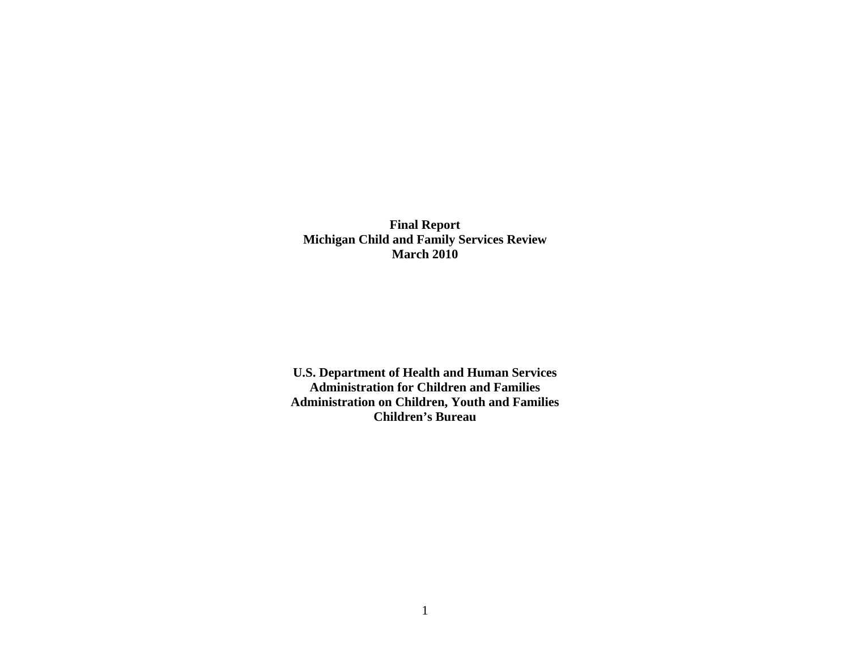**Final Report Michigan Child and Family Services Review March 2010** 

**U.S. Department of Health and Human Services Administration for Children and Families Administration on Children, Youth and Families Children's Bureau**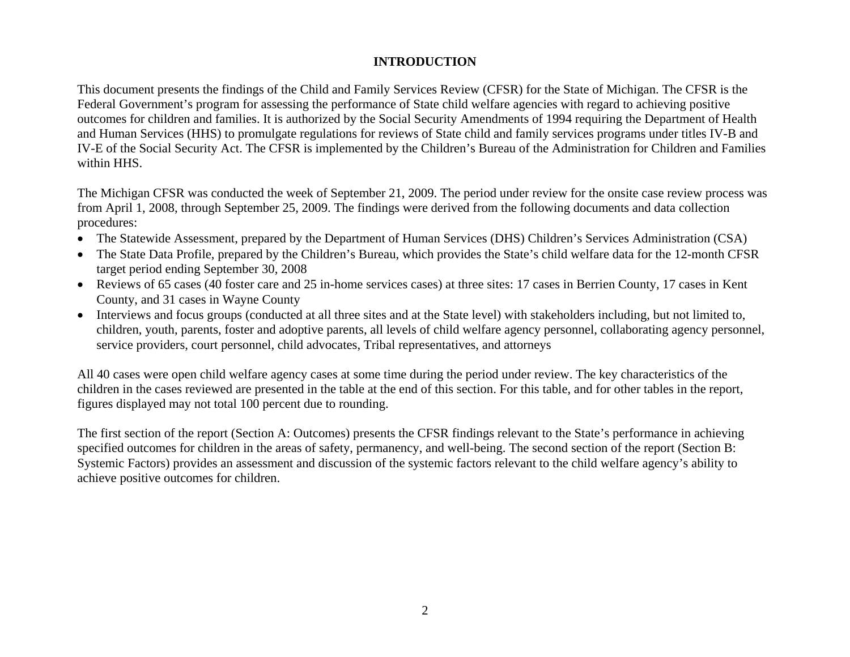## **INTRODUCTION**

This document presents the findings of the Child and Family Services Review (CFSR) for the State of Michigan. The CFSR is the Federal Government's program for assessing the performance of State child welfare agencies with regard to achieving positive outcomes for children and families. It is authorized by the Social Security Amendments of 1994 requiring the Department of Health and Human Services (HHS) to promulgate regulations for reviews of State child and family services programs under titles IV-B and IV-E of the Social Security Act. The CFSR is implemented by the Children's Bureau of the Administration for Children and Families within HHS.

The Michigan CFSR was conducted the week of September 21, 2009. The period under review for the onsite case review process was from April 1, 2008, through September 25, 2009. The findings were derived from the following documents and data collection procedures:

- The Statewide Assessment, prepared by the Department of Human Services (DHS) Children's Services Administration (CSA)
- The State Data Profile, prepared by the Children's Bureau, which provides the State's child welfare data for the 12-month CFSR target period ending September 30, 2008
- Reviews of 65 cases (40 foster care and 25 in-home services cases) at three sites: 17 cases in Berrien County, 17 cases in Kent County, and 31 cases in Wayne County
- Interviews and focus groups (conducted at all three sites and at the State level) with stakeholders including, but not limited to, children, youth, parents, foster and adoptive parents, all levels of child welfare agency personnel, collaborating agency personnel, service providers, court personnel, child advocates, Tribal representatives, and attorneys

All 40 cases were open child welfare agency cases at some time during the period under review. The key characteristics of the children in the cases reviewed are presented in the table at the end of this section. For this table, and for other tables in the report, figures displayed may not total 100 percent due to rounding.

The first section of the report (Section A: Outcomes) presents the CFSR findings relevant to the State's performance in achieving specified outcomes for children in the areas of safety, permanency, and well-being. The second section of the report (Section B: Systemic Factors) provides an assessment and discussion of the systemic factors relevant to the child welfare agency's ability to achieve positive outcomes for children.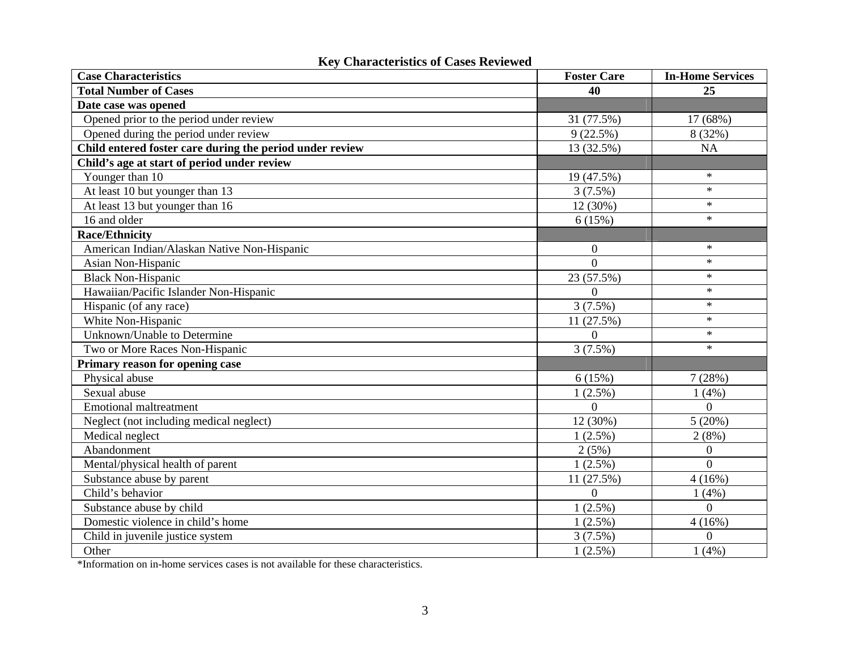| <b>Case Characteristics</b>                              | <b>Foster Care</b> | <b>In-Home Services</b> |
|----------------------------------------------------------|--------------------|-------------------------|
| <b>Total Number of Cases</b>                             | 40                 | 25                      |
| Date case was opened                                     |                    |                         |
| Opened prior to the period under review                  | 31 (77.5%)         | 17 (68%)                |
| Opened during the period under review                    | 9(22.5%)           | 8 (32%)                 |
| Child entered foster care during the period under review | 13 (32.5%)         | <b>NA</b>               |
| Child's age at start of period under review              |                    |                         |
| Younger than 10                                          | 19 (47.5%)         | $\ast$                  |
| At least 10 but younger than 13                          | 3(7.5%)            | $\ast$                  |
| At least 13 but younger than 16                          | 12 (30%)           | $\ast$                  |
| 16 and older                                             | 6(15%)             | $\ast$                  |
| <b>Race/Ethnicity</b>                                    |                    |                         |
| American Indian/Alaskan Native Non-Hispanic              | $\boldsymbol{0}$   | $\ast$                  |
| Asian Non-Hispanic                                       | $\theta$           | $\ast$                  |
| <b>Black Non-Hispanic</b>                                | 23 (57.5%)         | $\ast$                  |
| Hawaiian/Pacific Islander Non-Hispanic                   | $\overline{0}$     | $\ast$                  |
| Hispanic (of any race)                                   | 3(7.5%)            | $\ast$                  |
| White Non-Hispanic                                       | 11 (27.5%)         | $\ast$                  |
| Unknown/Unable to Determine                              | $\Omega$           | $\ast$                  |
| Two or More Races Non-Hispanic                           | 3(7.5%)            | $\ast$                  |
| Primary reason for opening case                          |                    |                         |
| Physical abuse                                           | 6(15%)             | 7(28%)                  |
| Sexual abuse                                             | $1(2.5\%)$         | 1(4%)                   |
| <b>Emotional maltreatment</b>                            | $\overline{0}$     | $\Omega$                |
| Neglect (not including medical neglect)                  | 12 (30%)           | 5(20%)                  |
| Medical neglect                                          | $1(2.5\%)$         | 2(8%)                   |
| Abandonment                                              | 2(5%)              | $\boldsymbol{0}$        |
| Mental/physical health of parent                         | $1(2.5\%)$         | $\overline{0}$          |
| Substance abuse by parent                                | 11 (27.5%)         | 4(16%)                  |
| Child's behavior                                         | $\Omega$           | 1(4%)                   |
| Substance abuse by child                                 | $1(2.5\%)$         | $\overline{0}$          |
| Domestic violence in child's home                        | $1(2.5\%)$         | 4(16%)                  |
| Child in juvenile justice system                         | $3(7.5\%)$         | $\overline{0}$          |
| Other                                                    | $1(2.5\%)$         | 1(4%)                   |

# **Key Characteristics of Cases Reviewed**

\*Information on in-home services cases is not available for these characteristics.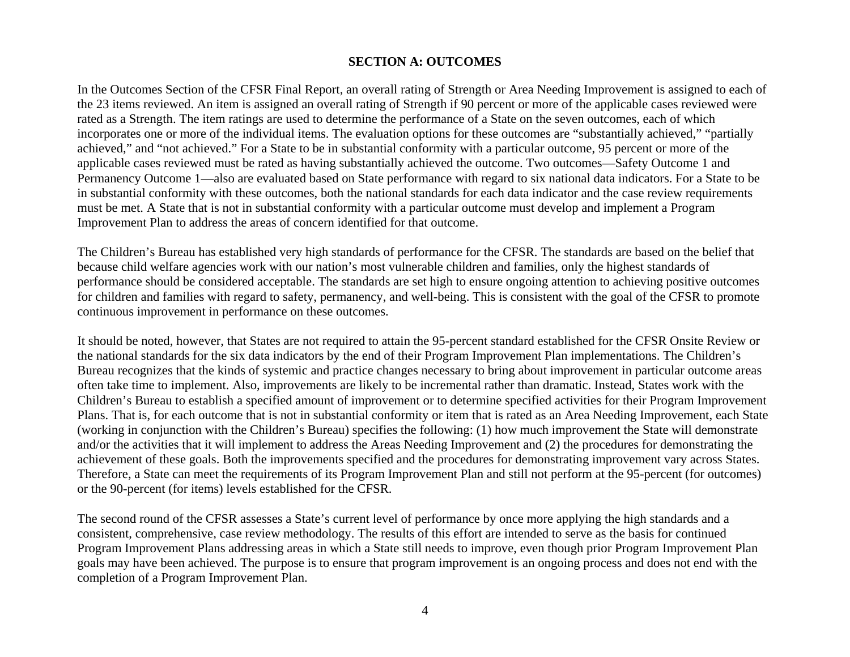### **SECTION A: OUTCOMES**

In the Outcomes Section of the CFSR Final Report, an overall rating of Strength or Area Needing Improvement is assigned to each of the 23 items reviewed. An item is assigned an overall rating of Strength if 90 percent or more of the applicable cases reviewed were rated as a Strength. The item ratings are used to determine the performance of a State on the seven outcomes, each of which incorporates one or more of the individual items. The evaluation options for these outcomes are "substantially achieved," "partially achieved," and "not achieved." For a State to be in substantial conformity with a particular outcome, 95 percent or more of the applicable cases reviewed must be rated as having substantially achieved the outcome. Two outcomes—Safety Outcome 1 and Permanency Outcome 1—also are evaluated based on State performance with regard to six national data indicators. For a State to be in substantial conformity with these outcomes, both the national standards for each data indicator and the case review requirements must be met. A State that is not in substantial conformity with a particular outcome must develop and implement a Program Improvement Plan to address the areas of concern identified for that outcome.

The Children's Bureau has established very high standards of performance for the CFSR. The standards are based on the belief that because child welfare agencies work with our nation's most vulnerable children and families, only the highest standards of performance should be considered acceptable. The standards are set high to ensure ongoing attention to achieving positive outcomes for children and families with regard to safety, permanency, and well-being. This is consistent with the goal of the CFSR to promote continuous improvement in performance on these outcomes.

It should be noted, however, that States are not required to attain the 95-percent standard established for the CFSR Onsite Review or the national standards for the six data indicators by the end of their Program Improvement Plan implementations. The Children's Bureau recognizes that the kinds of systemic and practice changes necessary to bring about improvement in particular outcome areas often take time to implement. Also, improvements are likely to be incremental rather than dramatic. Instead, States work with the Children's Bureau to establish a specified amount of improvement or to determine specified activities for their Program Improvement Plans. That is, for each outcome that is not in substantial conformity or item that is rated as an Area Needing Improvement, each State (working in conjunction with the Children's Bureau) specifies the following: (1) how much improvement the State will demonstrate and/or the activities that it will implement to address the Areas Needing Improvement and (2) the procedures for demonstrating the achievement of these goals. Both the improvements specified and the procedures for demonstrating improvement vary across States. Therefore, a State can meet the requirements of its Program Improvement Plan and still not perform at the 95-percent (for outcomes) or the 90-percent (for items) levels established for the CFSR.

The second round of the CFSR assesses a State's current level of performance by once more applying the high standards and a consistent, comprehensive, case review methodology. The results of this effort are intended to serve as the basis for continued Program Improvement Plans addressing areas in which a State still needs to improve, even though prior Program Improvement Plan goals may have been achieved. The purpose is to ensure that program improvement is an ongoing process and does not end with the completion of a Program Improvement Plan.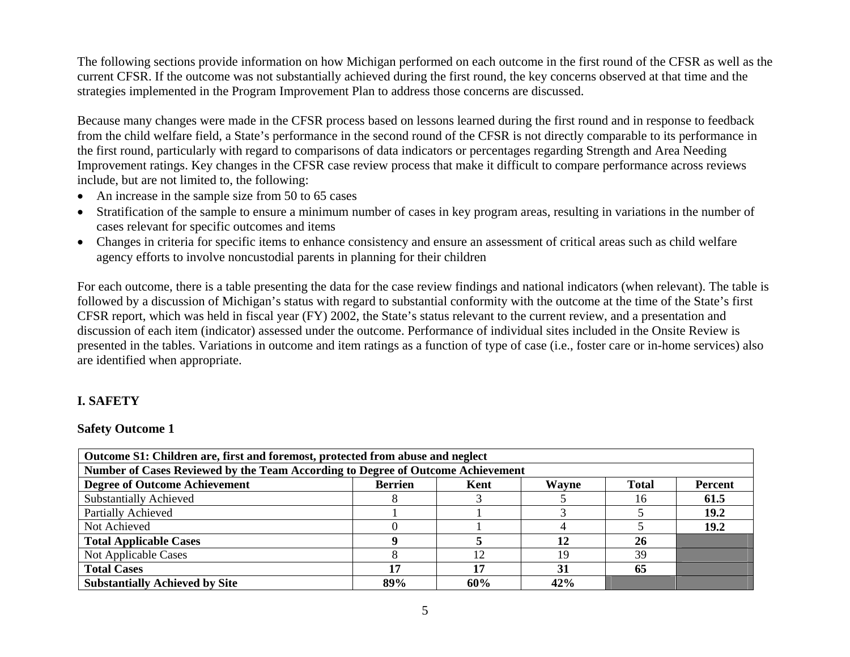The following sections provide information on how Michigan performed on each outcome in the first round of the CFSR as well as the current CFSR. If the outcome was not substantially achieved during the first round, the key concerns observed at that time and the strategies implemented in the Program Improvement Plan to address those concerns are discussed.

Because many changes were made in the CFSR process based on lessons learned during the first round and in response to feedback from the child welfare field, a State's performance in the second round of the CFSR is not directly comparable to its performance in the first round, particularly with regard to comparisons of data indicators or percentages regarding Strength and Area Needing Improvement ratings. Key changes in the CFSR case review process that make it difficult to compare performance across reviews include, but are not limited to, the following:

- An increase in the sample size from 50 to 65 cases
- Stratification of the sample to ensure a minimum number of cases in key program areas, resulting in variations in the number of cases relevant for specific outcomes and items
- Changes in criteria for specific items to enhance consistency and ensure an assessment of critical areas such as child welfare agency efforts to involve noncustodial parents in planning for their children

For each outcome, there is a table presenting the data for the case review findings and national indicators (when relevant). The table is followed by a discussion of Michigan's status with regard to substantial conformity with the outcome at the time of the State's first CFSR report, which was held in fiscal year (FY) 2002, the State's status relevant to the current review, and a presentation and discussion of each item (indicator) assessed under the outcome. Performance of individual sites included in the Onsite Review is presented in the tables. Variations in outcome and item ratings as a function of type of case (i.e., foster care or in-home services) also are identified when appropriate.

## **I. SAFETY**

### **Safety Outcome 1**

| Outcome S1: Children are, first and foremost, protected from abuse and neglect  |                |      |       |              |                |  |  |
|---------------------------------------------------------------------------------|----------------|------|-------|--------------|----------------|--|--|
| Number of Cases Reviewed by the Team According to Degree of Outcome Achievement |                |      |       |              |                |  |  |
| <b>Degree of Outcome Achievement</b>                                            | <b>Berrien</b> | Kent | Wayne | <b>Total</b> | <b>Percent</b> |  |  |
| <b>Substantially Achieved</b>                                                   |                |      |       | 16           | 61.5           |  |  |
| Partially Achieved                                                              |                |      |       |              | 19.2           |  |  |
| Not Achieved                                                                    |                |      |       |              | 19.2           |  |  |
| <b>Total Applicable Cases</b>                                                   |                |      |       | 26           |                |  |  |
| Not Applicable Cases                                                            |                | 12   | 19    | 39           |                |  |  |
| <b>Total Cases</b>                                                              | 17             | 17   | 31    | 65           |                |  |  |
| <b>Substantially Achieved by Site</b>                                           | 89%            | 60%  | 42%   |              |                |  |  |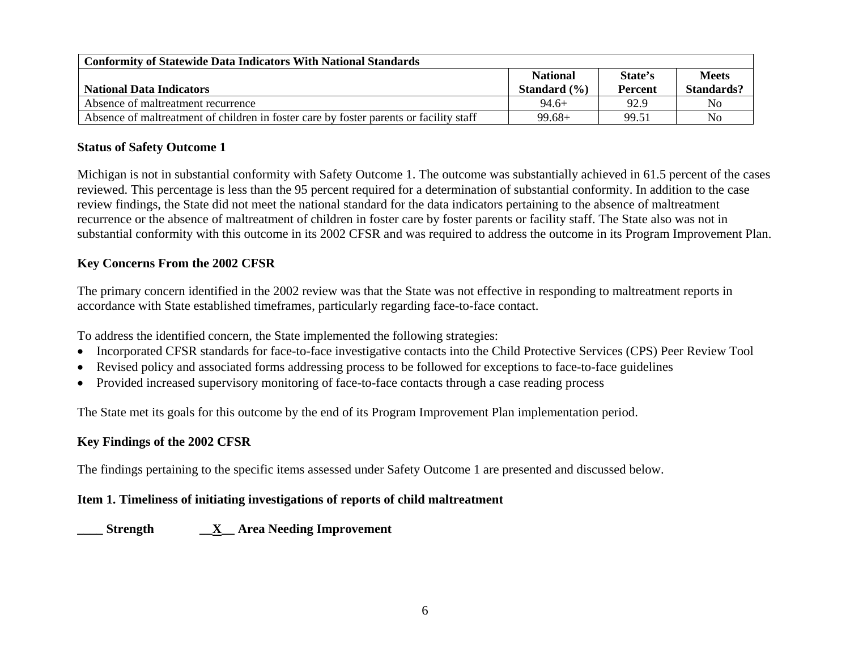| <b>Conformity of Statewide Data Indicators With National Standards</b>                 |                  |                |              |  |  |  |  |
|----------------------------------------------------------------------------------------|------------------|----------------|--------------|--|--|--|--|
|                                                                                        | <b>National</b>  | State's        | <b>Meets</b> |  |  |  |  |
| <b>National Data Indicators</b>                                                        | Standard $(\% )$ | <b>Percent</b> | Standards?   |  |  |  |  |
| Absence of maltreatment recurrence                                                     | $94.6+$          | 92.9           | No           |  |  |  |  |
| Absence of maltreatment of children in foster care by foster parents or facility staff | $99.68+$         | 99.51          | No           |  |  |  |  |

### **Status of Safety Outcome 1**

Michigan is not in substantial conformity with Safety Outcome 1. The outcome was substantially achieved in 61.5 percent of the cases reviewed. This percentage is less than the 95 percent required for a determination of substantial conformity. In addition to the case review findings, the State did not meet the national standard for the data indicators pertaining to the absence of maltreatment recurrence or the absence of maltreatment of children in foster care by foster parents or facility staff. The State also was not in substantial conformity with this outcome in its 2002 CFSR and was required to address the outcome in its Program Improvement Plan.

### **Key Concerns From the 2002 CFSR**

The primary concern identified in the 2002 review was that the State was not effective in responding to maltreatment reports in accordance with State established timeframes, particularly regarding face-to-face contact.

To address the identified concern, the State implemented the following strategies:

- Incorporated CFSR standards for face-to-face investigative contacts into the Child Protective Services (CPS) Peer Review Tool
- •Revised policy and associated forms addressing process to be followed for exceptions to face-to-face guidelines
- •Provided increased supervisory monitoring of face-to-face contacts through a case reading process

The State met its goals for this outcome by the end of its Program Improvement Plan implementation period.

### **Key Findings of the 2002 CFSR**

The findings pertaining to the specific items assessed under Safety Outcome 1 are presented and discussed below.

### **Item 1. Timeliness of initiating investigations of reports of child maltreatment**

**\_\_\_\_ Strength \_\_X\_\_ Area Needing Improvement**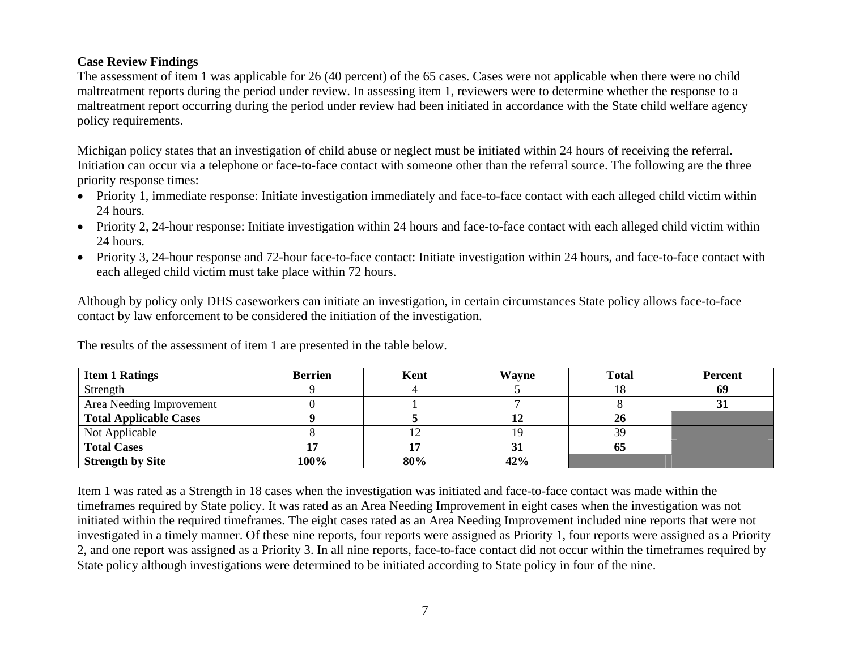## **Case Review Findings**

The assessment of item 1 was applicable for 26 (40 percent) of the 65 cases. Cases were not applicable when there were no child maltreatment reports during the period under review. In assessing item 1, reviewers were to determine whether the response to a maltreatment report occurring during the period under review had been initiated in accordance with the State child welfare agency policy requirements.

Michigan policy states that an investigation of child abuse or neglect must be initiated within 24 hours of receiving the referral. Initiation can occur via a telephone or face-to-face contact with someone other than the referral source. The following are the three priority response times:

- Priority 1, immediate response: Initiate investigation immediately and face-to-face contact with each alleged child victim within 24 hours.
- Priority 2, 24-hour response: Initiate investigation within 24 hours and face-to-face contact with each alleged child victim within 24 hours.
- Priority 3, 24-hour response and 72-hour face-to-face contact: Initiate investigation within 24 hours, and face-to-face contact with each alleged child victim must take place within 72 hours.

Although by policy only DHS caseworkers can initiate an investigation, in certain circumstances State policy allows face-to-face contact by law enforcement to be considered the initiation of the investigation.

| <b>Item 1 Ratings</b>    | <b>Berrien</b> | Kent | Wavne | <b>Total</b> | <b>Percent</b> |
|--------------------------|----------------|------|-------|--------------|----------------|
| Strength                 |                |      |       | 18           | 69             |
| Area Needing Improvement |                |      |       |              |                |
| Total Applicable Cases   |                |      |       | 26           |                |
| Not Applicable           |                | 12   |       | 39           |                |
| <b>Total Cases</b>       |                |      |       | 65           |                |
| <b>Strength by Site</b>  | 100%           | 80%  | 42%   |              |                |

The results of the assessment of item 1 are presented in the table below.

Item 1 was rated as a Strength in 18 cases when the investigation was initiated and face-to-face contact was made within the timeframes required by State policy. It was rated as an Area Needing Improvement in eight cases when the investigation was not initiated within the required timeframes. The eight cases rated as an Area Needing Improvement included nine reports that were not investigated in a timely manner. Of these nine reports, four reports were assigned as Priority 1, four reports were assigned as a Priority 2, and one report was assigned as a Priority 3. In all nine reports, face-to-face contact did not occur within the timeframes required by State policy although investigations were determined to be initiated according to State policy in four of the nine.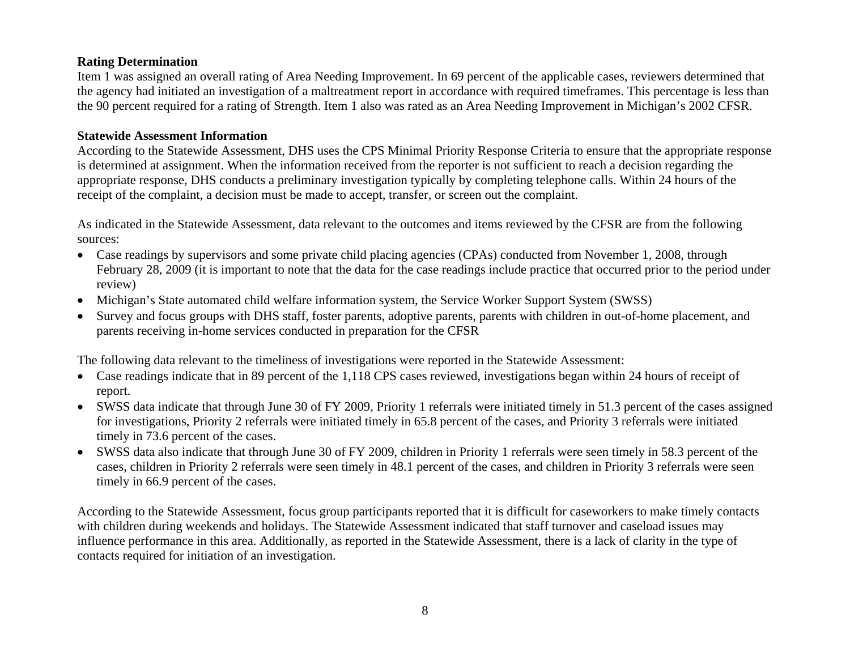### **Rating Determination**

Item 1 was assigned an overall rating of Area Needing Improvement. In 69 percent of the applicable cases, reviewers determined that the agency had initiated an investigation of a maltreatment report in accordance with required timeframes. This percentage is less than the 90 percent required for a rating of Strength. Item 1 also was rated as an Area Needing Improvement in Michigan's 2002 CFSR.

#### **Statewide Assessment Information**

According to the Statewide Assessment, DHS uses the CPS Minimal Priority Response Criteria to ensure that the appropriate response is determined at assignment. When the information received from the reporter is not sufficient to reach a decision regarding the appropriate response, DHS conducts a preliminary investigation typically by completing telephone calls. Within 24 hours of the receipt of the complaint, a decision must be made to accept, transfer, or screen out the complaint.

As indicated in the Statewide Assessment, data relevant to the outcomes and items reviewed by the CFSR are from the following sources:

- Case readings by supervisors and some private child placing agencies (CPAs) conducted from November 1, 2008, through February 28, 2009 (it is important to note that the data for the case readings include practice that occurred prior to the period under review)
- Michigan's State automated child welfare information system, the Service Worker Support System (SWSS)
- • Survey and focus groups with DHS staff, foster parents, adoptive parents, parents with children in out-of-home placement, and parents receiving in-home services conducted in preparation for the CFSR

The following data relevant to the timeliness of investigations were reported in the Statewide Assessment:

- Case readings indicate that in 89 percent of the 1,118 CPS cases reviewed, investigations began within 24 hours of receipt of report.
- SWSS data indicate that through June 30 of FY 2009, Priority 1 referrals were initiated timely in 51.3 percent of the cases assigned for investigations, Priority 2 referrals were initiated timely in 65.8 percent of the cases, and Priority 3 referrals were initiated timely in 73.6 percent of the cases.
- SWSS data also indicate that through June 30 of FY 2009, children in Priority 1 referrals were seen timely in 58.3 percent of the cases, children in Priority 2 referrals were seen timely in 48.1 percent of the cases, and children in Priority 3 referrals were seen timely in 66.9 percent of the cases.

According to the Statewide Assessment, focus group participants reported that it is difficult for caseworkers to make timely contacts with children during weekends and holidays. The Statewide Assessment indicated that staff turnover and caseload issues may influence performance in this area. Additionally, as reported in the Statewide Assessment, there is a lack of clarity in the type of contacts required for initiation of an investigation.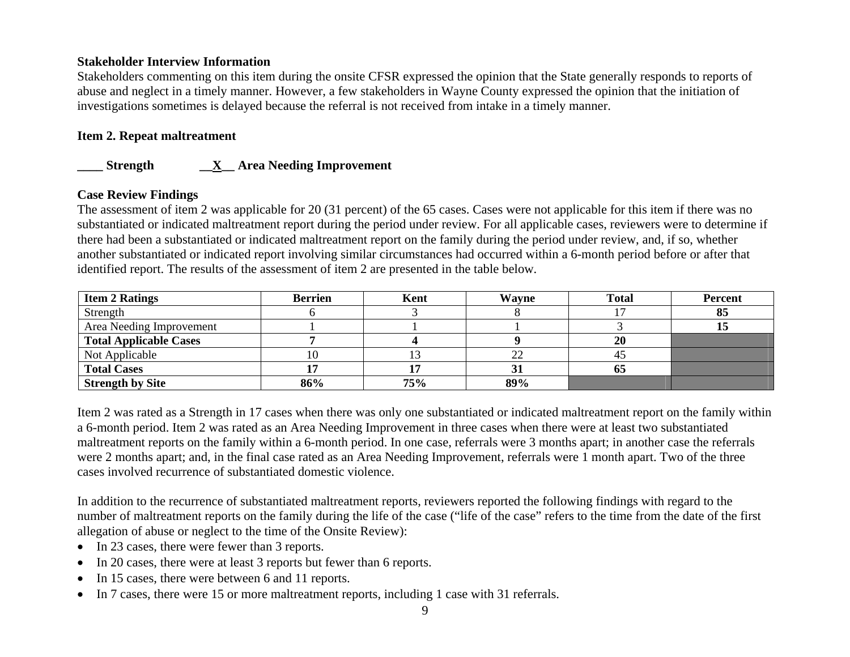### **Stakeholder Interview Information**

Stakeholders commenting on this item during the onsite CFSR expressed the opinion that the State generally responds to reports of abuse and neglect in a timely manner. However, a few stakeholders in Wayne County expressed the opinion that the initiation of investigations sometimes is delayed because the referral is not received from intake in a timely manner.

## **Item 2. Repeat maltreatment**

## **\_\_\_\_ Strength \_\_X\_\_ Area Needing Improvement**

### **Case Review Findings**

The assessment of item 2 was applicable for 20 (31 percent) of the 65 cases. Cases were not applicable for this item if there was no substantiated or indicated maltreatment report during the period under review. For all applicable cases, reviewers were to determine if there had been a substantiated or indicated maltreatment report on the family during the period under review, and, if so, whether another substantiated or indicated report involving similar circumstances had occurred within a 6-month period before or after that identified report. The results of the assessment of item 2 are presented in the table below.

| <b>Item 2 Ratings</b>         | <b>Berrien</b> | Kent | Wayne | <b>Total</b> | <b>Percent</b> |
|-------------------------------|----------------|------|-------|--------------|----------------|
| Strength                      |                |      |       |              | 85             |
| Area Needing Improvement      |                |      |       |              |                |
| <b>Total Applicable Cases</b> |                |      |       | 20           |                |
| Not Applicable                |                |      | ∠∠    | 45           |                |
| <b>Total Cases</b>            |                |      |       | 65           |                |
| <b>Strength by Site</b>       | 86%            | 75%  | 89%   |              |                |

Item 2 was rated as a Strength in 17 cases when there was only one substantiated or indicated maltreatment report on the family within a 6-month period. Item 2 was rated as an Area Needing Improvement in three cases when there were at least two substantiated maltreatment reports on the family within a 6-month period. In one case, referrals were 3 months apart; in another case the referrals were 2 months apart; and, in the final case rated as an Area Needing Improvement, referrals were 1 month apart. Two of the three cases involved recurrence of substantiated domestic violence.

In addition to the recurrence of substantiated maltreatment reports, reviewers reported the following findings with regard to the number of maltreatment reports on the family during the life of the case ("life of the case" refers to the time from the date of the first allegation of abuse or neglect to the time of the Onsite Review):

- In 23 cases, there were fewer than 3 reports.
- In 20 cases, there were at least 3 reports but fewer than 6 reports.
- •In 15 cases, there were between 6 and 11 reports.
- •In 7 cases, there were 15 or more maltreatment reports, including 1 case with 31 referrals.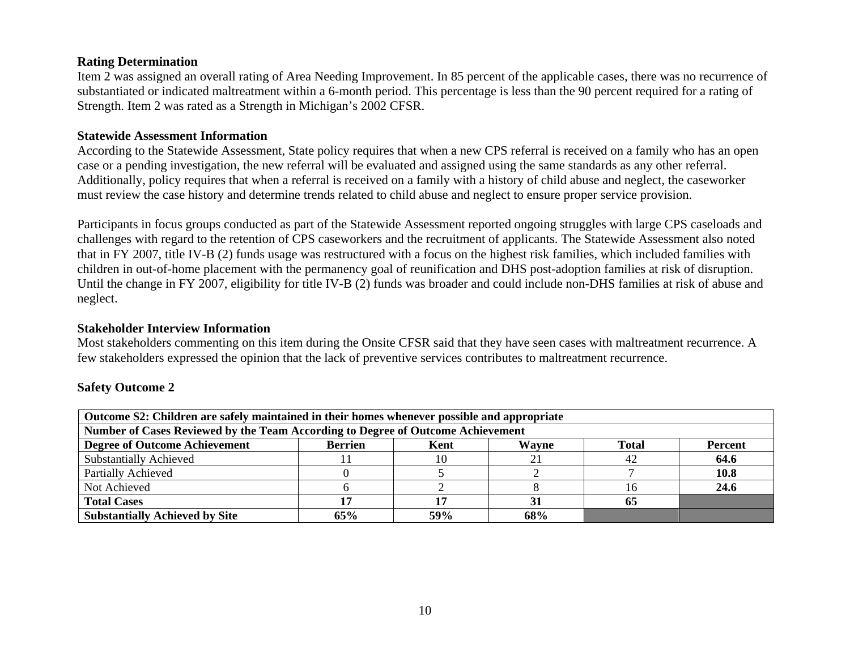#### **Rating Determination**

Item 2 was assigned an overall rating of Area Needing Improvement. In 85 percent of the applicable cases, there was no recurrence of substantiated or indicated maltreatment within a 6-month period. This percentage is less than the 90 percent required for a rating of Strength. Item 2 was rated as a Strength in Michigan's 2002 CFSR.

#### **Statewide Assessment Information**

According to the Statewide Assessment, State policy requires that when a new CPS referral is received on a family who has an open case or a pending investigation, the new referral will be evaluated and assigned using the same standards as any other referral. Additionally, policy requires that when a referral is received on a family with a history of child abuse and neglect, the caseworker must review the case history and determine trends related to child abuse and neglect to ensure proper service provision.

Participants in focus groups conducted as part of the Statewide Assessment reported ongoing struggles with large CPS caseloads and challenges with regard to the retention of CPS caseworkers and the recruitment of applicants. The Statewide Assessment also noted that in FY 2007, title IV-B (2) funds usage was restructured with a focus on the highest risk families, which included families with children in out-of-home placement with the permanency goal of reunification and DHS post-adoption families at risk of disruption. Until the change in FY 2007, eligibility for title IV-B (2) funds was broader and could include non-DHS families at risk of abuse and neglect.

#### **Stakeholder Interview Information**

Most stakeholders commenting on this item during the Onsite CFSR said that they have seen cases with maltreatment recurrence. A few stakeholders expressed the opinion that the lack of preventive services contributes to maltreatment recurrence.

### **Safety Outcome 2**

| Outcome S2: Children are safely maintained in their homes whenever possible and appropriate               |     |     |     |    |      |  |
|-----------------------------------------------------------------------------------------------------------|-----|-----|-----|----|------|--|
| Number of Cases Reviewed by the Team According to Degree of Outcome Achievement                           |     |     |     |    |      |  |
| <b>Degree of Outcome Achievement</b><br><b>Total</b><br>Wayne<br><b>Berrien</b><br><b>Percent</b><br>Kent |     |     |     |    |      |  |
| <b>Substantially Achieved</b>                                                                             |     |     |     | 42 | 64.6 |  |
| <b>Partially Achieved</b>                                                                                 |     |     |     |    | 10.8 |  |
| Not Achieved                                                                                              |     |     |     | 16 | 24.6 |  |
| <b>Total Cases</b>                                                                                        |     |     |     |    |      |  |
| <b>Substantially Achieved by Site</b>                                                                     | 65% | 59% | 68% |    |      |  |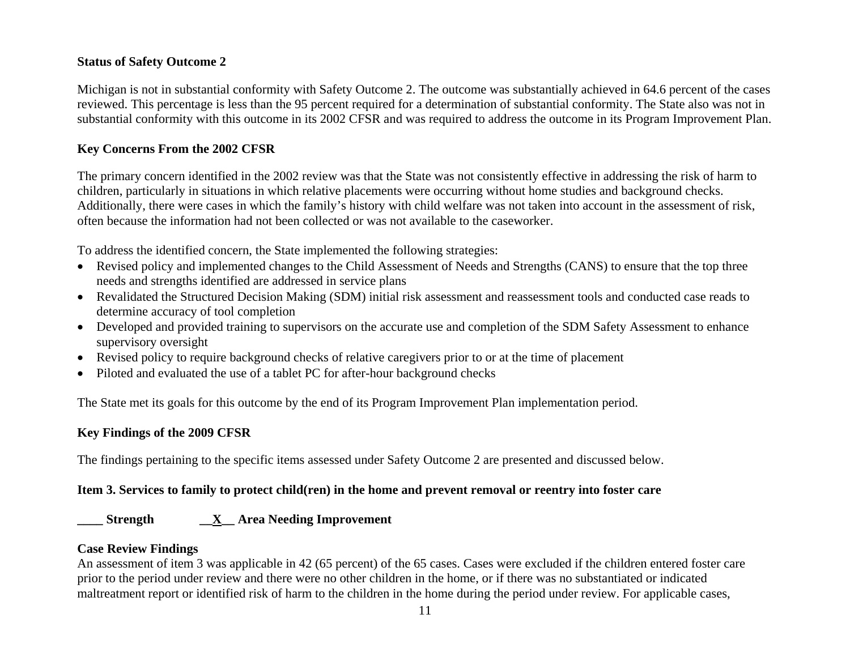### **Status of Safety Outcome 2**

Michigan is not in substantial conformity with Safety Outcome 2. The outcome was substantially achieved in 64.6 percent of the cases reviewed. This percentage is less than the 95 percent required for a determination of substantial conformity. The State also was not in substantial conformity with this outcome in its 2002 CFSR and was required to address the outcome in its Program Improvement Plan.

## **Key Concerns From the 2002 CFSR**

The primary concern identified in the 2002 review was that the State was not consistently effective in addressing the risk of harm to children, particularly in situations in which relative placements were occurring without home studies and background checks. Additionally, there were cases in which the family's history with child welfare was not taken into account in the assessment of risk, often because the information had not been collected or was not available to the caseworker.

To address the identified concern, the State implemented the following strategies:

- Revised policy and implemented changes to the Child Assessment of Needs and Strengths (CANS) to ensure that the top three needs and strengths identified are addressed in service plans
- Revalidated the Structured Decision Making (SDM) initial risk assessment and reassessment tools and conducted case reads to determine accuracy of tool completion
- Developed and provided training to supervisors on the accurate use and completion of the SDM Safety Assessment to enhance supervisory oversight
- Revised policy to require background checks of relative caregivers prior to or at the time of placement
- Piloted and evaluated the use of a tablet PC for after-hour background checks

The State met its goals for this outcome by the end of its Program Improvement Plan implementation period.

### **Key Findings of the 2009 CFSR**

The findings pertaining to the specific items assessed under Safety Outcome 2 are presented and discussed below.

### **Item 3. Services to family to protect child(ren) in the home and prevent removal or reentry into foster care**

## **\_\_\_\_ Strength \_\_X\_\_ Area Needing Improvement**

### **Case Review Findings**

An assessment of item 3 was applicable in 42 (65 percent) of the 65 cases. Cases were excluded if the children entered foster care prior to the period under review and there were no other children in the home, or if there was no substantiated or indicated maltreatment report or identified risk of harm to the children in the home during the period under review. For applicable cases,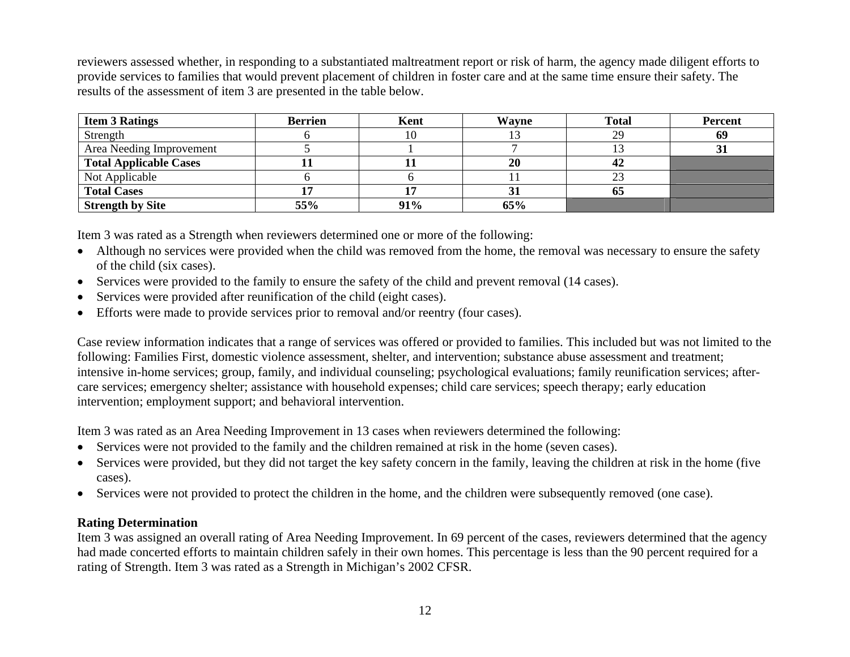reviewers assessed whether, in responding to a substantiated maltreatment report or risk of harm, the agency made diligent efforts to provide services to families that would prevent placement of children in foster care and at the same time ensure their safety. The results of the assessment of item 3 are presented in the table below.

| <b>Item 3 Ratings</b>         | <b>Berrien</b> | Kent | Wayne | <b>Total</b> | <b>Percent</b> |
|-------------------------------|----------------|------|-------|--------------|----------------|
| Strength                      |                | 10   |       | 29           | 69             |
| Area Needing Improvement      |                |      |       |              |                |
| <b>Total Applicable Cases</b> |                |      | 20    | 42           |                |
| Not Applicable                |                |      |       | 23           |                |
| <b>Total Cases</b>            |                |      |       | 65           |                |
| <b>Strength by Site</b>       | 55%            | 91%  | 65%   |              |                |

Item 3 was rated as a Strength when reviewers determined one or more of the following:

- Although no services were provided when the child was removed from the home, the removal was necessary to ensure the safety of the child (six cases).
- Services were provided to the family to ensure the safety of the child and prevent removal (14 cases).
- •Services were provided after reunification of the child (eight cases).
- •Efforts were made to provide services prior to removal and/or reentry (four cases).

Case review information indicates that a range of services was offered or provided to families. This included but was not limited to the following: Families First, domestic violence assessment, shelter, and intervention; substance abuse assessment and treatment; intensive in-home services; group, family, and individual counseling; psychological evaluations; family reunification services; aftercare services; emergency shelter; assistance with household expenses; child care services; speech therapy; early education intervention; employment support; and behavioral intervention.

Item 3 was rated as an Area Needing Improvement in 13 cases when reviewers determined the following:

- Services were not provided to the family and the children remained at risk in the home (seven cases).
- Services were provided, but they did not target the key safety concern in the family, leaving the children at risk in the home (five cases).
- Services were not provided to protect the children in the home, and the children were subsequently removed (one case).

### **Rating Determination**

Item 3 was assigned an overall rating of Area Needing Improvement. In 69 percent of the cases, reviewers determined that the agency had made concerted efforts to maintain children safely in their own homes. This percentage is less than the 90 percent required for a rating of Strength. Item 3 was rated as a Strength in Michigan's 2002 CFSR.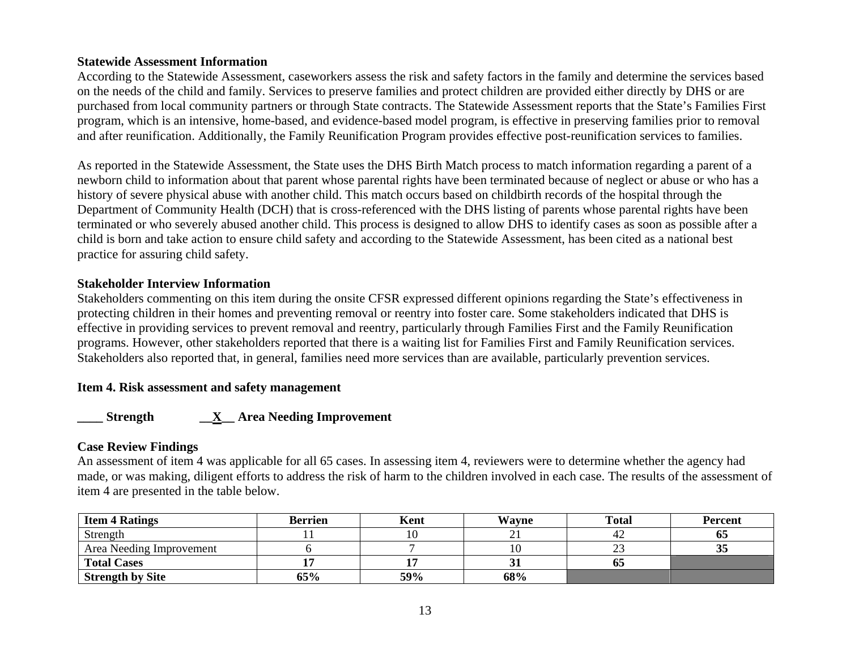### **Statewide Assessment Information**

According to the Statewide Assessment, caseworkers assess the risk and safety factors in the family and determine the services based on the needs of the child and family. Services to preserve families and protect children are provided either directly by DHS or are purchased from local community partners or through State contracts. The Statewide Assessment reports that the State's Families First program, which is an intensive, home-based, and evidence-based model program, is effective in preserving families prior to removal and after reunification. Additionally, the Family Reunification Program provides effective post-reunification services to families.

As reported in the Statewide Assessment, the State uses the DHS Birth Match process to match information regarding a parent of a newborn child to information about that parent whose parental rights have been terminated because of neglect or abuse or who has a history of severe physical abuse with another child. This match occurs based on childbirth records of the hospital through the Department of Community Health (DCH) that is cross-referenced with the DHS listing of parents whose parental rights have been terminated or who severely abused another child. This process is designed to allow DHS to identify cases as soon as possible after a child is born and take action to ensure child safety and according to the Statewide Assessment, has been cited as a national best practice for assuring child safety.

### **Stakeholder Interview Information**

Stakeholders commenting on this item during the onsite CFSR expressed different opinions regarding the State's effectiveness in protecting children in their homes and preventing removal or reentry into foster care. Some stakeholders indicated that DHS is effective in providing services to prevent removal and reentry, particularly through Families First and the Family Reunification programs. However, other stakeholders reported that there is a waiting list for Families First and Family Reunification services. Stakeholders also reported that, in general, families need more services than are available, particularly prevention services.

### **Item 4. Risk assessment and safety management**

### **\_\_\_\_ Strength \_\_X\_\_ Area Needing Improvement**

### **Case Review Findings**

An assessment of item 4 was applicable for all 65 cases. In assessing item 4, reviewers were to determine whether the agency had made, or was making, diligent efforts to address the risk of harm to the children involved in each case. The results of the assessment of item 4 are presented in the table below.

| <b>Item 4 Ratings</b>    | <b>Berrien</b> | Kent | Wavne | <b>Total</b> | <b>Percent</b> |
|--------------------------|----------------|------|-------|--------------|----------------|
| Strength                 |                |      |       |              |                |
| Area Needing Improvement |                |      |       |              |                |
| <b>Total Cases</b>       |                |      | ັ     | 65           |                |
| <b>Strength by Site</b>  | 65%            | 59%  | 68%   |              |                |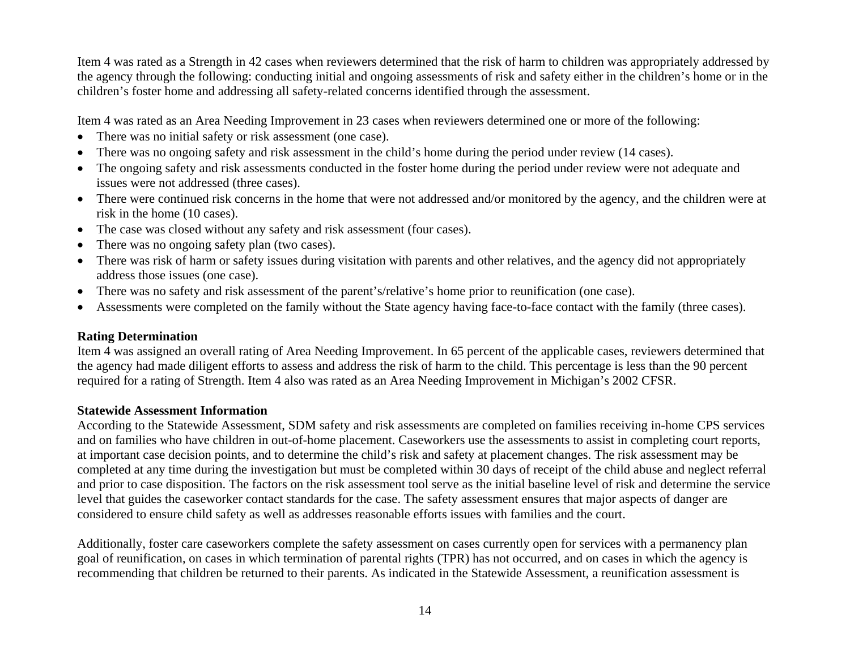Item 4 was rated as a Strength in 42 cases when reviewers determined that the risk of harm to children was appropriately addressed by the agency through the following: conducting initial and ongoing assessments of risk and safety either in the children's home or in the children's foster home and addressing all safety-related concerns identified through the assessment.

Item 4 was rated as an Area Needing Improvement in 23 cases when reviewers determined one or more of the following:

- There was no initial safety or risk assessment (one case).
- •There was no ongoing safety and risk assessment in the child's home during the period under review (14 cases).
- The ongoing safety and risk assessments conducted in the foster home during the period under review were not adequate and issues were not addressed (three cases).
- There were continued risk concerns in the home that were not addressed and/or monitored by the agency, and the children were at risk in the home (10 cases).
- The case was closed without any safety and risk assessment (four cases).
- There was no ongoing safety plan (two cases).
- There was risk of harm or safety issues during visitation with parents and other relatives, and the agency did not appropriately address those issues (one case).
- •There was no safety and risk assessment of the parent's/relative's home prior to reunification (one case).
- •Assessments were completed on the family without the State agency having face-to-face contact with the family (three cases).

## **Rating Determination**

Item 4 was assigned an overall rating of Area Needing Improvement. In 65 percent of the applicable cases, reviewers determined that the agency had made diligent efforts to assess and address the risk of harm to the child. This percentage is less than the 90 percent required for a rating of Strength. Item 4 also was rated as an Area Needing Improvement in Michigan's 2002 CFSR.

### **Statewide Assessment Information**

According to the Statewide Assessment, SDM safety and risk assessments are completed on families receiving in-home CPS services and on families who have children in out-of-home placement. Caseworkers use the assessments to assist in completing court reports, at important case decision points, and to determine the child's risk and safety at placement changes. The risk assessment may be completed at any time during the investigation but must be completed within 30 days of receipt of the child abuse and neglect referral and prior to case disposition. The factors on the risk assessment tool serve as the initial baseline level of risk and determine the service level that guides the caseworker contact standards for the case. The safety assessment ensures that major aspects of danger are considered to ensure child safety as well as addresses reasonable efforts issues with families and the court.

Additionally, foster care caseworkers complete the safety assessment on cases currently open for services with a permanency plan goal of reunification, on cases in which termination of parental rights (TPR) has not occurred, and on cases in which the agency is recommending that children be returned to their parents. As indicated in the Statewide Assessment, a reunification assessment is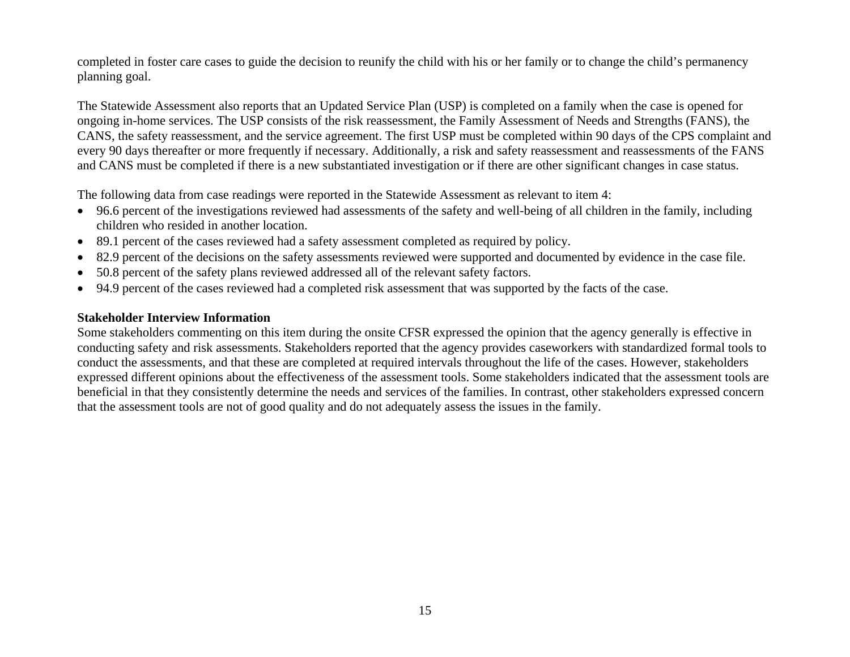completed in foster care cases to guide the decision to reunify the child with his or her family or to change the child's permanency planning goal.

The Statewide Assessment also reports that an Updated Service Plan (USP) is completed on a family when the case is opened for ongoing in-home services. The USP consists of the risk reassessment, the Family Assessment of Needs and Strengths (FANS), the CANS, the safety reassessment, and the service agreement. The first USP must be completed within 90 days of the CPS complaint and every 90 days thereafter or more frequently if necessary. Additionally, a risk and safety reassessment and reassessments of the FANS and CANS must be completed if there is a new substantiated investigation or if there are other significant changes in case status.

The following data from case readings were reported in the Statewide Assessment as relevant to item 4:

- 96.6 percent of the investigations reviewed had assessments of the safety and well-being of all children in the family, including children who resided in another location.
- 89.1 percent of the cases reviewed had a safety assessment completed as required by policy.
- •82.9 percent of the decisions on the safety assessments reviewed were supported and documented by evidence in the case file.
- •50.8 percent of the safety plans reviewed addressed all of the relevant safety factors.
- 94.9 percent of the cases reviewed had a completed risk assessment that was supported by the facts of the case.

### **Stakeholder Interview Information**

Some stakeholders commenting on this item during the onsite CFSR expressed the opinion that the agency generally is effective in conducting safety and risk assessments. Stakeholders reported that the agency provides caseworkers with standardized formal tools to conduct the assessments, and that these are completed at required intervals throughout the life of the cases. However, stakeholders expressed different opinions about the effectiveness of the assessment tools. Some stakeholders indicated that the assessment tools are beneficial in that they consistently determine the needs and services of the families. In contrast, other stakeholders expressed concern that the assessment tools are not of good quality and do not adequately assess the issues in the family.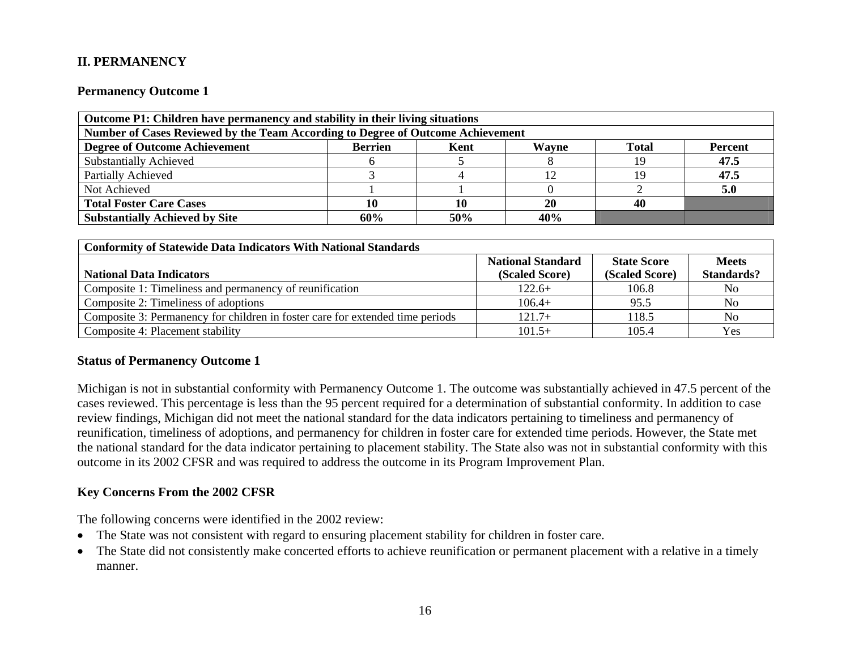## **II. PERMANENCY**

#### **Permanency Outcome 1**

| Outcome P1: Children have permanency and stability in their living situations                             |     |     |           |    |      |  |
|-----------------------------------------------------------------------------------------------------------|-----|-----|-----------|----|------|--|
| Number of Cases Reviewed by the Team According to Degree of Outcome Achievement                           |     |     |           |    |      |  |
| <b>Degree of Outcome Achievement</b><br><b>Berrien</b><br><b>Total</b><br>Wavne<br>Kent<br><b>Percent</b> |     |     |           |    |      |  |
| <b>Substantially Achieved</b>                                                                             |     |     |           | 19 | 47.5 |  |
| Partially Achieved                                                                                        |     |     |           |    | 47.5 |  |
| Not Achieved                                                                                              |     |     |           |    | 5.0  |  |
| <b>Total Foster Care Cases</b>                                                                            |     |     | <b>20</b> | 40 |      |  |
| <b>Substantially Achieved by Site</b>                                                                     | 60% | 50% | 40%       |    |      |  |

| <b>Conformity of Statewide Data Indicators With National Standards</b>        |                          |                    |                   |
|-------------------------------------------------------------------------------|--------------------------|--------------------|-------------------|
|                                                                               | <b>National Standard</b> | <b>State Score</b> | <b>Meets</b>      |
| <b>National Data Indicators</b>                                               | (Scaled Score)           | (Scaled Score)     | <b>Standards?</b> |
| Composite 1: Timeliness and permanency of reunification                       | $122.6+$                 | 106.8              | No.               |
| Composite 2: Timeliness of adoptions                                          | $106.4+$                 | 95.5               | N <sub>o</sub>    |
| Composite 3: Permanency for children in foster care for extended time periods | $121.7+$                 | 118.5              | No                |
| Composite 4: Placement stability                                              | $101.5+$                 | 105.4              | Yes               |

#### **Status of Permanency Outcome 1**

Michigan is not in substantial conformity with Permanency Outcome 1. The outcome was substantially achieved in 47.5 percent of the cases reviewed. This percentage is less than the 95 percent required for a determination of substantial conformity. In addition to case review findings, Michigan did not meet the national standard for the data indicators pertaining to timeliness and permanency of reunification, timeliness of adoptions, and permanency for children in foster care for extended time periods. However, the State met the national standard for the data indicator pertaining to placement stability. The State also was not in substantial conformity with this outcome in its 2002 CFSR and was required to address the outcome in its Program Improvement Plan.

### **Key Concerns From the 2002 CFSR**

The following concerns were identified in the 2002 review:

- The State was not consistent with regard to ensuring placement stability for children in foster care.
- The State did not consistently make concerted efforts to achieve reunification or permanent placement with a relative in a timely manner.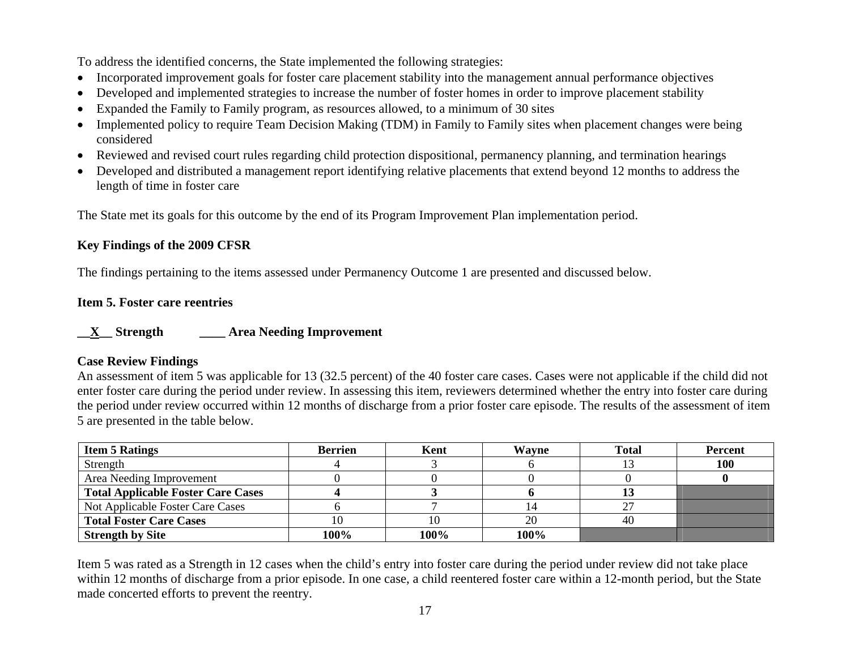To address the identified concerns, the State implemented the following strategies:

- Incorporated improvement goals for foster care placement stability into the management annual performance objectives
- •Developed and implemented strategies to increase the number of foster homes in order to improve placement stability
- •Expanded the Family to Family program, as resources allowed, to a minimum of 30 sites
- Implemented policy to require Team Decision Making (TDM) in Family to Family sites when placement changes were being considered
- Reviewed and revised court rules regarding child protection dispositional, permanency planning, and termination hearings
- Developed and distributed a management report identifying relative placements that extend beyond 12 months to address the length of time in foster care

The State met its goals for this outcome by the end of its Program Improvement Plan implementation period.

## **Key Findings of the 2009 CFSR**

The findings pertaining to the items assessed under Permanency Outcome 1 are presented and discussed below.

## **Item 5. Foster care reentries**

## **\_\_X\_\_ Strength \_\_\_\_ Area Needing Improvement**

### **Case Review Findings**

An assessment of item 5 was applicable for 13 (32.5 percent) of the 40 foster care cases. Cases were not applicable if the child did not enter foster care during the period under review. In assessing this item, reviewers determined whether the entry into foster care during the period under review occurred within 12 months of discharge from a prior foster care episode. The results of the assessment of item 5 are presented in the table below.

| <b>Item 5 Ratings</b>                     | Berrien | Kent | Wayne | <b>Total</b> | <b>Percent</b> |
|-------------------------------------------|---------|------|-------|--------------|----------------|
| Strength                                  |         |      |       |              | 100            |
| Area Needing Improvement                  |         |      |       |              |                |
| <b>Total Applicable Foster Care Cases</b> |         |      |       |              |                |
| Not Applicable Foster Care Cases          |         |      |       |              |                |
| <b>Total Foster Care Cases</b>            |         | 10   | 20    | 40           |                |
| <b>Strength by Site</b>                   | 100%    | 100% | 100%  |              |                |

Item 5 was rated as a Strength in 12 cases when the child's entry into foster care during the period under review did not take place within 12 months of discharge from a prior episode. In one case, a child reentered foster care within a 12-month period, but the State made concerted efforts to prevent the reentry.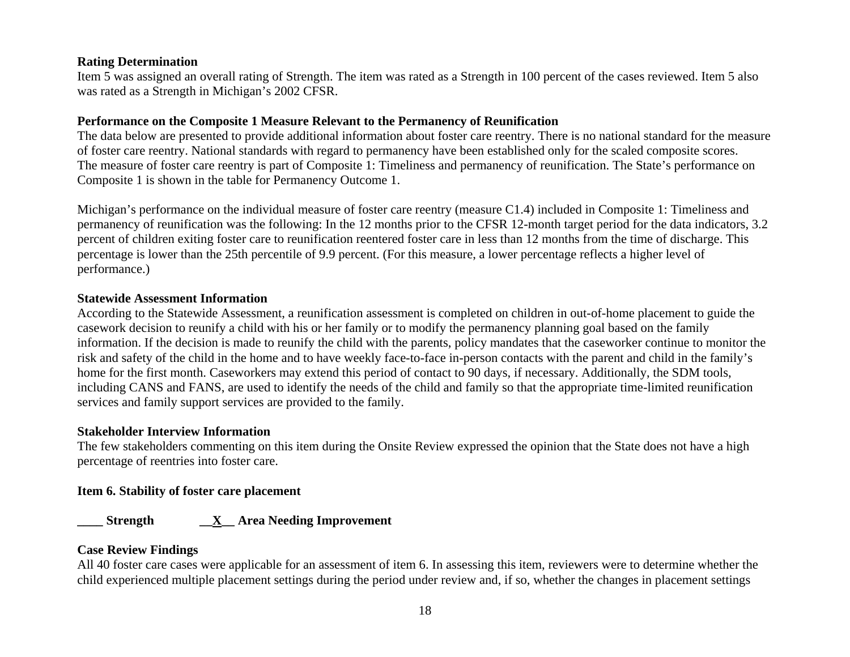### **Rating Determination**

Item 5 was assigned an overall rating of Strength. The item was rated as a Strength in 100 percent of the cases reviewed. Item 5 also was rated as a Strength in Michigan's 2002 CFSR.

### **Performance on the Composite 1 Measure Relevant to the Permanency of Reunification**

The data below are presented to provide additional information about foster care reentry. There is no national standard for the measure of foster care reentry. National standards with regard to permanency have been established only for the scaled composite scores. The measure of foster care reentry is part of Composite 1: Timeliness and permanency of reunification. The State's performance on Composite 1 is shown in the table for Permanency Outcome 1.

Michigan's performance on the individual measure of foster care reentry (measure C1.4) included in Composite 1: Timeliness and permanency of reunification was the following: In the 12 months prior to the CFSR 12-month target period for the data indicators, 3.2 percent of children exiting foster care to reunification reentered foster care in less than 12 months from the time of discharge. This percentage is lower than the 25th percentile of 9.9 percent. (For this measure, a lower percentage reflects a higher level of performance.)

### **Statewide Assessment Information**

According to the Statewide Assessment, a reunification assessment is completed on children in out-of-home placement to guide the casework decision to reunify a child with his or her family or to modify the permanency planning goal based on the family information. If the decision is made to reunify the child with the parents, policy mandates that the caseworker continue to monitor the risk and safety of the child in the home and to have weekly face-to-face in-person contacts with the parent and child in the family's home for the first month. Caseworkers may extend this period of contact to 90 days, if necessary. Additionally, the SDM tools, including CANS and FANS, are used to identify the needs of the child and family so that the appropriate time-limited reunification services and family support services are provided to the family.

### **Stakeholder Interview Information**

The few stakeholders commenting on this item during the Onsite Review expressed the opinion that the State does not have a high percentage of reentries into foster care.

### **Item 6. Stability of foster care placement**

## **\_\_\_\_ Strength \_\_X\_\_ Area Needing Improvement**

### **Case Review Findings**

All 40 foster care cases were applicable for an assessment of item 6. In assessing this item, reviewers were to determine whether the child experienced multiple placement settings during the period under review and, if so, whether the changes in placement settings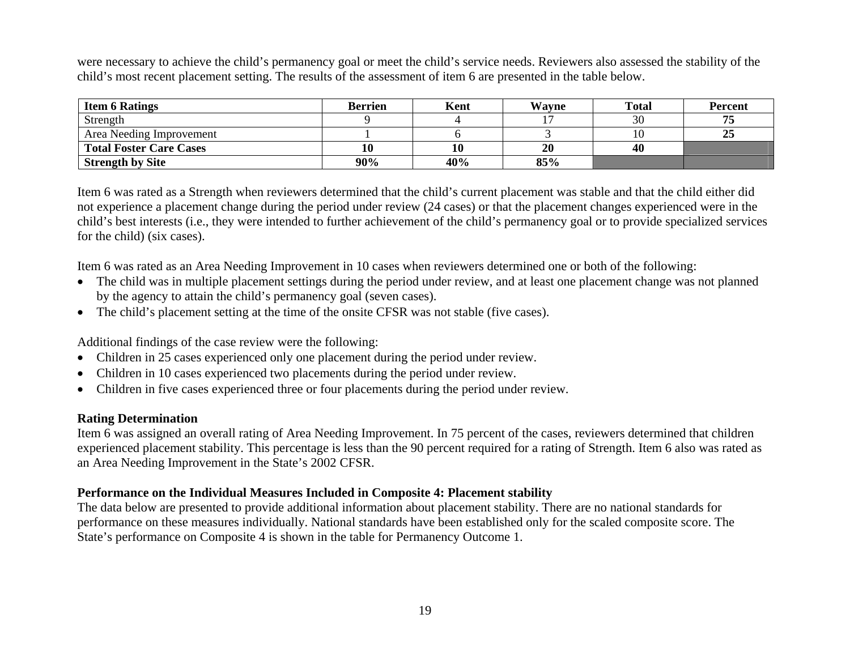were necessary to achieve the child's permanency goal or meet the child's service needs. Reviewers also assessed the stability of the child's most recent placement setting. The results of the assessment of item 6 are presented in the table below.

| <b>Item 6 Ratings</b>          | <b>Berrien</b> | Kent | <b>Wayne</b> | <b>Total</b> | <b>Percent</b> |
|--------------------------------|----------------|------|--------------|--------------|----------------|
| Strength                       |                |      |              | 30           |                |
| Area Needing Improvement       |                |      |              |              | 25             |
| <b>Total Foster Care Cases</b> | πv             | 10   | 20           | 40           |                |
| <b>Strength by Site</b>        | 90%            | 40%  | 85%          |              |                |

Item 6 was rated as a Strength when reviewers determined that the child's current placement was stable and that the child either did not experience a placement change during the period under review (24 cases) or that the placement changes experienced were in the child's best interests (i.e., they were intended to further achievement of the child's permanency goal or to provide specialized services for the child) (six cases).

Item 6 was rated as an Area Needing Improvement in 10 cases when reviewers determined one or both of the following:

- The child was in multiple placement settings during the period under review, and at least one placement change was not planned by the agency to attain the child's permanency goal (seven cases).
- The child's placement setting at the time of the onsite CFSR was not stable (five cases).

Additional findings of the case review were the following:

- Children in 25 cases experienced only one placement during the period under review.
- Children in 10 cases experienced two placements during the period under review.
- Children in five cases experienced three or four placements during the period under review.

### **Rating Determination**

Item 6 was assigned an overall rating of Area Needing Improvement. In 75 percent of the cases, reviewers determined that children experienced placement stability. This percentage is less than the 90 percent required for a rating of Strength. Item 6 also was rated as an Area Needing Improvement in the State's 2002 CFSR.

### **Performance on the Individual Measures Included in Composite 4: Placement stability**

The data below are presented to provide additional information about placement stability. There are no national standards for performance on these measures individually. National standards have been established only for the scaled composite score. The State's performance on Composite 4 is shown in the table for Permanency Outcome 1.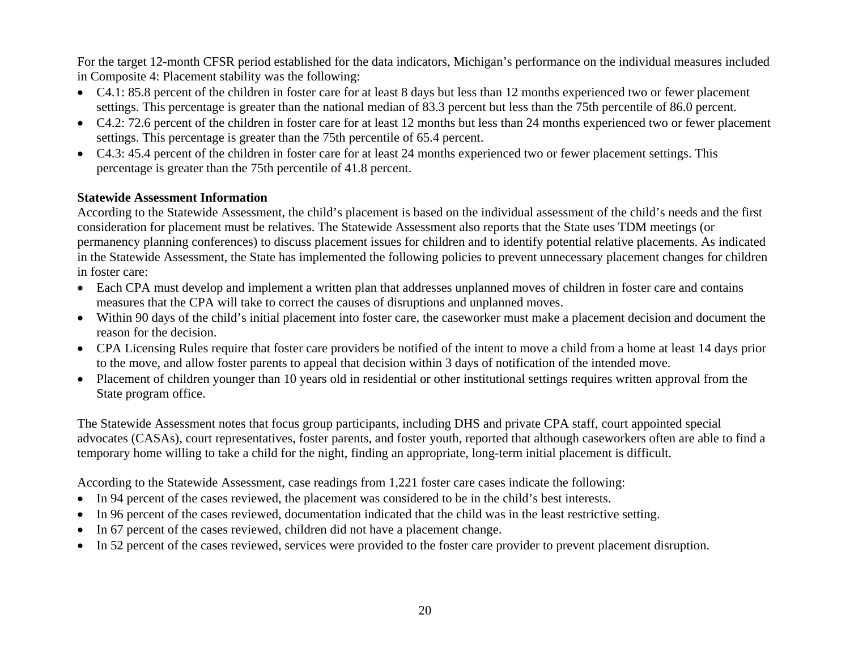For the target 12-month CFSR period established for the data indicators, Michigan's performance on the individual measures included in Composite 4: Placement stability was the following:

- C4.1: 85.8 percent of the children in foster care for at least 8 days but less than 12 months experienced two or fewer placement settings. This percentage is greater than the national median of 83.3 percent but less than the 75th percentile of 86.0 percent.
- C4.2: 72.6 percent of the children in foster care for at least 12 months but less than 24 months experienced two or fewer placement settings. This percentage is greater than the 75th percentile of 65.4 percent.
- C4.3: 45.4 percent of the children in foster care for at least 24 months experienced two or fewer placement settings. This percentage is greater than the 75th percentile of 41.8 percent.

### **Statewide Assessment Information**

According to the Statewide Assessment, the child's placement is based on the individual assessment of the child's needs and the first consideration for placement must be relatives. The Statewide Assessment also reports that the State uses TDM meetings (or permanency planning conferences) to discuss placement issues for children and to identify potential relative placements. As indicated in the Statewide Assessment, the State has implemented the following policies to prevent unnecessary placement changes for children in foster care:

- Each CPA must develop and implement a written plan that addresses unplanned moves of children in foster care and contains measures that the CPA will take to correct the causes of disruptions and unplanned moves.
- Within 90 days of the child's initial placement into foster care, the caseworker must make a placement decision and document the reason for the decision.
- CPA Licensing Rules require that foster care providers be notified of the intent to move a child from a home at least 14 days prior to the move, and allow foster parents to appeal that decision within 3 days of notification of the intended move.
- Placement of children younger than 10 years old in residential or other institutional settings requires written approval from the State program office.

The Statewide Assessment notes that focus group participants, including DHS and private CPA staff, court appointed special advocates (CASAs), court representatives, foster parents, and foster youth, reported that although caseworkers often are able to find a temporary home willing to take a child for the night, finding an appropriate, long-term initial placement is difficult.

According to the Statewide Assessment, case readings from 1,221 foster care cases indicate the following:

- In 94 percent of the cases reviewed, the placement was considered to be in the child's best interests.
- In 96 percent of the cases reviewed, documentation indicated that the child was in the least restrictive setting.
- •In 67 percent of the cases reviewed, children did not have a placement change.
- •In 52 percent of the cases reviewed, services were provided to the foster care provider to prevent placement disruption.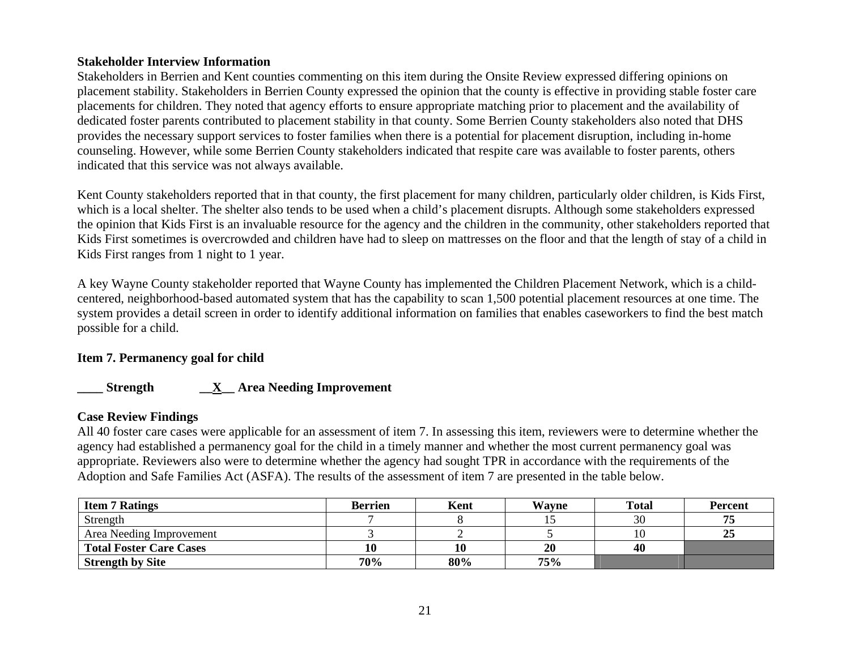### **Stakeholder Interview Information**

Stakeholders in Berrien and Kent counties commenting on this item during the Onsite Review expressed differing opinions on placement stability. Stakeholders in Berrien County expressed the opinion that the county is effective in providing stable foster care placements for children. They noted that agency efforts to ensure appropriate matching prior to placement and the availability of dedicated foster parents contributed to placement stability in that county. Some Berrien County stakeholders also noted that DHS provides the necessary support services to foster families when there is a potential for placement disruption, including in-home counseling. However, while some Berrien County stakeholders indicated that respite care was available to foster parents, others indicated that this service was not always available.

Kent County stakeholders reported that in that county, the first placement for many children, particularly older children, is Kids First, which is a local shelter. The shelter also tends to be used when a child's placement disrupts. Although some stakeholders expressed the opinion that Kids First is an invaluable resource for the agency and the children in the community, other stakeholders reported that Kids First sometimes is overcrowded and children have had to sleep on mattresses on the floor and that the length of stay of a child in Kids First ranges from 1 night to 1 year.

A key Wayne County stakeholder reported that Wayne County has implemented the Children Placement Network, which is a childcentered, neighborhood-based automated system that has the capability to scan 1,500 potential placement resources at one time. The system provides a detail screen in order to identify additional information on families that enables caseworkers to find the best match possible for a child.

### **Item 7. Permanency goal for child**

### **\_\_\_\_ Strength \_\_X\_\_ Area Needing Improvement**

### **Case Review Findings**

All 40 foster care cases were applicable for an assessment of item 7. In assessing this item, reviewers were to determine whether the agency had established a permanency goal for the child in a timely manner and whether the most current permanency goal was appropriate. Reviewers also were to determine whether the agency had sought TPR in accordance with the requirements of the Adoption and Safe Families Act (ASFA). The results of the assessment of item 7 are presented in the table below.

| <b>Item 7 Ratings</b>          | <b>Berrien</b> | Kent | Wayne | <b>Total</b> | <b>Percent</b> |
|--------------------------------|----------------|------|-------|--------------|----------------|
| Strength                       |                |      |       | 30           | 75             |
| Area Needing Improvement       |                |      |       |              | 25             |
| <b>Total Foster Care Cases</b> |                |      | 20    | 40           |                |
| <b>Strength by Site</b>        | 70%            | 80%  | 75%   |              |                |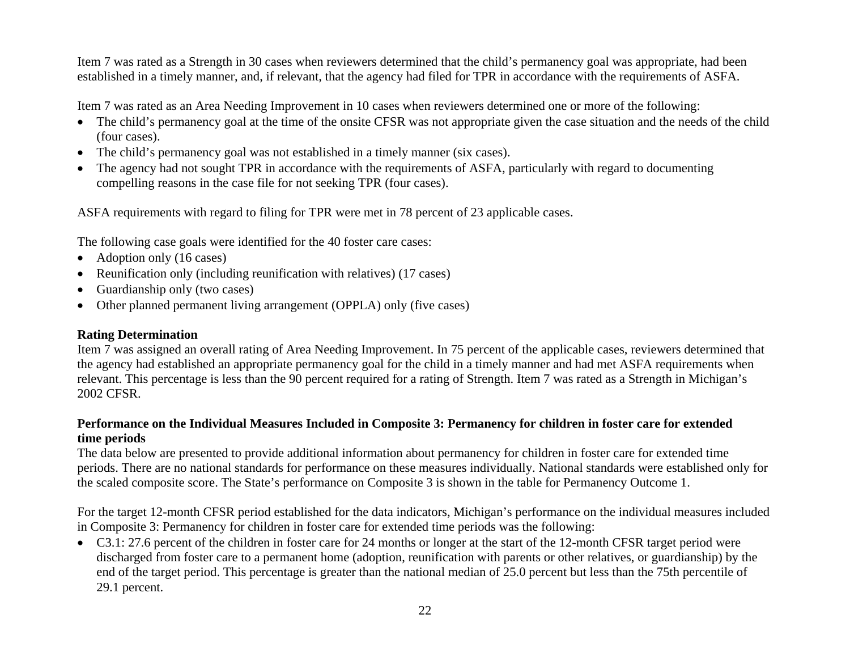Item 7 was rated as a Strength in 30 cases when reviewers determined that the child's permanency goal was appropriate, had been established in a timely manner, and, if relevant, that the agency had filed for TPR in accordance with the requirements of ASFA.

Item 7 was rated as an Area Needing Improvement in 10 cases when reviewers determined one or more of the following:

- The child's permanency goal at the time of the onsite CFSR was not appropriate given the case situation and the needs of the child (four cases).
- The child's permanency goal was not established in a timely manner (six cases).
- • The agency had not sought TPR in accordance with the requirements of ASFA, particularly with regard to documenting compelling reasons in the case file for not seeking TPR (four cases).

ASFA requirements with regard to filing for TPR were met in 78 percent of 23 applicable cases.

The following case goals were identified for the 40 foster care cases:

- Adoption only (16 cases)
- Reunification only (including reunification with relatives) (17 cases)
- •Guardianship only (two cases)
- Other planned permanent living arrangement (OPPLA) only (five cases)

### **Rating Determination**

Item 7 was assigned an overall rating of Area Needing Improvement. In 75 percent of the applicable cases, reviewers determined that the agency had established an appropriate permanency goal for the child in a timely manner and had met ASFA requirements when relevant. This percentage is less than the 90 percent required for a rating of Strength. Item 7 was rated as a Strength in Michigan's 2002 CFSR.

### **Performance on the Individual Measures Included in Composite 3: Permanency for children in foster care for extended time periods**

The data below are presented to provide additional information about permanency for children in foster care for extended time periods. There are no national standards for performance on these measures individually. National standards were established only for the scaled composite score. The State's performance on Composite 3 is shown in the table for Permanency Outcome 1.

For the target 12-month CFSR period established for the data indicators, Michigan's performance on the individual measures included in Composite 3: Permanency for children in foster care for extended time periods was the following:

• C3.1: 27.6 percent of the children in foster care for 24 months or longer at the start of the 12-month CFSR target period were discharged from foster care to a permanent home (adoption, reunification with parents or other relatives, or guardianship) by the end of the target period. This percentage is greater than the national median of 25.0 percent but less than the 75th percentile of 29.1 percent.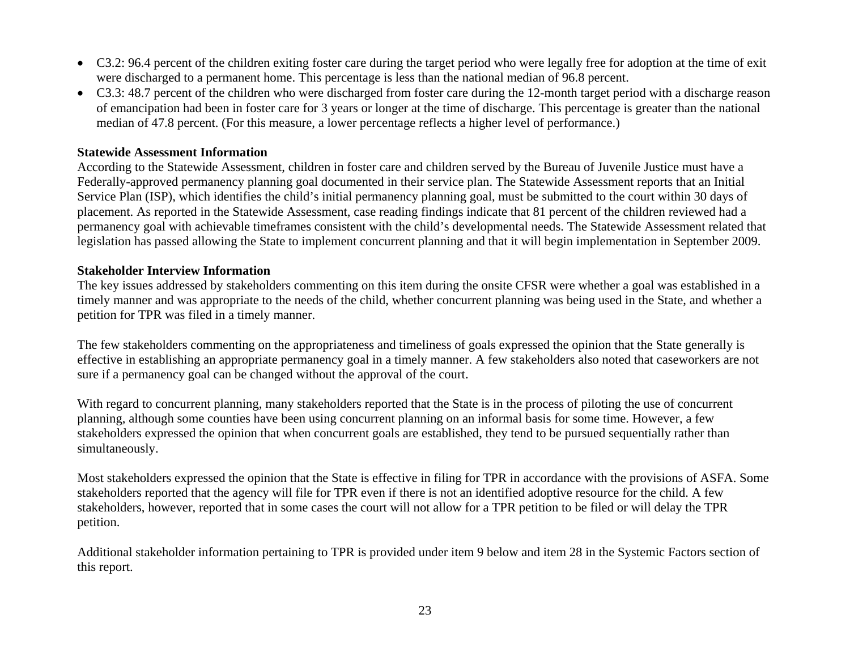- C3.2: 96.4 percent of the children exiting foster care during the target period who were legally free for adoption at the time of exit were discharged to a permanent home. This percentage is less than the national median of 96.8 percent.
- C3.3: 48.7 percent of the children who were discharged from foster care during the 12-month target period with a discharge reason of emancipation had been in foster care for 3 years or longer at the time of discharge. This percentage is greater than the national median of 47.8 percent. (For this measure, a lower percentage reflects a higher level of performance.)

#### **Statewide Assessment Information**

According to the Statewide Assessment, children in foster care and children served by the Bureau of Juvenile Justice must have a Federally-approved permanency planning goal documented in their service plan. The Statewide Assessment reports that an Initial Service Plan (ISP), which identifies the child's initial permanency planning goal, must be submitted to the court within 30 days of placement. As reported in the Statewide Assessment, case reading findings indicate that 81 percent of the children reviewed had a permanency goal with achievable timeframes consistent with the child's developmental needs. The Statewide Assessment related that legislation has passed allowing the State to implement concurrent planning and that it will begin implementation in September 2009.

### **Stakeholder Interview Information**

The key issues addressed by stakeholders commenting on this item during the onsite CFSR were whether a goal was established in a timely manner and was appropriate to the needs of the child, whether concurrent planning was being used in the State, and whether a petition for TPR was filed in a timely manner.

The few stakeholders commenting on the appropriateness and timeliness of goals expressed the opinion that the State generally is effective in establishing an appropriate permanency goal in a timely manner. A few stakeholders also noted that caseworkers are not sure if a permanency goal can be changed without the approval of the court.

With regard to concurrent planning, many stakeholders reported that the State is in the process of piloting the use of concurrent planning, although some counties have been using concurrent planning on an informal basis for some time. However, a few stakeholders expressed the opinion that when concurrent goals are established, they tend to be pursued sequentially rather than simultaneously.

Most stakeholders expressed the opinion that the State is effective in filing for TPR in accordance with the provisions of ASFA. Some stakeholders reported that the agency will file for TPR even if there is not an identified adoptive resource for the child. A few stakeholders, however, reported that in some cases the court will not allow for a TPR petition to be filed or will delay the TPR petition.

Additional stakeholder information pertaining to TPR is provided under item 9 below and item 28 in the Systemic Factors section of this report.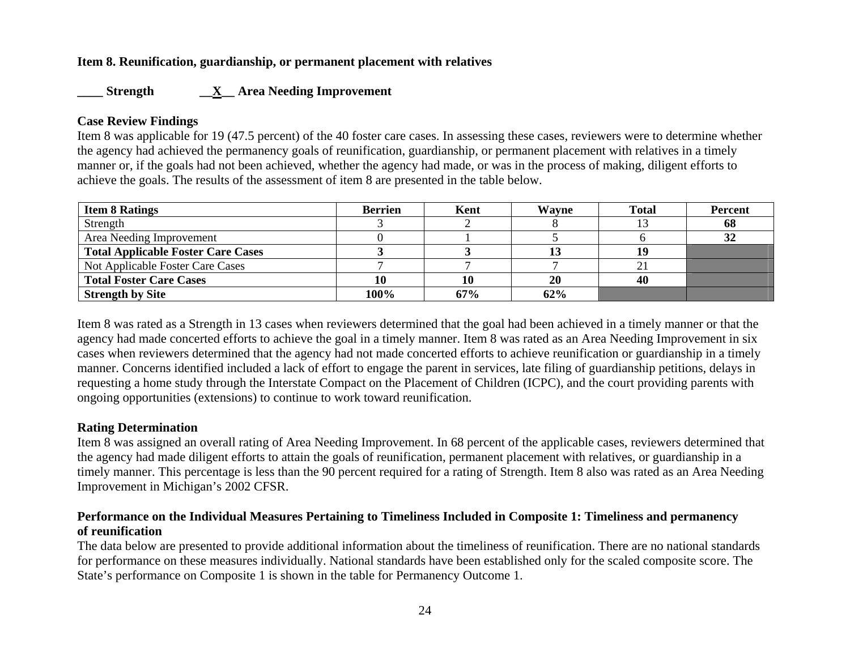### **Item 8. Reunification, guardianship, or permanent placement with relatives**

### **\_\_\_\_ Strength \_\_X\_\_ Area Needing Improvement**

### **Case Review Findings**

Item 8 was applicable for 19 (47.5 percent) of the 40 foster care cases. In assessing these cases, reviewers were to determine whether the agency had achieved the permanency goals of reunification, guardianship, or permanent placement with relatives in a timely manner or, if the goals had not been achieved, whether the agency had made, or was in the process of making, diligent efforts to achieve the goals. The results of the assessment of item 8 are presented in the table below.

| <b>Item 8 Ratings</b>                     | <b>Berrien</b> | Kent | Wavne | <b>Total</b> | <b>Percent</b> |
|-------------------------------------------|----------------|------|-------|--------------|----------------|
| Strength                                  |                |      |       |              | 68             |
| Area Needing Improvement                  |                |      |       |              | 32             |
| <b>Total Applicable Foster Care Cases</b> |                |      |       | 19           |                |
| Not Applicable Foster Care Cases          |                |      |       | $\angle$     |                |
| <b>Total Foster Care Cases</b>            | 10             | 10   | 20    | 40           |                |
| <b>Strength by Site</b>                   | 100%           | 67%  | 62%   |              |                |

Item 8 was rated as a Strength in 13 cases when reviewers determined that the goal had been achieved in a timely manner or that the agency had made concerted efforts to achieve the goal in a timely manner. Item 8 was rated as an Area Needing Improvement in six cases when reviewers determined that the agency had not made concerted efforts to achieve reunification or guardianship in a timely manner. Concerns identified included a lack of effort to engage the parent in services, late filing of guardianship petitions, delays in requesting a home study through the Interstate Compact on the Placement of Children (ICPC), and the court providing parents with ongoing opportunities (extensions) to continue to work toward reunification.

### **Rating Determination**

Item 8 was assigned an overall rating of Area Needing Improvement. In 68 percent of the applicable cases, reviewers determined that the agency had made diligent efforts to attain the goals of reunification, permanent placement with relatives, or guardianship in a timely manner. This percentage is less than the 90 percent required for a rating of Strength. Item 8 also was rated as an Area Needing Improvement in Michigan's 2002 CFSR.

### **Performance on the Individual Measures Pertaining to Timeliness Included in Composite 1: Timeliness and permanency of reunification**

The data below are presented to provide additional information about the timeliness of reunification. There are no national standards for performance on these measures individually. National standards have been established only for the scaled composite score. The State's performance on Composite 1 is shown in the table for Permanency Outcome 1.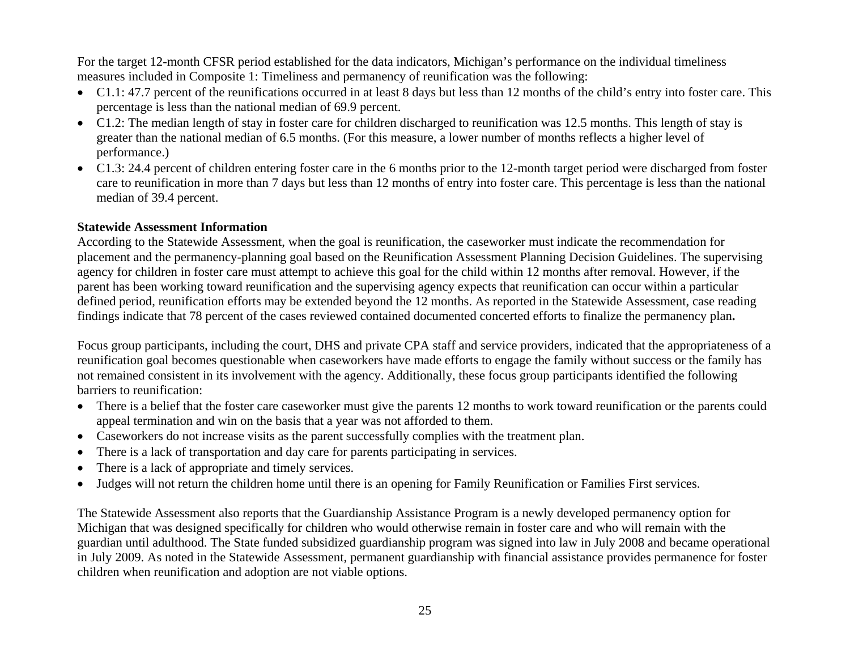For the target 12-month CFSR period established for the data indicators, Michigan's performance on the individual timeliness measures included in Composite 1: Timeliness and permanency of reunification was the following:

- C1.1: 47.7 percent of the reunifications occurred in at least 8 days but less than 12 months of the child's entry into foster care. This percentage is less than the national median of 69.9 percent.
- C1.2: The median length of stay in foster care for children discharged to reunification was 12.5 months. This length of stay is greater than the national median of 6.5 months. (For this measure, a lower number of months reflects a higher level of performance.)
- C1.3: 24.4 percent of children entering foster care in the 6 months prior to the 12-month target period were discharged from foster care to reunification in more than 7 days but less than 12 months of entry into foster care. This percentage is less than the national median of 39.4 percent.

### **Statewide Assessment Information**

According to the Statewide Assessment, when the goal is reunification, the caseworker must indicate the recommendation for placement and the permanency-planning goal based on the Reunification Assessment Planning Decision Guidelines. The supervising agency for children in foster care must attempt to achieve this goal for the child within 12 months after removal. However, if the parent has been working toward reunification and the supervising agency expects that reunification can occur within a particular defined period, reunification efforts may be extended beyond the 12 months. As reported in the Statewide Assessment, case reading findings indicate that 78 percent of the cases reviewed contained documented concerted efforts to finalize the permanency plan**.**

Focus group participants, including the court, DHS and private CPA staff and service providers, indicated that the appropriateness of a reunification goal becomes questionable when caseworkers have made efforts to engage the family without success or the family has not remained consistent in its involvement with the agency. Additionally, these focus group participants identified the following barriers to reunification:

- There is a belief that the foster care caseworker must give the parents 12 months to work toward reunification or the parents could appeal termination and win on the basis that a year was not afforded to them.
- Caseworkers do not increase visits as the parent successfully complies with the treatment plan.
- •There is a lack of transportation and day care for parents participating in services.
- •There is a lack of appropriate and timely services.
- •Judges will not return the children home until there is an opening for Family Reunification or Families First services.

The Statewide Assessment also reports that the Guardianship Assistance Program is a newly developed permanency option for Michigan that was designed specifically for children who would otherwise remain in foster care and who will remain with the guardian until adulthood. The State funded subsidized guardianship program was signed into law in July 2008 and became operational in July 2009. As noted in the Statewide Assessment, permanent guardianship with financial assistance provides permanence for foster children when reunification and adoption are not viable options.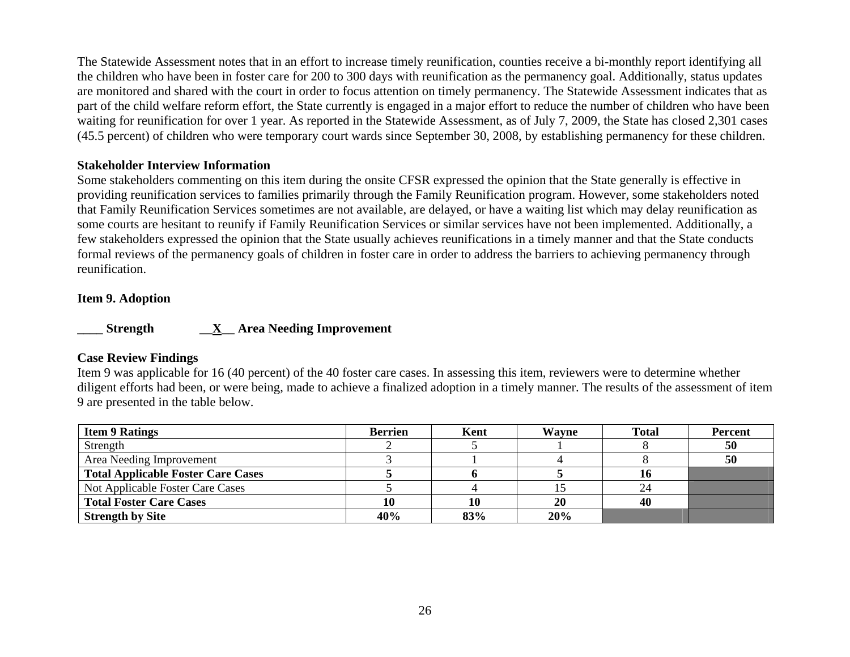The Statewide Assessment notes that in an effort to increase timely reunification, counties receive a bi-monthly report identifying all the children who have been in foster care for 200 to 300 days with reunification as the permanency goal. Additionally, status updates are monitored and shared with the court in order to focus attention on timely permanency. The Statewide Assessment indicates that as part of the child welfare reform effort, the State currently is engaged in a major effort to reduce the number of children who have been waiting for reunification for over 1 year. As reported in the Statewide Assessment, as of July 7, 2009, the State has closed 2,301 cases (45.5 percent) of children who were temporary court wards since September 30, 2008, by establishing permanency for these children.

#### **Stakeholder Interview Information**

Some stakeholders commenting on this item during the onsite CFSR expressed the opinion that the State generally is effective in providing reunification services to families primarily through the Family Reunification program. However, some stakeholders noted that Family Reunification Services sometimes are not available, are delayed, or have a waiting list which may delay reunification as some courts are hesitant to reunify if Family Reunification Services or similar services have not been implemented. Additionally, a few stakeholders expressed the opinion that the State usually achieves reunifications in a timely manner and that the State conducts formal reviews of the permanency goals of children in foster care in order to address the barriers to achieving permanency through reunification.

#### **Item 9. Adoption**

**\_\_\_\_ Strength \_\_X\_\_ Area Needing Improvement** 

### **Case Review Findings**

Item 9 was applicable for 16 (40 percent) of the 40 foster care cases. In assessing this item, reviewers were to determine whether diligent efforts had been, or were being, made to achieve a finalized adoption in a timely manner. The results of the assessment of item 9 are presented in the table below.

| <b>Item 9 Ratings</b>                     | <b>Berrien</b> | Kent | Wavne | <b>Total</b> | <b>Percent</b> |
|-------------------------------------------|----------------|------|-------|--------------|----------------|
| Strength                                  |                |      |       |              | 50             |
| Area Needing Improvement                  |                |      |       |              | 50             |
| <b>Total Applicable Foster Care Cases</b> |                |      |       |              |                |
| Not Applicable Foster Care Cases          |                |      |       |              |                |
| <b>Total Foster Care Cases</b>            |                | 10   | 20    | 40           |                |
| <b>Strength by Site</b>                   | 40%            | 83%  | 20%   |              |                |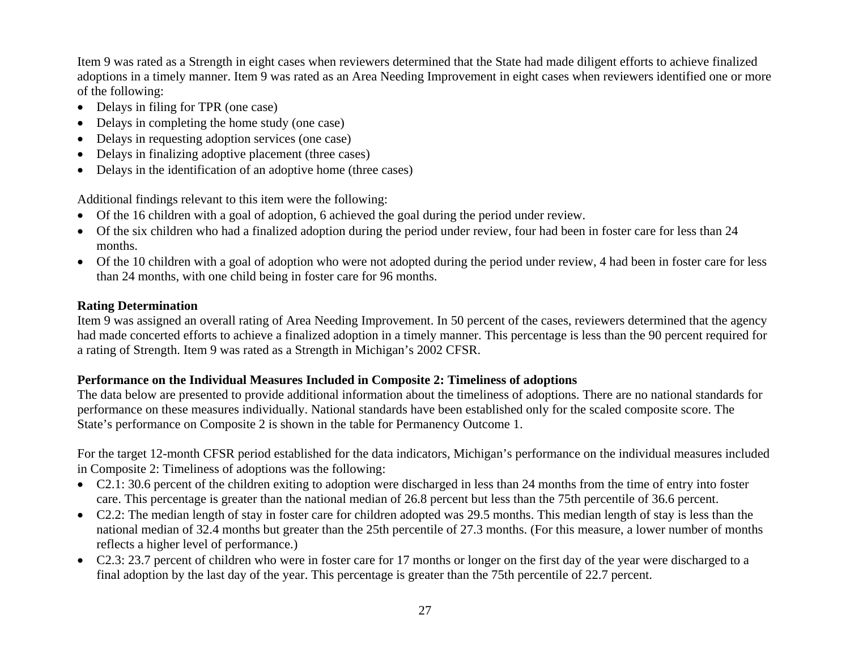Item 9 was rated as a Strength in eight cases when reviewers determined that the State had made diligent efforts to achieve finalized adoptions in a timely manner. Item 9 was rated as an Area Needing Improvement in eight cases when reviewers identified one or more of the following:

- Delays in filing for TPR (one case)
- Delays in completing the home study (one case)
- •Delays in requesting adoption services (one case)
- •Delays in finalizing adoptive placement (three cases)
- •Delays in the identification of an adoptive home (three cases)

Additional findings relevant to this item were the following:

- Of the 16 children with a goal of adoption, 6 achieved the goal during the period under review.
- Of the six children who had a finalized adoption during the period under review, four had been in foster care for less than 24 months.
- Of the 10 children with a goal of adoption who were not adopted during the period under review, 4 had been in foster care for less than 24 months, with one child being in foster care for 96 months.

## **Rating Determination**

Item 9 was assigned an overall rating of Area Needing Improvement. In 50 percent of the cases, reviewers determined that the agency had made concerted efforts to achieve a finalized adoption in a timely manner. This percentage is less than the 90 percent required for a rating of Strength. Item 9 was rated as a Strength in Michigan's 2002 CFSR.

## **Performance on the Individual Measures Included in Composite 2: Timeliness of adoptions**

The data below are presented to provide additional information about the timeliness of adoptions. There are no national standards for performance on these measures individually. National standards have been established only for the scaled composite score. The State's performance on Composite 2 is shown in the table for Permanency Outcome 1.

For the target 12-month CFSR period established for the data indicators, Michigan's performance on the individual measures included in Composite 2: Timeliness of adoptions was the following:

- C2.1: 30.6 percent of the children exiting to adoption were discharged in less than 24 months from the time of entry into foster care. This percentage is greater than the national median of 26.8 percent but less than the 75th percentile of 36.6 percent.
- C2.2: The median length of stay in foster care for children adopted was 29.5 months. This median length of stay is less than the national median of 32.4 months but greater than the 25th percentile of 27.3 months. (For this measure, a lower number of months reflects a higher level of performance.)
- C2.3: 23.7 percent of children who were in foster care for 17 months or longer on the first day of the year were discharged to a final adoption by the last day of the year. This percentage is greater than the 75th percentile of 22.7 percent.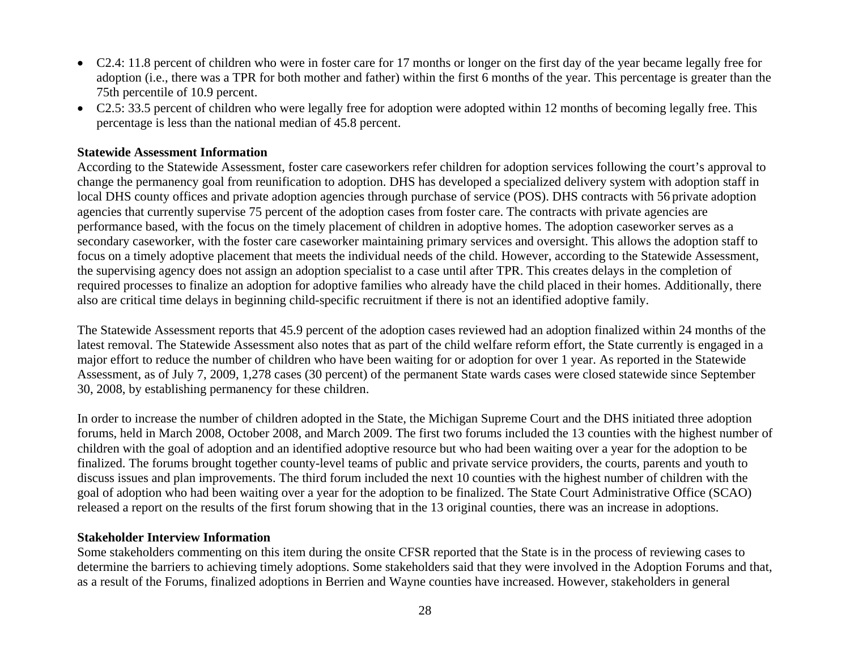- C2.4: 11.8 percent of children who were in foster care for 17 months or longer on the first day of the year became legally free for adoption (i.e., there was a TPR for both mother and father) within the first 6 months of the year. This percentage is greater than the 75th percentile of 10.9 percent.
- C2.5: 33.5 percent of children who were legally free for adoption were adopted within 12 months of becoming legally free. This percentage is less than the national median of 45.8 percent.

#### **Statewide Assessment Information**

According to the Statewide Assessment, foster care caseworkers refer children for adoption services following the court's approval to change the permanency goal from reunification to adoption. DHS has developed a specialized delivery system with adoption staff in local DHS county offices and private adoption agencies through purchase of service (POS). DHS contracts with 56 private adoption agencies that currently supervise 75 percent of the adoption cases from foster care. The contracts with private agencies are performance based, with the focus on the timely placement of children in adoptive homes. The adoption caseworker serves as a secondary caseworker, with the foster care caseworker maintaining primary services and oversight. This allows the adoption staff to focus on a timely adoptive placement that meets the individual needs of the child. However, according to the Statewide Assessment, the supervising agency does not assign an adoption specialist to a case until after TPR. This creates delays in the completion of required processes to finalize an adoption for adoptive families who already have the child placed in their homes. Additionally, there also are critical time delays in beginning child-specific recruitment if there is not an identified adoptive family.

The Statewide Assessment reports that 45.9 percent of the adoption cases reviewed had an adoption finalized within 24 months of the latest removal. The Statewide Assessment also notes that as part of the child welfare reform effort, the State currently is engaged in a major effort to reduce the number of children who have been waiting for or adoption for over 1 year. As reported in the Statewide Assessment, as of July 7, 2009, 1,278 cases (30 percent) of the permanent State wards cases were closed statewide since September 30, 2008, by establishing permanency for these children.

In order to increase the number of children adopted in the State, the Michigan Supreme Court and the DHS initiated three adoption forums, held in March 2008, October 2008, and March 2009. The first two forums included the 13 counties with the highest number of children with the goal of adoption and an identified adoptive resource but who had been waiting over a year for the adoption to be finalized. The forums brought together county-level teams of public and private service providers, the courts, parents and youth to discuss issues and plan improvements. The third forum included the next 10 counties with the highest number of children with the goal of adoption who had been waiting over a year for the adoption to be finalized. The State Court Administrative Office (SCAO) released a report on the results of the first forum showing that in the 13 original counties, there was an increase in adoptions.

#### **Stakeholder Interview Information**

Some stakeholders commenting on this item during the onsite CFSR reported that the State is in the process of reviewing cases to determine the barriers to achieving timely adoptions. Some stakeholders said that they were involved in the Adoption Forums and that, as a result of the Forums, finalized adoptions in Berrien and Wayne counties have increased. However, stakeholders in general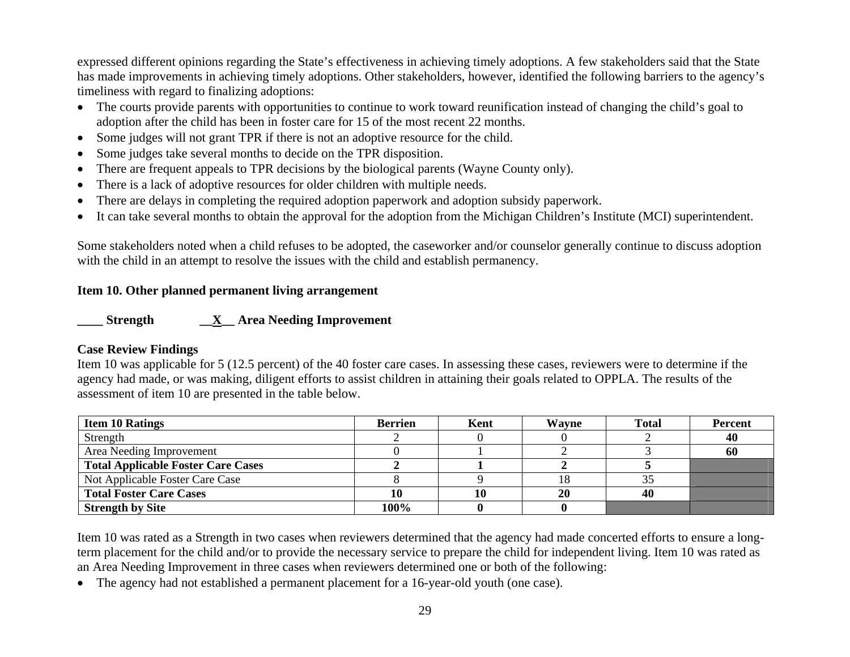expressed different opinions regarding the State's effectiveness in achieving timely adoptions. A few stakeholders said that the State has made improvements in achieving timely adoptions. Other stakeholders, however, identified the following barriers to the agency's timeliness with regard to finalizing adoptions:

- The courts provide parents with opportunities to continue to work toward reunification instead of changing the child's goal to adoption after the child has been in foster care for 15 of the most recent 22 months.
- Some judges will not grant TPR if there is not an adoptive resource for the child.
- •Some judges take several months to decide on the TPR disposition.
- •There are frequent appeals to TPR decisions by the biological parents (Wayne County only).
- •There is a lack of adoptive resources for older children with multiple needs.
- •There are delays in completing the required adoption paperwork and adoption subsidy paperwork.
- •It can take several months to obtain the approval for the adoption from the Michigan Children's Institute (MCI) superintendent.

Some stakeholders noted when a child refuses to be adopted, the caseworker and/or counselor generally continue to discuss adoption with the child in an attempt to resolve the issues with the child and establish permanency.

## **Item 10. Other planned permanent living arrangement**

**\_\_\_\_ Strength \_\_X\_\_ Area Needing Improvement** 

## **Case Review Findings**

Item 10 was applicable for 5 (12.5 percent) of the 40 foster care cases. In assessing these cases, reviewers were to determine if the agency had made, or was making, diligent efforts to assist children in attaining their goals related to OPPLA. The results of the assessment of item 10 are presented in the table below.

| <b>Item 10 Ratings</b>                    | <b>Berrien</b> | Kent | Wavne | <b>Total</b> | <b>Percent</b> |
|-------------------------------------------|----------------|------|-------|--------------|----------------|
| Strength                                  |                |      |       |              | 40             |
| Area Needing Improvement                  |                |      |       |              | 60             |
| <b>Total Applicable Foster Care Cases</b> |                |      |       |              |                |
| Not Applicable Foster Care Case           |                |      | 18    |              |                |
| <b>Total Foster Care Cases</b>            | 10             |      | 20    | 40           |                |
| <b>Strength by Site</b>                   | 100%           |      |       |              |                |

Item 10 was rated as a Strength in two cases when reviewers determined that the agency had made concerted efforts to ensure a longterm placement for the child and/or to provide the necessary service to prepare the child for independent living. Item 10 was rated as an Area Needing Improvement in three cases when reviewers determined one or both of the following:

• The agency had not established a permanent placement for a 16-year-old youth (one case).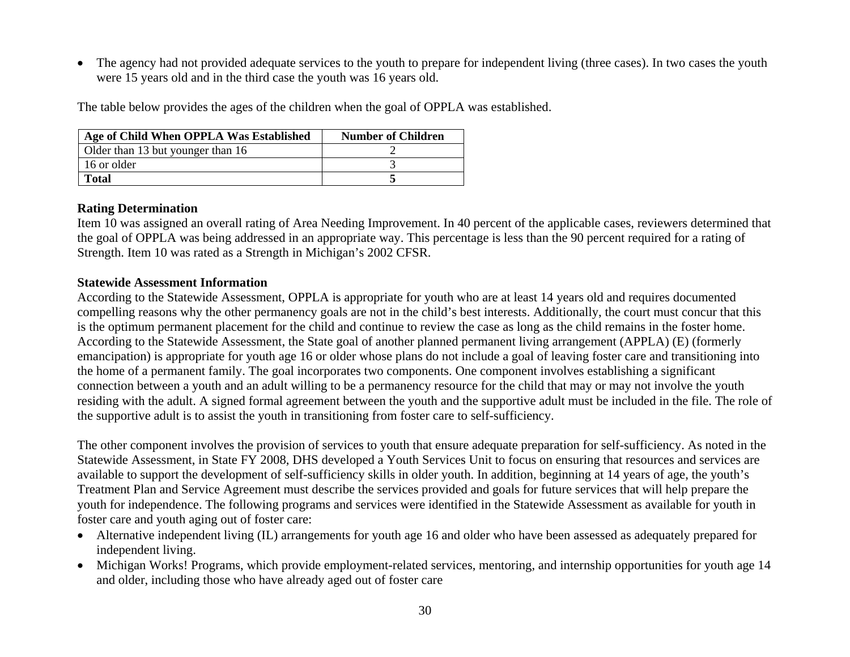• The agency had not provided adequate services to the youth to prepare for independent living (three cases). In two cases the youth were 15 years old and in the third case the youth was 16 years old.

The table below provides the ages of the children when the goal of OPPLA was established.

| Age of Child When OPPLA Was Established | <b>Number of Children</b> |
|-----------------------------------------|---------------------------|
| Older than 13 but younger than 16       |                           |
| 16 or older                             |                           |
| <b>Total</b>                            |                           |

### **Rating Determination**

Item 10 was assigned an overall rating of Area Needing Improvement. In 40 percent of the applicable cases, reviewers determined that the goal of OPPLA was being addressed in an appropriate way. This percentage is less than the 90 percent required for a rating of Strength. Item 10 was rated as a Strength in Michigan's 2002 CFSR.

### **Statewide Assessment Information**

According to the Statewide Assessment, OPPLA is appropriate for youth who are at least 14 years old and requires documented compelling reasons why the other permanency goals are not in the child's best interests. Additionally, the court must concur that this is the optimum permanent placement for the child and continue to review the case as long as the child remains in the foster home. According to the Statewide Assessment, the State goal of another planned permanent living arrangement (APPLA) (E) (formerly emancipation) is appropriate for youth age 16 or older whose plans do not include a goal of leaving foster care and transitioning into the home of a permanent family. The goal incorporates two components. One component involves establishing a significant connection between a youth and an adult willing to be a permanency resource for the child that may or may not involve the youth residing with the adult. A signed formal agreement between the youth and the supportive adult must be included in the file. The role of the supportive adult is to assist the youth in transitioning from foster care to self-sufficiency.

The other component involves the provision of services to youth that ensure adequate preparation for self-sufficiency. As noted in the Statewide Assessment, in State FY 2008, DHS developed a Youth Services Unit to focus on ensuring that resources and services are available to support the development of self-sufficiency skills in older youth. In addition, beginning at 14 years of age, the youth's Treatment Plan and Service Agreement must describe the services provided and goals for future services that will help prepare the youth for independence. The following programs and services were identified in the Statewide Assessment as available for youth in foster care and youth aging out of foster care:

- Alternative independent living (IL) arrangements for youth age 16 and older who have been assessed as adequately prepared for independent living.
- Michigan Works! Programs, which provide employment-related services, mentoring, and internship opportunities for youth age 14 and older, including those who have already aged out of foster care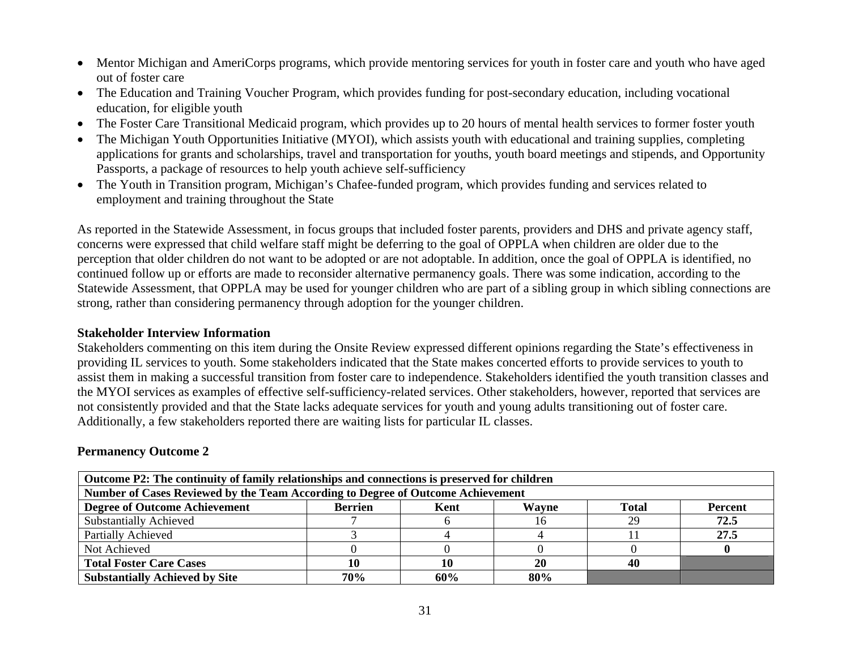- Mentor Michigan and AmeriCorps programs, which provide mentoring services for youth in foster care and youth who have aged out of foster care
- The Education and Training Voucher Program, which provides funding for post-secondary education, including vocational education, for eligible youth
- •The Foster Care Transitional Medicaid program, which provides up to 20 hours of mental health services to former foster youth
- • The Michigan Youth Opportunities Initiative (MYOI), which assists youth with educational and training supplies, completing applications for grants and scholarships, travel and transportation for youths, youth board meetings and stipends, and Opportunity Passports, a package of resources to help youth achieve self-sufficiency
- The Youth in Transition program, Michigan's Chafee-funded program, which provides funding and services related to employment and training throughout the State

As reported in the Statewide Assessment, in focus groups that included foster parents, providers and DHS and private agency staff, concerns were expressed that child welfare staff might be deferring to the goal of OPPLA when children are older due to the perception that older children do not want to be adopted or are not adoptable. In addition, once the goal of OPPLA is identified, no continued follow up or efforts are made to reconsider alternative permanency goals. There was some indication, according to the Statewide Assessment, that OPPLA may be used for younger children who are part of a sibling group in which sibling connections are strong, rather than considering permanency through adoption for the younger children.

#### **Stakeholder Interview Information**

Stakeholders commenting on this item during the Onsite Review expressed different opinions regarding the State's effectiveness in providing IL services to youth. Some stakeholders indicated that the State makes concerted efforts to provide services to youth to assist them in making a successful transition from foster care to independence. Stakeholders identified the youth transition classes and the MYOI services as examples of effective self-sufficiency-related services. Other stakeholders, however, reported that services are not consistently provided and that the State lacks adequate services for youth and young adults transitioning out of foster care. Additionally, a few stakeholders reported there are waiting lists for particular IL classes.

### **Permanency Outcome 2**

| Outcome P2: The continuity of family relationships and connections is preserved for children       |     |     |     |    |      |  |  |  |
|----------------------------------------------------------------------------------------------------|-----|-----|-----|----|------|--|--|--|
| Number of Cases Reviewed by the Team According to Degree of Outcome Achievement                    |     |     |     |    |      |  |  |  |
| <b>Degree of Outcome Achievement</b><br>Wayne<br>Total<br><b>Percent</b><br><b>Berrien</b><br>Kent |     |     |     |    |      |  |  |  |
| <b>Substantially Achieved</b>                                                                      |     |     |     | 29 | 72.5 |  |  |  |
| Partially Achieved                                                                                 |     |     |     |    | 27.5 |  |  |  |
| Not Achieved                                                                                       |     |     |     |    |      |  |  |  |
| <b>Total Foster Care Cases</b><br>20<br>40                                                         |     |     |     |    |      |  |  |  |
| <b>Substantially Achieved by Site</b>                                                              | 70% | 60% | 80% |    |      |  |  |  |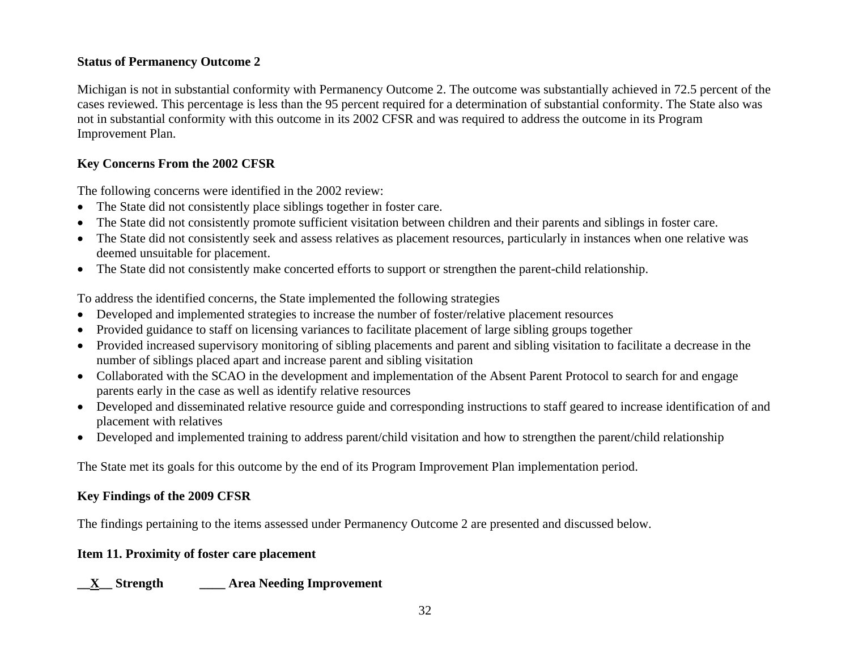### **Status of Permanency Outcome 2**

Michigan is not in substantial conformity with Permanency Outcome 2. The outcome was substantially achieved in 72.5 percent of the cases reviewed. This percentage is less than the 95 percent required for a determination of substantial conformity. The State also was not in substantial conformity with this outcome in its 2002 CFSR and was required to address the outcome in its Program Improvement Plan.

## **Key Concerns From the 2002 CFSR**

The following concerns were identified in the 2002 review:

- The State did not consistently place siblings together in foster care.
- •The State did not consistently promote sufficient visitation between children and their parents and siblings in foster care.
- The State did not consistently seek and assess relatives as placement resources, particularly in instances when one relative was deemed unsuitable for placement.
- The State did not consistently make concerted efforts to support or strengthen the parent-child relationship.

To address the identified concerns, the State implemented the following strategies

- Developed and implemented strategies to increase the number of foster/relative placement resources
- Provided guidance to staff on licensing variances to facilitate placement of large sibling groups together
- Provided increased supervisory monitoring of sibling placements and parent and sibling visitation to facilitate a decrease in the number of siblings placed apart and increase parent and sibling visitation
- Collaborated with the SCAO in the development and implementation of the Absent Parent Protocol to search for and engage parents early in the case as well as identify relative resources
- Developed and disseminated relative resource guide and corresponding instructions to staff geared to increase identification of and placement with relatives
- Developed and implemented training to address parent/child visitation and how to strengthen the parent/child relationship

The State met its goals for this outcome by the end of its Program Improvement Plan implementation period.

## **Key Findings of the 2009 CFSR**

The findings pertaining to the items assessed under Permanency Outcome 2 are presented and discussed below.

## **Item 11. Proximity of foster care placement**

## **\_\_X\_\_ Strength \_\_\_\_ Area Needing Improvement**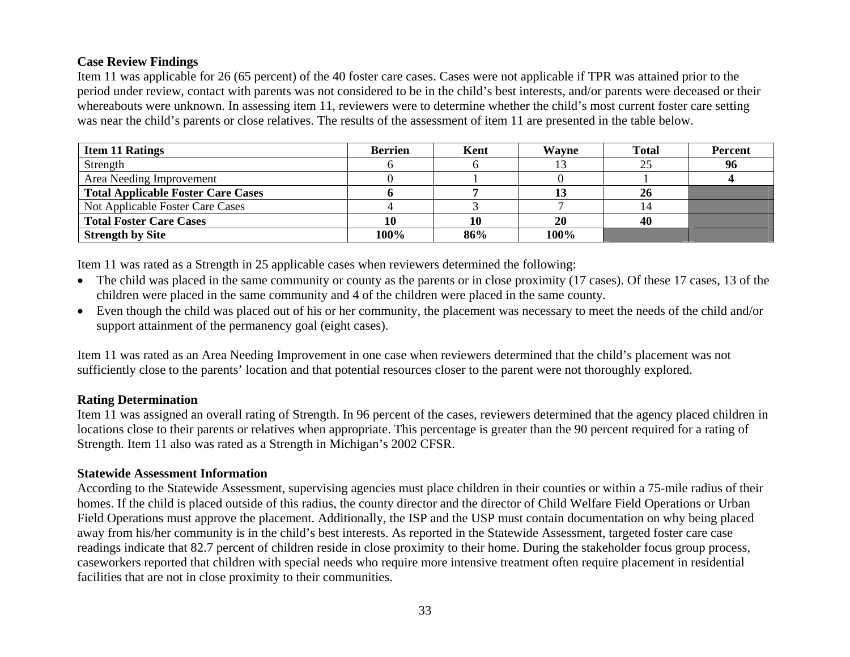## **Case Review Findings**

Item 11 was applicable for 26 (65 percent) of the 40 foster care cases. Cases were not applicable if TPR was attained prior to the period under review, contact with parents was not considered to be in the child's best interests, and/or parents were deceased or their whereabouts were unknown. In assessing item 11, reviewers were to determine whether the child's most current foster care setting was near the child's parents or close relatives. The results of the assessment of item 11 are presented in the table below.

| <b>Item 11 Ratings</b>                    | Berrien | Kent | Wavne | <b>Total</b> | <b>Percent</b> |
|-------------------------------------------|---------|------|-------|--------------|----------------|
| Strength                                  |         |      |       |              | 96             |
| Area Needing Improvement                  |         |      |       |              |                |
| <b>Total Applicable Foster Care Cases</b> |         |      |       | 26           |                |
| Not Applicable Foster Care Cases          |         |      |       |              |                |
| <b>Total Foster Care Cases</b>            | 10      |      | 20    | 40           |                |
| <b>Strength by Site</b>                   | 100%    | 86%  | 100%  |              |                |

Item 11 was rated as a Strength in 25 applicable cases when reviewers determined the following:

- The child was placed in the same community or county as the parents or in close proximity (17 cases). Of these 17 cases, 13 of the children were placed in the same community and 4 of the children were placed in the same county.
- Even though the child was placed out of his or her community, the placement was necessary to meet the needs of the child and/or support attainment of the permanency goal (eight cases).

Item 11 was rated as an Area Needing Improvement in one case when reviewers determined that the child's placement was not sufficiently close to the parents' location and that potential resources closer to the parent were not thoroughly explored.

### **Rating Determination**

Item 11 was assigned an overall rating of Strength. In 96 percent of the cases, reviewers determined that the agency placed children in locations close to their parents or relatives when appropriate. This percentage is greater than the 90 percent required for a rating of Strength. Item 11 also was rated as a Strength in Michigan's 2002 CFSR.

### **Statewide Assessment Information**

According to the Statewide Assessment, supervising agencies must place children in their counties or within a 75-mile radius of their homes. If the child is placed outside of this radius, the county director and the director of Child Welfare Field Operations or Urban Field Operations must approve the placement. Additionally, the ISP and the USP must contain documentation on why being placed away from his/her community is in the child's best interests. As reported in the Statewide Assessment, targeted foster care case readings indicate that 82.7 percent of children reside in close proximity to their home. During the stakeholder focus group process, caseworkers reported that children with special needs who require more intensive treatment often require placement in residential facilities that are not in close proximity to their communities.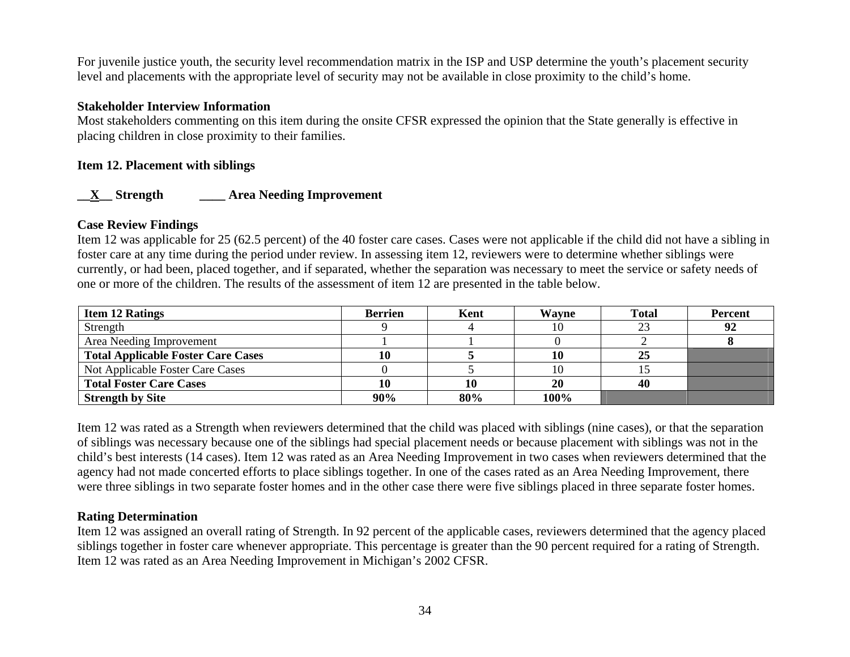For juvenile justice youth, the security level recommendation matrix in the ISP and USP determine the youth's placement security level and placements with the appropriate level of security may not be available in close proximity to the child's home.

#### **Stakeholder Interview Information**

Most stakeholders commenting on this item during the onsite CFSR expressed the opinion that the State generally is effective in placing children in close proximity to their families.

#### **Item 12. Placement with siblings**

## **\_\_X\_\_ Strength \_\_\_\_ Area Needing Improvement**

#### **Case Review Findings**

Item 12 was applicable for 25 (62.5 percent) of the 40 foster care cases. Cases were not applicable if the child did not have a sibling in foster care at any time during the period under review. In assessing item 12, reviewers were to determine whether siblings were currently, or had been, placed together, and if separated, whether the separation was necessary to meet the service or safety needs of one or more of the children. The results of the assessment of item 12 are presented in the table below.

| <b>Item 12 Ratings</b>                    | <b>Berrien</b> | Kent | Wayne | <b>Total</b> | <b>Percent</b> |
|-------------------------------------------|----------------|------|-------|--------------|----------------|
| Strength                                  |                |      |       |              | 92             |
| Area Needing Improvement                  |                |      |       |              |                |
| <b>Total Applicable Foster Care Cases</b> | 10             |      | 10    | 25           |                |
| Not Applicable Foster Care Cases          |                |      |       |              |                |
| <b>Total Foster Care Cases</b>            |                | 10   | 20    | 40           |                |
| <b>Strength by Site</b>                   | 90%            | 80%  | 100%  |              |                |

Item 12 was rated as a Strength when reviewers determined that the child was placed with siblings (nine cases), or that the separation of siblings was necessary because one of the siblings had special placement needs or because placement with siblings was not in the child's best interests (14 cases). Item 12 was rated as an Area Needing Improvement in two cases when reviewers determined that the agency had not made concerted efforts to place siblings together. In one of the cases rated as an Area Needing Improvement, there were three siblings in two separate foster homes and in the other case there were five siblings placed in three separate foster homes.

### **Rating Determination**

Item 12 was assigned an overall rating of Strength. In 92 percent of the applicable cases, reviewers determined that the agency placed siblings together in foster care whenever appropriate. This percentage is greater than the 90 percent required for a rating of Strength. Item 12 was rated as an Area Needing Improvement in Michigan's 2002 CFSR.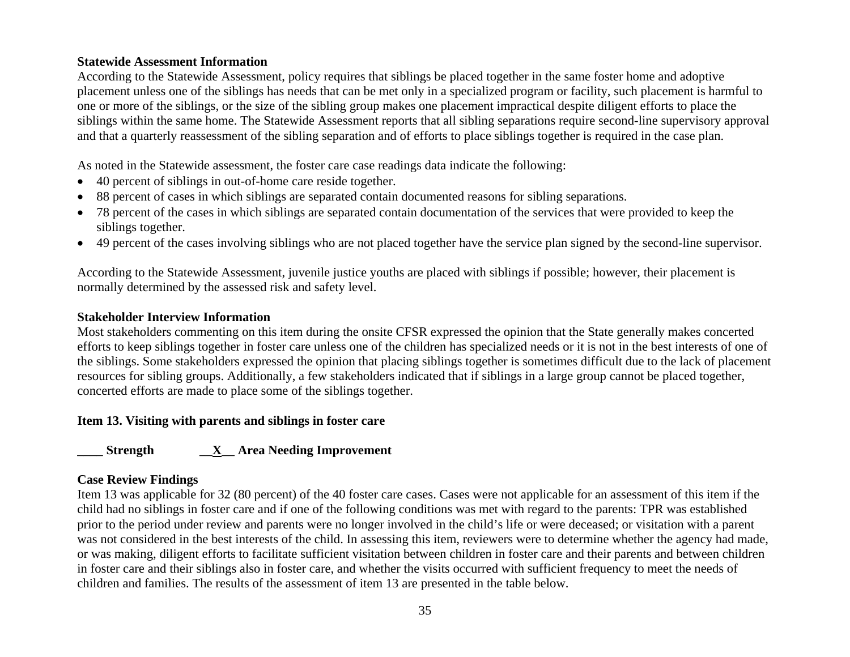#### **Statewide Assessment Information**

According to the Statewide Assessment, policy requires that siblings be placed together in the same foster home and adoptive placement unless one of the siblings has needs that can be met only in a specialized program or facility, such placement is harmful to one or more of the siblings, or the size of the sibling group makes one placement impractical despite diligent efforts to place the siblings within the same home. The Statewide Assessment reports that all sibling separations require second-line supervisory approval and that a quarterly reassessment of the sibling separation and of efforts to place siblings together is required in the case plan.

As noted in the Statewide assessment, the foster care case readings data indicate the following:

- •40 percent of siblings in out-of-home care reside together.
- •88 percent of cases in which siblings are separated contain documented reasons for sibling separations.
- 78 percent of the cases in which siblings are separated contain documentation of the services that were provided to keep the siblings together.
- 49 percent of the cases involving siblings who are not placed together have the service plan signed by the second-line supervisor.

According to the Statewide Assessment, juvenile justice youths are placed with siblings if possible; however, their placement is normally determined by the assessed risk and safety level.

### **Stakeholder Interview Information**

Most stakeholders commenting on this item during the onsite CFSR expressed the opinion that the State generally makes concerted efforts to keep siblings together in foster care unless one of the children has specialized needs or it is not in the best interests of one of the siblings. Some stakeholders expressed the opinion that placing siblings together is sometimes difficult due to the lack of placement resources for sibling groups. Additionally, a few stakeholders indicated that if siblings in a large group cannot be placed together, concerted efforts are made to place some of the siblings together.

### **Item 13. Visiting with parents and siblings in foster care**

**\_\_\_\_ Strength \_\_X\_\_ Area Needing Improvement** 

### **Case Review Findings**

Item 13 was applicable for 32 (80 percent) of the 40 foster care cases. Cases were not applicable for an assessment of this item if the child had no siblings in foster care and if one of the following conditions was met with regard to the parents: TPR was established prior to the period under review and parents were no longer involved in the child's life or were deceased; or visitation with a parent was not considered in the best interests of the child. In assessing this item, reviewers were to determine whether the agency had made, or was making, diligent efforts to facilitate sufficient visitation between children in foster care and their parents and between children in foster care and their siblings also in foster care, and whether the visits occurred with sufficient frequency to meet the needs of children and families. The results of the assessment of item 13 are presented in the table below.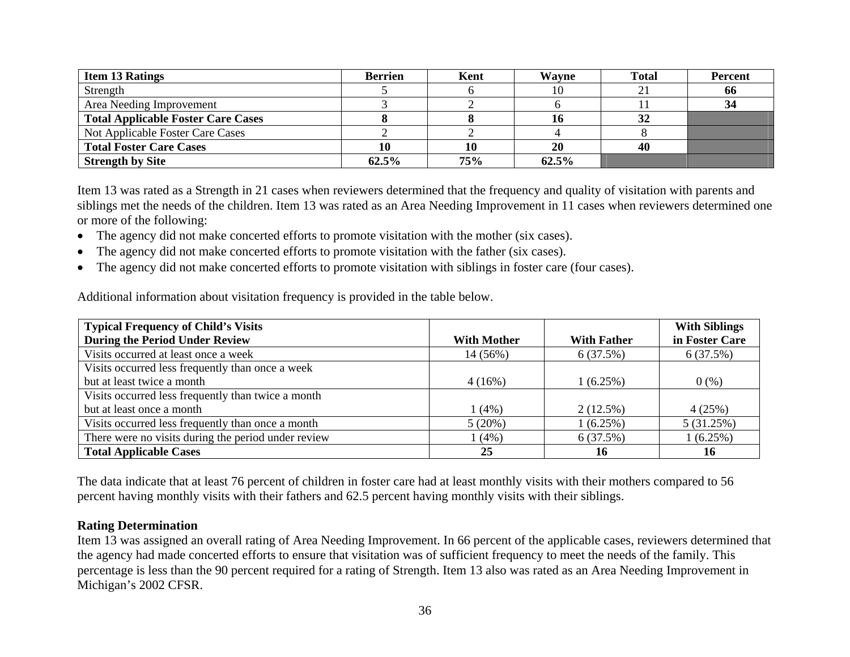| <b>Item 13 Ratings</b>                    | <b>Berrien</b> | Kent | <b>Wayne</b> | <b>Total</b>             | <b>Percent</b> |
|-------------------------------------------|----------------|------|--------------|--------------------------|----------------|
| Strength                                  |                |      |              | $\overline{\phantom{a}}$ | 66             |
| Area Needing Improvement                  |                |      |              |                          | 34             |
| <b>Total Applicable Foster Care Cases</b> |                |      |              | 32                       |                |
| Not Applicable Foster Care Cases          |                |      |              |                          |                |
| <b>Total Foster Care Cases</b>            |                | 10   | <b>20</b>    | 40                       |                |
| <b>Strength by Site</b>                   | 62.5%          | 75%  | 62.5%        |                          |                |

Item 13 was rated as a Strength in 21 cases when reviewers determined that the frequency and quality of visitation with parents and siblings met the needs of the children. Item 13 was rated as an Area Needing Improvement in 11 cases when reviewers determined one or more of the following:

- The agency did not make concerted efforts to promote visitation with the mother (six cases).
- •The agency did not make concerted efforts to promote visitation with the father (six cases).
- $\bullet$ The agency did not make concerted efforts to promote visitation with siblings in foster care (four cases).

Additional information about visitation frequency is provided in the table below.

| <b>Typical Frequency of Child's Visits</b>          |                    |                    | <b>With Siblings</b> |
|-----------------------------------------------------|--------------------|--------------------|----------------------|
| <b>During the Period Under Review</b>               | <b>With Mother</b> | <b>With Father</b> | in Foster Care       |
| Visits occurred at least once a week                | 14 (56%)           | 6(37.5%)           | 6(37.5%)             |
| Visits occurred less frequently than once a week    |                    |                    |                      |
| but at least twice a month                          | 4(16%)             | 1(6.25%)           | 0(% )                |
| Visits occurred less frequently than twice a month  |                    |                    |                      |
| but at least once a month                           | 1(4%)              | $2(12.5\%)$        | 4(25%)               |
| Visits occurred less frequently than once a month   | 5(20%)             | 1(6.25%)           | 5(31.25%)            |
| There were no visits during the period under review | 1(4%)              | 6(37.5%)           | 1(6.25%)             |
| <b>Total Applicable Cases</b>                       | 25                 | 16                 | 16                   |

The data indicate that at least 76 percent of children in foster care had at least monthly visits with their mothers compared to 56 percent having monthly visits with their fathers and 62.5 percent having monthly visits with their siblings.

### **Rating Determination**

Item 13 was assigned an overall rating of Area Needing Improvement. In 66 percent of the applicable cases, reviewers determined that the agency had made concerted efforts to ensure that visitation was of sufficient frequency to meet the needs of the family. This percentage is less than the 90 percent required for a rating of Strength. Item 13 also was rated as an Area Needing Improvement in Michigan's 2002 CFSR.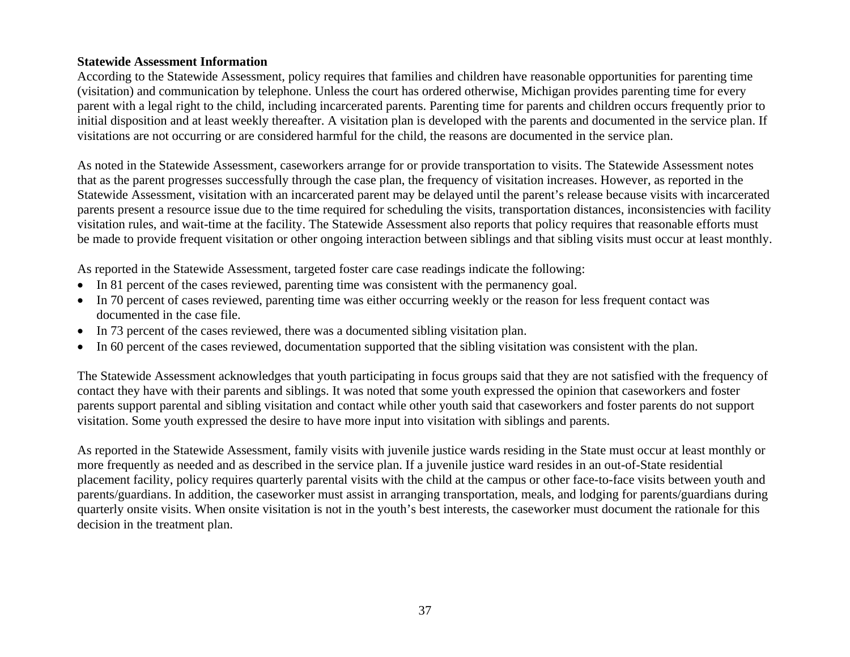#### **Statewide Assessment Information**

According to the Statewide Assessment, policy requires that families and children have reasonable opportunities for parenting time (visitation) and communication by telephone. Unless the court has ordered otherwise, Michigan provides parenting time for every parent with a legal right to the child, including incarcerated parents. Parenting time for parents and children occurs frequently prior to initial disposition and at least weekly thereafter. A visitation plan is developed with the parents and documented in the service plan. If visitations are not occurring or are considered harmful for the child, the reasons are documented in the service plan.

As noted in the Statewide Assessment, caseworkers arrange for or provide transportation to visits. The Statewide Assessment notes that as the parent progresses successfully through the case plan, the frequency of visitation increases. However, as reported in the Statewide Assessment, visitation with an incarcerated parent may be delayed until the parent's release because visits with incarcerated parents present a resource issue due to the time required for scheduling the visits, transportation distances, inconsistencies with facility visitation rules, and wait-time at the facility. The Statewide Assessment also reports that policy requires that reasonable efforts must be made to provide frequent visitation or other ongoing interaction between siblings and that sibling visits must occur at least monthly.

As reported in the Statewide Assessment, targeted foster care case readings indicate the following:

- In 81 percent of the cases reviewed, parenting time was consistent with the permanency goal.
- In 70 percent of cases reviewed, parenting time was either occurring weekly or the reason for less frequent contact was documented in the case file.
- In 73 percent of the cases reviewed, there was a documented sibling visitation plan.
- •In 60 percent of the cases reviewed, documentation supported that the sibling visitation was consistent with the plan.

The Statewide Assessment acknowledges that youth participating in focus groups said that they are not satisfied with the frequency of contact they have with their parents and siblings. It was noted that some youth expressed the opinion that caseworkers and foster parents support parental and sibling visitation and contact while other youth said that caseworkers and foster parents do not support visitation. Some youth expressed the desire to have more input into visitation with siblings and parents.

As reported in the Statewide Assessment, family visits with juvenile justice wards residing in the State must occur at least monthly or more frequently as needed and as described in the service plan. If a juvenile justice ward resides in an out-of-State residential placement facility, policy requires quarterly parental visits with the child at the campus or other face-to-face visits between youth and parents/guardians. In addition, the caseworker must assist in arranging transportation, meals, and lodging for parents/guardians during quarterly onsite visits. When onsite visitation is not in the youth's best interests, the caseworker must document the rationale for this decision in the treatment plan.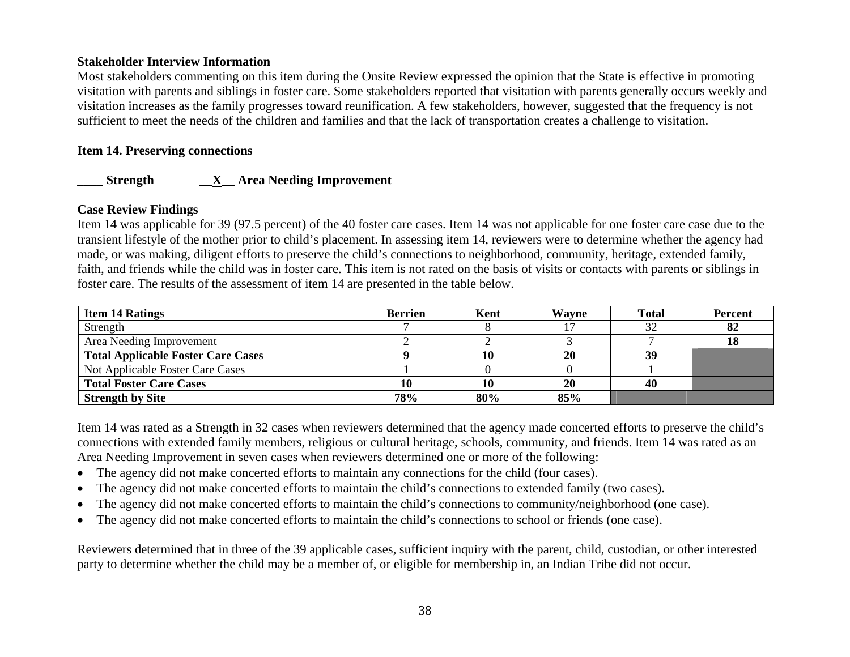#### **Stakeholder Interview Information**

Most stakeholders commenting on this item during the Onsite Review expressed the opinion that the State is effective in promoting visitation with parents and siblings in foster care. Some stakeholders reported that visitation with parents generally occurs weekly and visitation increases as the family progresses toward reunification. A few stakeholders, however, suggested that the frequency is not sufficient to meet the needs of the children and families and that the lack of transportation creates a challenge to visitation.

### **Item 14. Preserving connections**

## **\_\_\_\_ Strength \_\_X\_\_ Area Needing Improvement**

### **Case Review Findings**

Item 14 was applicable for 39 (97.5 percent) of the 40 foster care cases. Item 14 was not applicable for one foster care case due to the transient lifestyle of the mother prior to child's placement. In assessing item 14, reviewers were to determine whether the agency had made, or was making, diligent efforts to preserve the child's connections to neighborhood, community, heritage, extended family, faith, and friends while the child was in foster care. This item is not rated on the basis of visits or contacts with parents or siblings in foster care. The results of the assessment of item 14 are presented in the table below.

| <b>Item 14 Ratings</b>                    | <b>Berrien</b> | Kent | Wavne     | <b>Total</b> | <b>Percent</b> |
|-------------------------------------------|----------------|------|-----------|--------------|----------------|
| Strength                                  |                |      |           | 32           | 82             |
| Area Needing Improvement                  |                |      |           |              | 18             |
| <b>Total Applicable Foster Care Cases</b> |                | 10   | 20        | 39           |                |
| Not Applicable Foster Care Cases          |                |      |           |              |                |
| <b>Total Foster Care Cases</b>            |                | 10   | <b>20</b> | 40           |                |
| <b>Strength by Site</b>                   | 78%            | 80%  | 85%       |              |                |

Item 14 was rated as a Strength in 32 cases when reviewers determined that the agency made concerted efforts to preserve the child's connections with extended family members, religious or cultural heritage, schools, community, and friends. Item 14 was rated as an Area Needing Improvement in seven cases when reviewers determined one or more of the following:

- The agency did not make concerted efforts to maintain any connections for the child (four cases).
- •The agency did not make concerted efforts to maintain the child's connections to extended family (two cases).
- •The agency did not make concerted efforts to maintain the child's connections to community/neighborhood (one case).
- •The agency did not make concerted efforts to maintain the child's connections to school or friends (one case).

Reviewers determined that in three of the 39 applicable cases, sufficient inquiry with the parent, child, custodian, or other interested party to determine whether the child may be a member of, or eligible for membership in, an Indian Tribe did not occur.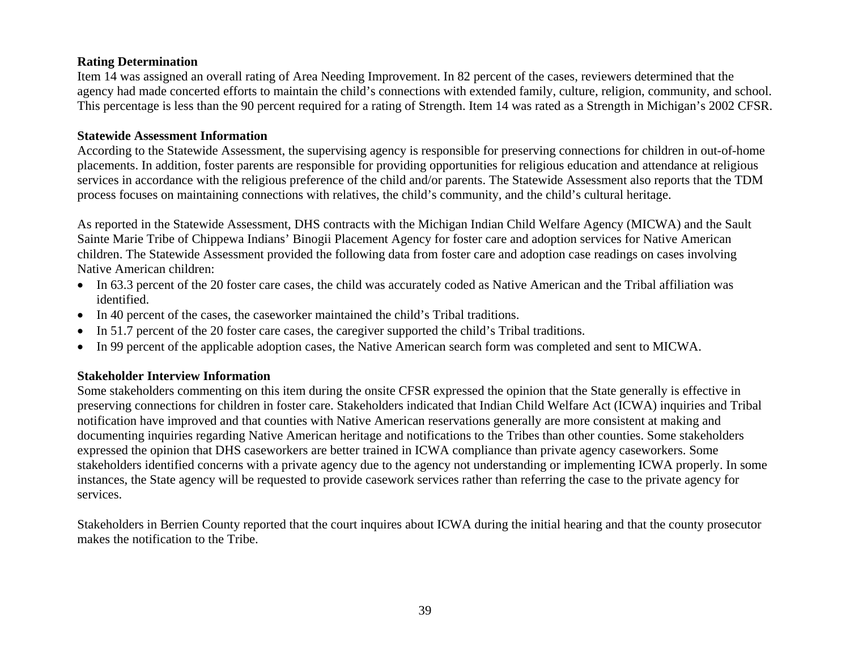### **Rating Determination**

Item 14 was assigned an overall rating of Area Needing Improvement. In 82 percent of the cases, reviewers determined that the agency had made concerted efforts to maintain the child's connections with extended family, culture, religion, community, and school. This percentage is less than the 90 percent required for a rating of Strength. Item 14 was rated as a Strength in Michigan's 2002 CFSR.

#### **Statewide Assessment Information**

According to the Statewide Assessment, the supervising agency is responsible for preserving connections for children in out-of-home placements. In addition, foster parents are responsible for providing opportunities for religious education and attendance at religious services in accordance with the religious preference of the child and/or parents. The Statewide Assessment also reports that the TDM process focuses on maintaining connections with relatives, the child's community, and the child's cultural heritage.

As reported in the Statewide Assessment, DHS contracts with the Michigan Indian Child Welfare Agency (MICWA) and the Sault Sainte Marie Tribe of Chippewa Indians' Binogii Placement Agency for foster care and adoption services for Native American children. The Statewide Assessment provided the following data from foster care and adoption case readings on cases involving Native American children:

- In 63.3 percent of the 20 foster care cases, the child was accurately coded as Native American and the Tribal affiliation was identified.
- In 40 percent of the cases, the caseworker maintained the child's Tribal traditions.
- •In 51.7 percent of the 20 foster care cases, the caregiver supported the child's Tribal traditions.
- •In 99 percent of the applicable adoption cases, the Native American search form was completed and sent to MICWA.

### **Stakeholder Interview Information**

Some stakeholders commenting on this item during the onsite CFSR expressed the opinion that the State generally is effective in preserving connections for children in foster care. Stakeholders indicated that Indian Child Welfare Act (ICWA) inquiries and Tribal notification have improved and that counties with Native American reservations generally are more consistent at making and documenting inquiries regarding Native American heritage and notifications to the Tribes than other counties. Some stakeholders expressed the opinion that DHS caseworkers are better trained in ICWA compliance than private agency caseworkers. Some stakeholders identified concerns with a private agency due to the agency not understanding or implementing ICWA properly. In some instances, the State agency will be requested to provide casework services rather than referring the case to the private agency for services.

Stakeholders in Berrien County reported that the court inquires about ICWA during the initial hearing and that the county prosecutor makes the notification to the Tribe.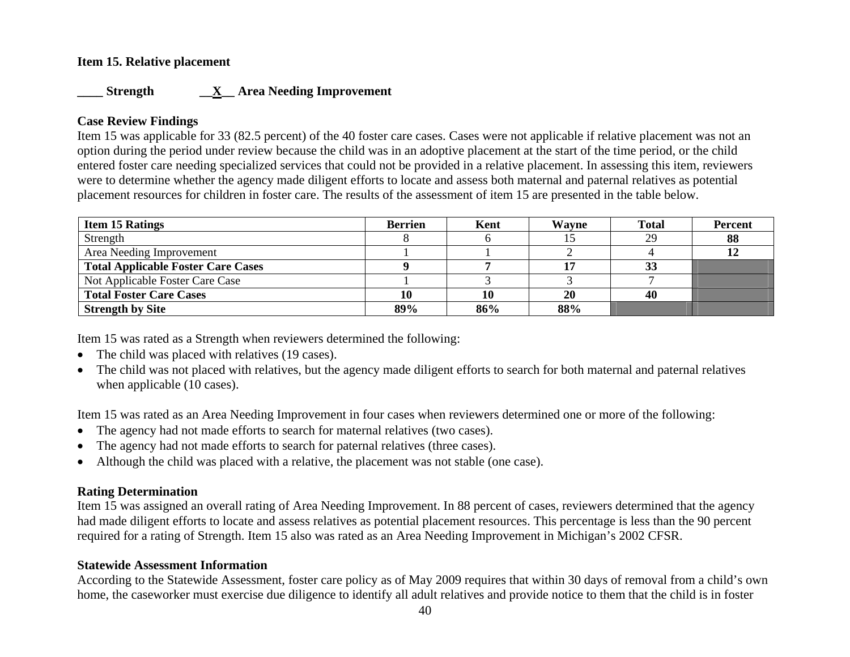### **Item 15. Relative placement**

### **\_\_\_\_ Strength \_\_X\_\_ Area Needing Improvement**

### **Case Review Findings**

Item 15 was applicable for 33 (82.5 percent) of the 40 foster care cases. Cases were not applicable if relative placement was not an option during the period under review because the child was in an adoptive placement at the start of the time period, or the child entered foster care needing specialized services that could not be provided in a relative placement. In assessing this item, reviewers were to determine whether the agency made diligent efforts to locate and assess both maternal and paternal relatives as potential placement resources for children in foster care. The results of the assessment of item 15 are presented in the table below.

| <b>Item 15 Ratings</b>                    | <b>Berrien</b> | Kent | Wayne | <b>Total</b> | <b>Percent</b> |
|-------------------------------------------|----------------|------|-------|--------------|----------------|
| Strength                                  |                |      |       | 29           | 88             |
| Area Needing Improvement                  |                |      |       |              |                |
| <b>Total Applicable Foster Care Cases</b> |                |      |       | IJ           |                |
| Not Applicable Foster Care Case           |                |      |       |              |                |
| <b>Total Foster Care Cases</b>            |                | 10   | 20    | 40           |                |
| <b>Strength by Site</b>                   | 89%            | 86%  | 88%   |              |                |

Item 15 was rated as a Strength when reviewers determined the following:

- The child was placed with relatives (19 cases).
- The child was not placed with relatives, but the agency made diligent efforts to search for both maternal and paternal relatives when applicable (10 cases).

Item 15 was rated as an Area Needing Improvement in four cases when reviewers determined one or more of the following:

- The agency had not made efforts to search for maternal relatives (two cases).
- •The agency had not made efforts to search for paternal relatives (three cases).
- •Although the child was placed with a relative, the placement was not stable (one case).

### **Rating Determination**

Item 15 was assigned an overall rating of Area Needing Improvement. In 88 percent of cases, reviewers determined that the agency had made diligent efforts to locate and assess relatives as potential placement resources. This percentage is less than the 90 percent required for a rating of Strength. Item 15 also was rated as an Area Needing Improvement in Michigan's 2002 CFSR.

### **Statewide Assessment Information**

According to the Statewide Assessment, foster care policy as of May 2009 requires that within 30 days of removal from a child's own home, the caseworker must exercise due diligence to identify all adult relatives and provide notice to them that the child is in foster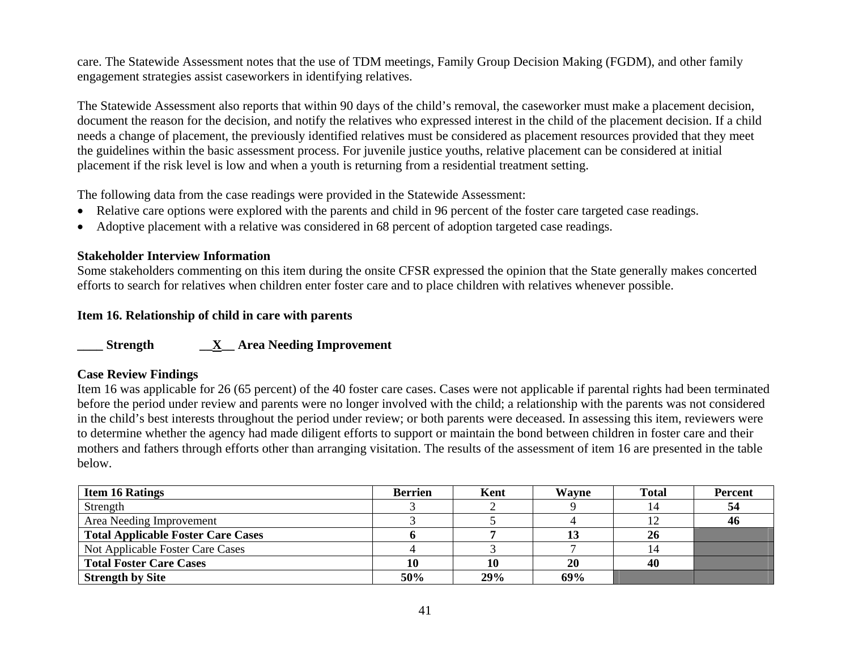care. The Statewide Assessment notes that the use of TDM meetings, Family Group Decision Making (FGDM), and other family engagement strategies assist caseworkers in identifying relatives.

The Statewide Assessment also reports that within 90 days of the child's removal, the caseworker must make a placement decision, document the reason for the decision, and notify the relatives who expressed interest in the child of the placement decision. If a child needs a change of placement, the previously identified relatives must be considered as placement resources provided that they meet the guidelines within the basic assessment process. For juvenile justice youths, relative placement can be considered at initial placement if the risk level is low and when a youth is returning from a residential treatment setting.

The following data from the case readings were provided in the Statewide Assessment:

- Relative care options were explored with the parents and child in 96 percent of the foster care targeted case readings.
- Adoptive placement with a relative was considered in 68 percent of adoption targeted case readings.

### **Stakeholder Interview Information**

Some stakeholders commenting on this item during the onsite CFSR expressed the opinion that the State generally makes concerted efforts to search for relatives when children enter foster care and to place children with relatives whenever possible.

### **Item 16. Relationship of child in care with parents**

**\_\_\_\_ Strength \_\_X\_\_ Area Needing Improvement** 

### **Case Review Findings**

Item 16 was applicable for 26 (65 percent) of the 40 foster care cases. Cases were not applicable if parental rights had been terminated before the period under review and parents were no longer involved with the child; a relationship with the parents was not considered in the child's best interests throughout the period under review; or both parents were deceased. In assessing this item, reviewers were to determine whether the agency had made diligent efforts to support or maintain the bond between children in foster care and their mothers and fathers through efforts other than arranging visitation. The results of the assessment of item 16 are presented in the table below.

| <b>Item 16 Ratings</b>                    | Berrien | Kent | Wayne | <b>Total</b> | <b>Percent</b> |
|-------------------------------------------|---------|------|-------|--------------|----------------|
| Strength                                  |         |      |       |              | -54            |
| Area Needing Improvement                  |         |      |       |              | 46             |
| <b>Total Applicable Foster Care Cases</b> |         |      |       | 26           |                |
| Not Applicable Foster Care Cases          |         |      |       |              |                |
| <b>Total Foster Care Cases</b>            | 10      | 10   | 20    | 40           |                |
| <b>Strength by Site</b>                   | 50%     | 29%  | 69%   |              |                |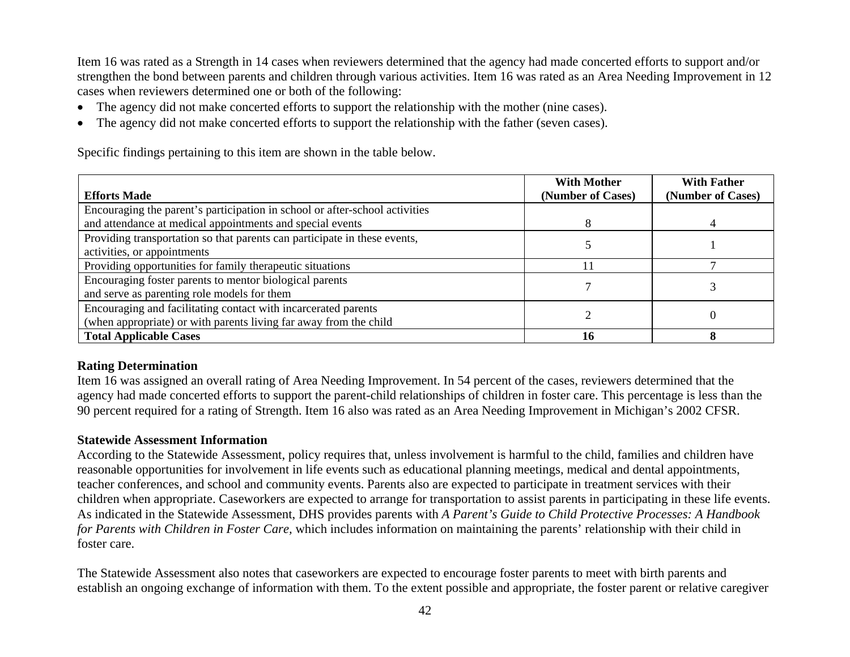Item 16 was rated as a Strength in 14 cases when reviewers determined that the agency had made concerted efforts to support and/or strengthen the bond between parents and children through various activities. Item 16 was rated as an Area Needing Improvement in 12 cases when reviewers determined one or both of the following:

- The agency did not make concerted efforts to support the relationship with the mother (nine cases).
- •The agency did not make concerted efforts to support the relationship with the father (seven cases).

Specific findings pertaining to this item are shown in the table below.

| <b>Efforts Made</b>                                                         | <b>With Mother</b><br>(Number of Cases) | <b>With Father</b><br>(Number of Cases) |
|-----------------------------------------------------------------------------|-----------------------------------------|-----------------------------------------|
| Encouraging the parent's participation in school or after-school activities |                                         |                                         |
| and attendance at medical appointments and special events                   |                                         |                                         |
| Providing transportation so that parents can participate in these events,   |                                         |                                         |
| activities, or appointments                                                 |                                         |                                         |
| Providing opportunities for family therapeutic situations                   |                                         |                                         |
| Encouraging foster parents to mentor biological parents                     |                                         |                                         |
| and serve as parenting role models for them                                 |                                         |                                         |
| Encouraging and facilitating contact with incarcerated parents              |                                         |                                         |
| (when appropriate) or with parents living far away from the child           |                                         |                                         |
| <b>Total Applicable Cases</b>                                               | 16                                      |                                         |

### **Rating Determination**

Item 16 was assigned an overall rating of Area Needing Improvement. In 54 percent of the cases, reviewers determined that the agency had made concerted efforts to support the parent-child relationships of children in foster care. This percentage is less than the 90 percent required for a rating of Strength. Item 16 also was rated as an Area Needing Improvement in Michigan's 2002 CFSR.

### **Statewide Assessment Information**

According to the Statewide Assessment, policy requires that, unless involvement is harmful to the child, families and children have reasonable opportunities for involvement in life events such as educational planning meetings, medical and dental appointments, teacher conferences, and school and community events. Parents also are expected to participate in treatment services with their children when appropriate. Caseworkers are expected to arrange for transportation to assist parents in participating in these life events. As indicated in the Statewide Assessment, DHS provides parents with *A Parent's Guide to Child Protective Processes: A Handbook for Parents with Children in Foster Care,* which includes information on maintaining the parents' relationship with their child in foster care.

The Statewide Assessment also notes that caseworkers are expected to encourage foster parents to meet with birth parents and establish an ongoing exchange of information with them. To the extent possible and appropriate, the foster parent or relative caregiver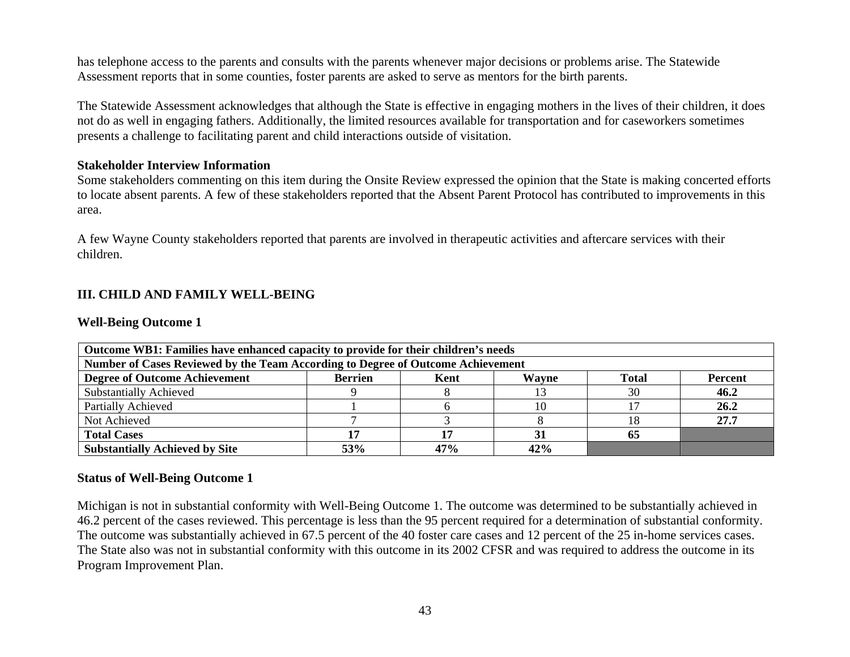has telephone access to the parents and consults with the parents whenever major decisions or problems arise. The Statewide Assessment reports that in some counties, foster parents are asked to serve as mentors for the birth parents.

The Statewide Assessment acknowledges that although the State is effective in engaging mothers in the lives of their children, it does not do as well in engaging fathers. Additionally, the limited resources available for transportation and for caseworkers sometimes presents a challenge to facilitating parent and child interactions outside of visitation.

### **Stakeholder Interview Information**

Some stakeholders commenting on this item during the Onsite Review expressed the opinion that the State is making concerted efforts to locate absent parents. A few of these stakeholders reported that the Absent Parent Protocol has contributed to improvements in this area.

A few Wayne County stakeholders reported that parents are involved in therapeutic activities and aftercare services with their children.

### **III. CHILD AND FAMILY WELL-BEING**

#### **Well-Being Outcome 1**

| Outcome WB1: Families have enhanced capacity to provide for their children's needs |                |      |       |       |         |
|------------------------------------------------------------------------------------|----------------|------|-------|-------|---------|
| Number of Cases Reviewed by the Team According to Degree of Outcome Achievement    |                |      |       |       |         |
| <b>Degree of Outcome Achievement</b>                                               | <b>Berrien</b> | Kent | Wayne | Total | Percent |
| <b>Substantially Achieved</b>                                                      |                |      |       | 30    | 46.2    |
| Partially Achieved                                                                 |                |      | 10    |       | 26.2    |
| Not Achieved                                                                       |                |      |       | 18    | 27.7    |
| <b>Total Cases</b>                                                                 |                |      |       | 65    |         |
| <b>Substantially Achieved by Site</b>                                              | 53%            | 47%  | 42%   |       |         |

#### **Status of Well-Being Outcome 1**

Michigan is not in substantial conformity with Well-Being Outcome 1. The outcome was determined to be substantially achieved in 46.2 percent of the cases reviewed. This percentage is less than the 95 percent required for a determination of substantial conformity. The outcome was substantially achieved in 67.5 percent of the 40 foster care cases and 12 percent of the 25 in-home services cases. The State also was not in substantial conformity with this outcome in its 2002 CFSR and was required to address the outcome in its Program Improvement Plan.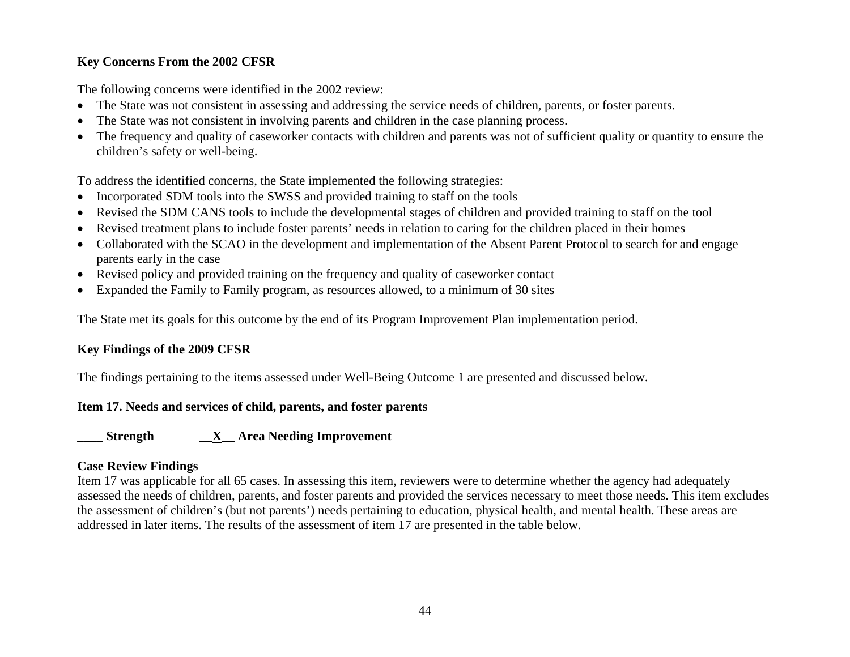## **Key Concerns From the 2002 CFSR**

The following concerns were identified in the 2002 review:

- The State was not consistent in assessing and addressing the service needs of children, parents, or foster parents.
- •The State was not consistent in involving parents and children in the case planning process.
- • The frequency and quality of caseworker contacts with children and parents was not of sufficient quality or quantity to ensure the children's safety or well-being.

To address the identified concerns, the State implemented the following strategies:

- Incorporated SDM tools into the SWSS and provided training to staff on the tools
- •Revised the SDM CANS tools to include the developmental stages of children and provided training to staff on the tool
- •Revised treatment plans to include foster parents' needs in relation to caring for the children placed in their homes
- Collaborated with the SCAO in the development and implementation of the Absent Parent Protocol to search for and engage parents early in the case
- Revised policy and provided training on the frequency and quality of caseworker contact
- •Expanded the Family to Family program, as resources allowed, to a minimum of 30 sites

The State met its goals for this outcome by the end of its Program Improvement Plan implementation period.

## **Key Findings of the 2009 CFSR**

The findings pertaining to the items assessed under Well-Being Outcome 1 are presented and discussed below.

## **Item 17. Needs and services of child, parents, and foster parents**

**\_\_\_\_ Strength \_\_X\_\_ Area Needing Improvement** 

# **Case Review Findings**

Item 17 was applicable for all 65 cases. In assessing this item, reviewers were to determine whether the agency had adequately assessed the needs of children, parents, and foster parents and provided the services necessary to meet those needs. This item excludes the assessment of children's (but not parents') needs pertaining to education, physical health, and mental health. These areas are addressed in later items. The results of the assessment of item 17 are presented in the table below.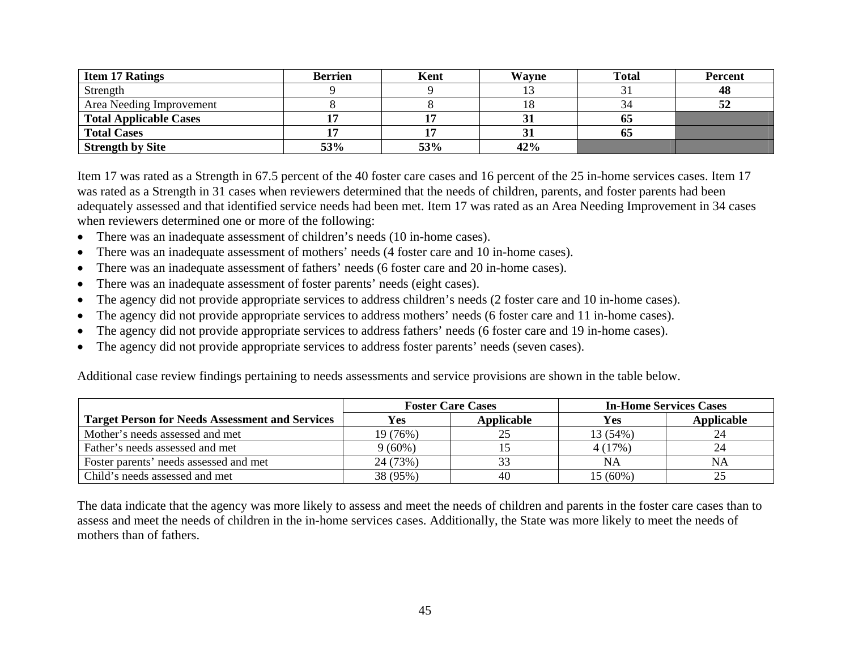| <b>Item 17 Ratings</b>        | <b>Berrien</b> | Kent | Wavne | <b>Total</b> | <b>Percent</b> |
|-------------------------------|----------------|------|-------|--------------|----------------|
| Strength                      |                |      |       |              | 48             |
| Area Needing Improvement      |                |      | 18    |              | 52             |
| <b>Total Applicable Cases</b> |                |      |       | 03           |                |
| <b>Total Cases</b>            |                |      |       | 05           |                |
| <b>Strength by Site</b>       | 53%            | 53%  | 42%   |              |                |

Item 17 was rated as a Strength in 67.5 percent of the 40 foster care cases and 16 percent of the 25 in-home services cases. Item 17 was rated as a Strength in 31 cases when reviewers determined that the needs of children, parents, and foster parents had been adequately assessed and that identified service needs had been met. Item 17 was rated as an Area Needing Improvement in 34 cases when reviewers determined one or more of the following:

- There was an inadequate assessment of children's needs (10 in-home cases).
- $\bullet$ There was an inadequate assessment of mothers' needs (4 foster care and 10 in-home cases).
- •There was an inadequate assessment of fathers' needs (6 foster care and 20 in-home cases).
- •There was an inadequate assessment of foster parents' needs (eight cases).
- •The agency did not provide appropriate services to address children's needs (2 foster care and 10 in-home cases).
- •The agency did not provide appropriate services to address mothers' needs (6 foster care and 11 in-home cases).
- •The agency did not provide appropriate services to address fathers' needs (6 foster care and 19 in-home cases).
- •The agency did not provide appropriate services to address foster parents' needs (seven cases).

Additional case review findings pertaining to needs assessments and service provisions are shown in the table below.

|                                                        |           | <b>Foster Care Cases</b> | <b>In-Home Services Cases</b> |            |
|--------------------------------------------------------|-----------|--------------------------|-------------------------------|------------|
| <b>Target Person for Needs Assessment and Services</b> | Yes       | Applicable               | Yes                           | Applicable |
| Mother's needs assessed and met                        | 19 (76%)  |                          | 13 (54%)                      |            |
| Father's needs assessed and met                        | $9(60\%)$ |                          | 4(17%)                        |            |
| Foster parents' needs assessed and met                 | 24 (73%)  |                          | NA                            | <b>NA</b>  |
| Child's needs assessed and met                         | 38 (95%)  | 40                       | 15 (60%)                      |            |

The data indicate that the agency was more likely to assess and meet the needs of children and parents in the foster care cases than to assess and meet the needs of children in the in-home services cases. Additionally, the State was more likely to meet the needs of mothers than of fathers.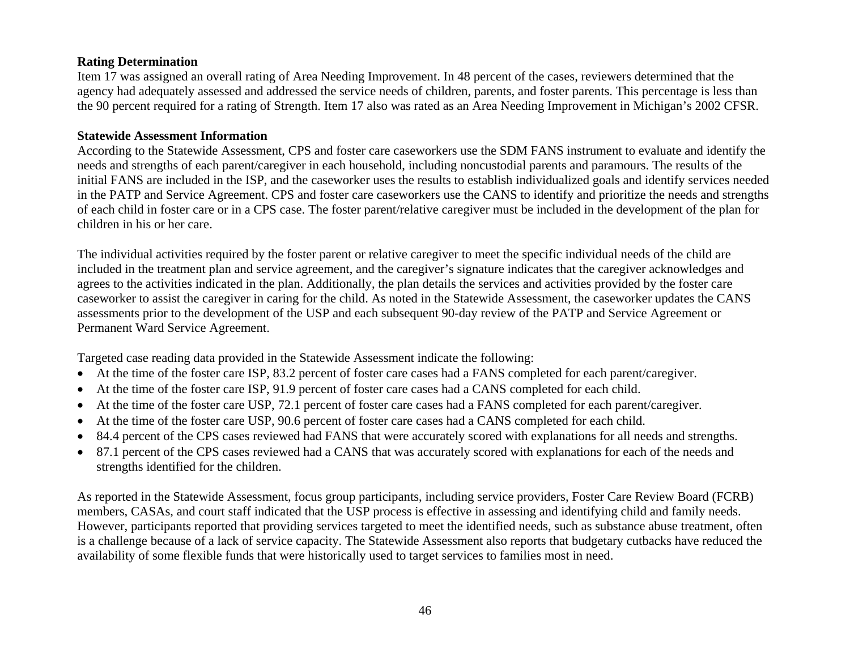### **Rating Determination**

Item 17 was assigned an overall rating of Area Needing Improvement. In 48 percent of the cases, reviewers determined that the agency had adequately assessed and addressed the service needs of children, parents, and foster parents. This percentage is less than the 90 percent required for a rating of Strength. Item 17 also was rated as an Area Needing Improvement in Michigan's 2002 CFSR.

#### **Statewide Assessment Information**

According to the Statewide Assessment, CPS and foster care caseworkers use the SDM FANS instrument to evaluate and identify the needs and strengths of each parent/caregiver in each household, including noncustodial parents and paramours. The results of the initial FANS are included in the ISP, and the caseworker uses the results to establish individualized goals and identify services needed in the PATP and Service Agreement. CPS and foster care caseworkers use the CANS to identify and prioritize the needs and strengths of each child in foster care or in a CPS case. The foster parent/relative caregiver must be included in the development of the plan for children in his or her care.

The individual activities required by the foster parent or relative caregiver to meet the specific individual needs of the child are included in the treatment plan and service agreement, and the caregiver's signature indicates that the caregiver acknowledges and agrees to the activities indicated in the plan. Additionally, the plan details the services and activities provided by the foster care caseworker to assist the caregiver in caring for the child. As noted in the Statewide Assessment, the caseworker updates the CANS assessments prior to the development of the USP and each subsequent 90-day review of the PATP and Service Agreement or Permanent Ward Service Agreement.

Targeted case reading data provided in the Statewide Assessment indicate the following:

- At the time of the foster care ISP, 83.2 percent of foster care cases had a FANS completed for each parent/caregiver.
- •At the time of the foster care ISP, 91.9 percent of foster care cases had a CANS completed for each child.
- •At the time of the foster care USP, 72.1 percent of foster care cases had a FANS completed for each parent/caregiver.
- •At the time of the foster care USP, 90.6 percent of foster care cases had a CANS completed for each child.
- •84.4 percent of the CPS cases reviewed had FANS that were accurately scored with explanations for all needs and strengths.
- • 87.1 percent of the CPS cases reviewed had a CANS that was accurately scored with explanations for each of the needs and strengths identified for the children.

As reported in the Statewide Assessment, focus group participants, including service providers, Foster Care Review Board (FCRB) members, CASAs, and court staff indicated that the USP process is effective in assessing and identifying child and family needs. However, participants reported that providing services targeted to meet the identified needs, such as substance abuse treatment, often is a challenge because of a lack of service capacity. The Statewide Assessment also reports that budgetary cutbacks have reduced the availability of some flexible funds that were historically used to target services to families most in need.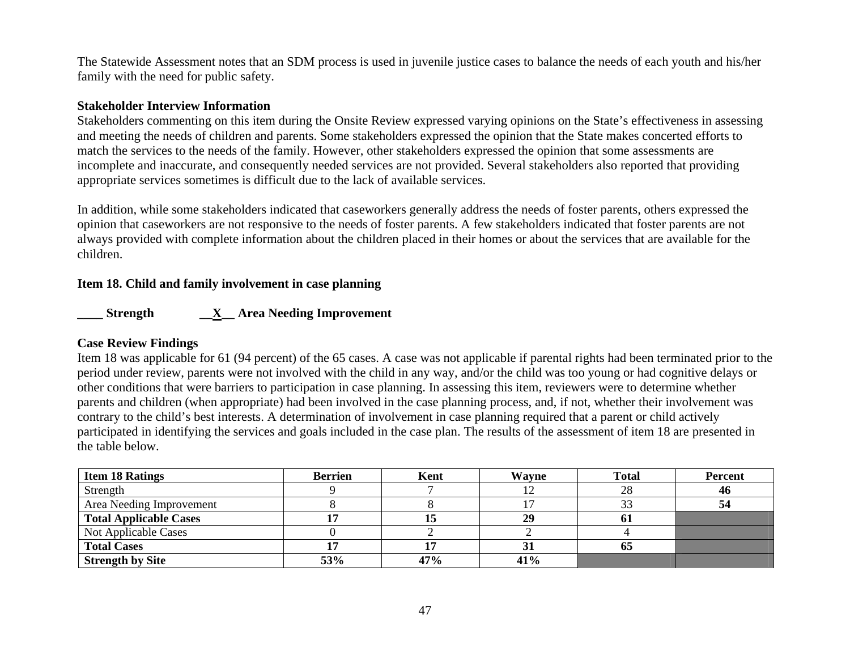The Statewide Assessment notes that an SDM process is used in juvenile justice cases to balance the needs of each youth and his/her family with the need for public safety.

### **Stakeholder Interview Information**

Stakeholders commenting on this item during the Onsite Review expressed varying opinions on the State's effectiveness in assessing and meeting the needs of children and parents. Some stakeholders expressed the opinion that the State makes concerted efforts to match the services to the needs of the family. However, other stakeholders expressed the opinion that some assessments are incomplete and inaccurate, and consequently needed services are not provided. Several stakeholders also reported that providing appropriate services sometimes is difficult due to the lack of available services.

In addition, while some stakeholders indicated that caseworkers generally address the needs of foster parents, others expressed the opinion that caseworkers are not responsive to the needs of foster parents. A few stakeholders indicated that foster parents are not always provided with complete information about the children placed in their homes or about the services that are available for the children.

### **Item 18. Child and family involvement in case planning**

**\_\_\_\_ Strength \_\_X\_\_ Area Needing Improvement** 

### **Case Review Findings**

Item 18 was applicable for 61 (94 percent) of the 65 cases. A case was not applicable if parental rights had been terminated prior to the period under review, parents were not involved with the child in any way, and/or the child was too young or had cognitive delays or other conditions that were barriers to participation in case planning. In assessing this item, reviewers were to determine whether parents and children (when appropriate) had been involved in the case planning process, and, if not, whether their involvement was contrary to the child's best interests. A determination of involvement in case planning required that a parent or child actively participated in identifying the services and goals included in the case plan. The results of the assessment of item 18 are presented in the table below.

| <b>Item 18 Ratings</b>        | <b>Berrien</b> | Kent | Wayne | <b>Total</b> | <b>Percent</b> |
|-------------------------------|----------------|------|-------|--------------|----------------|
| Strength                      |                |      |       | 28           | 46             |
| Area Needing Improvement      |                |      |       |              | 54             |
| <b>Total Applicable Cases</b> |                |      | 29    | 01           |                |
| Not Applicable Cases          |                |      |       |              |                |
| <b>Total Cases</b>            |                |      |       | OJ.          |                |
| <b>Strength by Site</b>       | 53%            | 47%  | 41%   |              |                |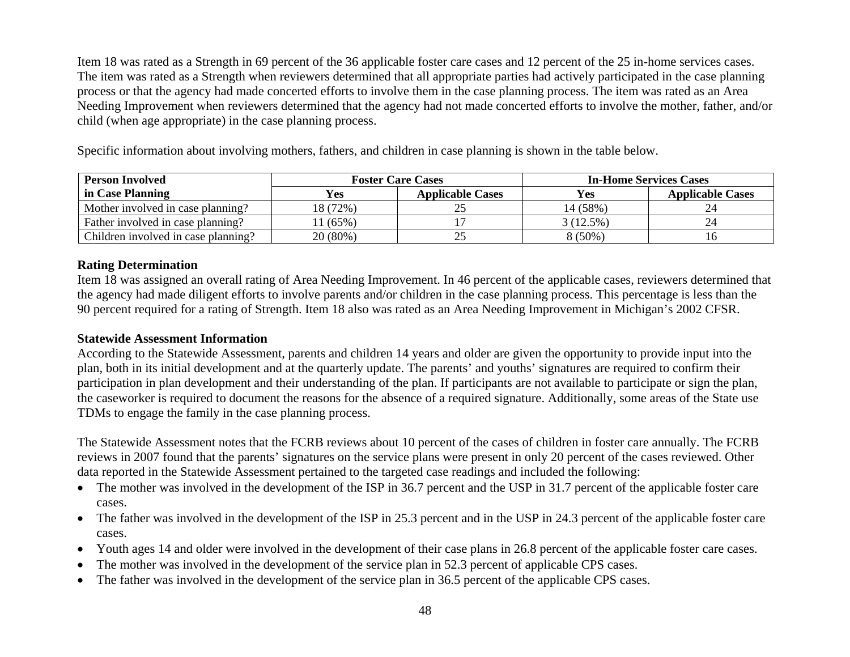Item 18 was rated as a Strength in 69 percent of the 36 applicable foster care cases and 12 percent of the 25 in-home services cases. The item was rated as a Strength when reviewers determined that all appropriate parties had actively participated in the case planning process or that the agency had made concerted efforts to involve them in the case planning process. The item was rated as an Area Needing Improvement when reviewers determined that the agency had not made concerted efforts to involve the mother, father, and/or child (when age appropriate) in the case planning process.

Specific information about involving mothers, fathers, and children in case planning is shown in the table below.

| <b>Person Involved</b>              | <b>Foster Care Cases</b> |                         |            | <b>In-Home Services Cases</b> |
|-------------------------------------|--------------------------|-------------------------|------------|-------------------------------|
| in Case Planning                    | <b>Yes</b>               | <b>Applicable Cases</b> | <b>Yes</b> | <b>Applicable Cases</b>       |
| Mother involved in case planning?   | 18 (72%)                 |                         | 14 (58%)   |                               |
| Father involved in case planning?   | $1(65\%)$                |                         | 3(12.5%)   |                               |
| Children involved in case planning? | 20(80%)                  |                         | $8(50\%)$  |                               |

### **Rating Determination**

Item 18 was assigned an overall rating of Area Needing Improvement. In 46 percent of the applicable cases, reviewers determined that the agency had made diligent efforts to involve parents and/or children in the case planning process. This percentage is less than the 90 percent required for a rating of Strength. Item 18 also was rated as an Area Needing Improvement in Michigan's 2002 CFSR.

### **Statewide Assessment Information**

According to the Statewide Assessment, parents and children 14 years and older are given the opportunity to provide input into the plan, both in its initial development and at the quarterly update. The parents' and youths' signatures are required to confirm their participation in plan development and their understanding of the plan. If participants are not available to participate or sign the plan, the caseworker is required to document the reasons for the absence of a required signature. Additionally, some areas of the State use TDMs to engage the family in the case planning process.

The Statewide Assessment notes that the FCRB reviews about 10 percent of the cases of children in foster care annually. The FCRB reviews in 2007 found that the parents' signatures on the service plans were present in only 20 percent of the cases reviewed. Other data reported in the Statewide Assessment pertained to the targeted case readings and included the following:

- The mother was involved in the development of the ISP in 36.7 percent and the USP in 31.7 percent of the applicable foster care cases.
- The father was involved in the development of the ISP in 25.3 percent and in the USP in 24.3 percent of the applicable foster care cases.
- Youth ages 14 and older were involved in the development of their case plans in 26.8 percent of the applicable foster care cases.
- •The mother was involved in the development of the service plan in 52.3 percent of applicable CPS cases.
- •The father was involved in the development of the service plan in 36.5 percent of the applicable CPS cases.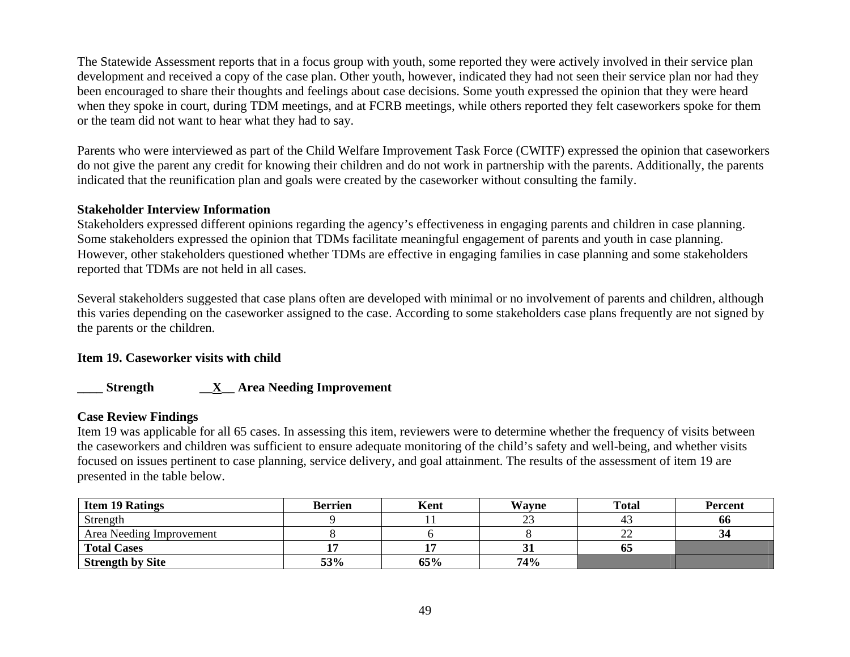The Statewide Assessment reports that in a focus group with youth, some reported they were actively involved in their service plan development and received a copy of the case plan. Other youth, however, indicated they had not seen their service plan nor had they been encouraged to share their thoughts and feelings about case decisions. Some youth expressed the opinion that they were heard when they spoke in court, during TDM meetings, and at FCRB meetings, while others reported they felt caseworkers spoke for them or the team did not want to hear what they had to say.

Parents who were interviewed as part of the Child Welfare Improvement Task Force (CWITF) expressed the opinion that caseworkers do not give the parent any credit for knowing their children and do not work in partnership with the parents. Additionally, the parents indicated that the reunification plan and goals were created by the caseworker without consulting the family.

### **Stakeholder Interview Information**

Stakeholders expressed different opinions regarding the agency's effectiveness in engaging parents and children in case planning. Some stakeholders expressed the opinion that TDMs facilitate meaningful engagement of parents and youth in case planning. However, other stakeholders questioned whether TDMs are effective in engaging families in case planning and some stakeholders reported that TDMs are not held in all cases.

Several stakeholders suggested that case plans often are developed with minimal or no involvement of parents and children, although this varies depending on the caseworker assigned to the case. According to some stakeholders case plans frequently are not signed by the parents or the children.

### **Item 19. Caseworker visits with child**

## **\_\_\_\_ Strength \_\_X\_\_ Area Needing Improvement**

### **Case Review Findings**

Item 19 was applicable for all 65 cases. In assessing this item, reviewers were to determine whether the frequency of visits between the caseworkers and children was sufficient to ensure adequate monitoring of the child's safety and well-being, and whether visits focused on issues pertinent to case planning, service delivery, and goal attainment. The results of the assessment of item 19 are presented in the table below.

| <b>Item 19 Ratings</b>   | <b>Berrien</b> | Kent | Wavne        | <b>Total</b> | <b>Percent</b> |
|--------------------------|----------------|------|--------------|--------------|----------------|
| Strength                 |                |      | 23           |              | 00             |
| Area Needing Improvement |                |      |              | ∸            |                |
| <b>Total Cases</b>       |                |      | $\mathbf{J}$ | 05           |                |
| <b>Strength by Site</b>  | 53%            | 65%  | 74%          |              |                |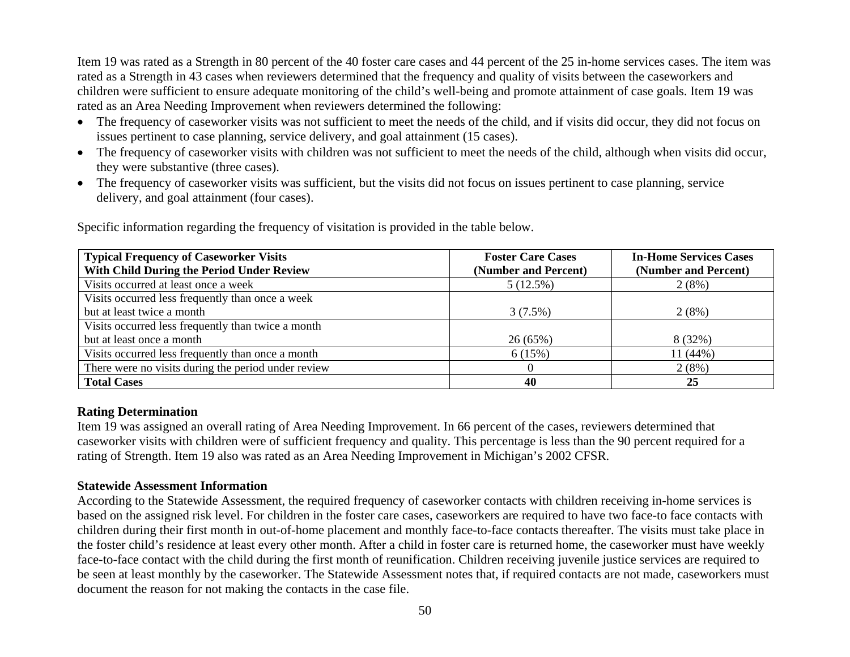Item 19 was rated as a Strength in 80 percent of the 40 foster care cases and 44 percent of the 25 in-home services cases. The item was rated as a Strength in 43 cases when reviewers determined that the frequency and quality of visits between the caseworkers and children were sufficient to ensure adequate monitoring of the child's well-being and promote attainment of case goals. Item 19 was rated as an Area Needing Improvement when reviewers determined the following:

- The frequency of caseworker visits was not sufficient to meet the needs of the child, and if visits did occur, they did not focus on issues pertinent to case planning, service delivery, and goal attainment (15 cases).
- The frequency of caseworker visits with children was not sufficient to meet the needs of the child, although when visits did occur, they were substantive (three cases).
- The frequency of caseworker visits was sufficient, but the visits did not focus on issues pertinent to case planning, service delivery, and goal attainment (four cases).

| <b>Typical Frequency of Caseworker Visits</b>       | <b>Foster Care Cases</b> | <b>In-Home Services Cases</b> |
|-----------------------------------------------------|--------------------------|-------------------------------|
| With Child During the Period Under Review           | (Number and Percent)     | (Number and Percent)          |
| Visits occurred at least once a week                | 5(12.5%)                 | 2(8%)                         |
| Visits occurred less frequently than once a week    |                          |                               |
| but at least twice a month                          | 3(7.5%)                  | 2(8%)                         |
| Visits occurred less frequently than twice a month  |                          |                               |
| but at least once a month                           | 26(65%)                  | 8 (32%)                       |
| Visits occurred less frequently than once a month   | 6(15%)                   | $11(44\%)$                    |
| There were no visits during the period under review |                          | 2(8%)                         |
| <b>Total Cases</b>                                  | 40                       | 25                            |

Specific information regarding the frequency of visitation is provided in the table below.

### **Rating Determination**

Item 19 was assigned an overall rating of Area Needing Improvement. In 66 percent of the cases, reviewers determined that caseworker visits with children were of sufficient frequency and quality. This percentage is less than the 90 percent required for a rating of Strength. Item 19 also was rated as an Area Needing Improvement in Michigan's 2002 CFSR.

### **Statewide Assessment Information**

According to the Statewide Assessment, the required frequency of caseworker contacts with children receiving in-home services is based on the assigned risk level. For children in the foster care cases, caseworkers are required to have two face-to face contacts with children during their first month in out-of-home placement and monthly face-to-face contacts thereafter. The visits must take place in the foster child's residence at least every other month. After a child in foster care is returned home, the caseworker must have weekly face-to-face contact with the child during the first month of reunification. Children receiving juvenile justice services are required to be seen at least monthly by the caseworker. The Statewide Assessment notes that, if required contacts are not made, caseworkers must document the reason for not making the contacts in the case file.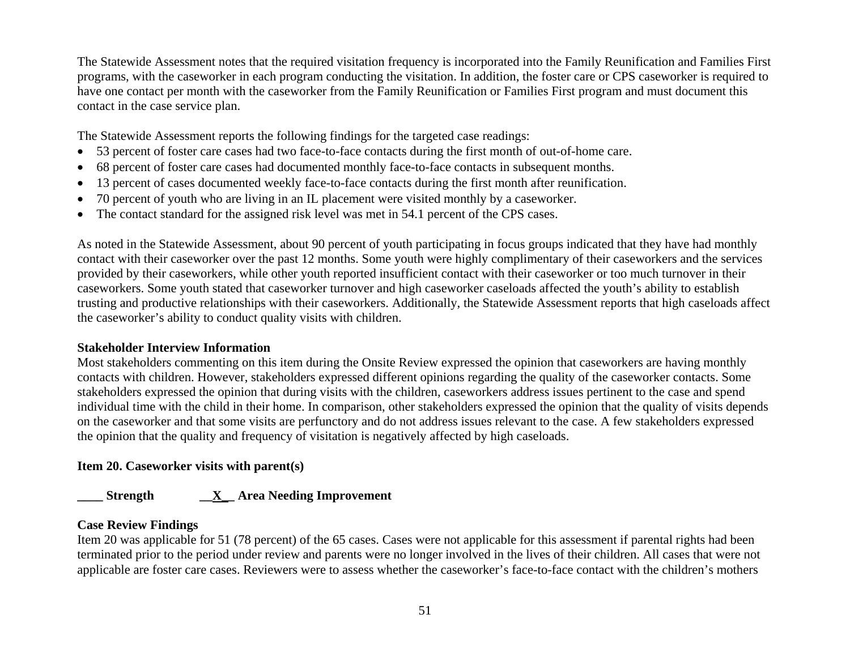The Statewide Assessment notes that the required visitation frequency is incorporated into the Family Reunification and Families First programs, with the caseworker in each program conducting the visitation. In addition, the foster care or CPS caseworker is required to have one contact per month with the caseworker from the Family Reunification or Families First program and must document this contact in the case service plan.

The Statewide Assessment reports the following findings for the targeted case readings:

- •53 percent of foster care cases had two face-to-face contacts during the first month of out-of-home care.
- •68 percent of foster care cases had documented monthly face-to-face contacts in subsequent months.
- •13 percent of cases documented weekly face-to-face contacts during the first month after reunification.
- •70 percent of youth who are living in an IL placement were visited monthly by a caseworker.
- •The contact standard for the assigned risk level was met in 54.1 percent of the CPS cases.

As noted in the Statewide Assessment, about 90 percent of youth participating in focus groups indicated that they have had monthly contact with their caseworker over the past 12 months. Some youth were highly complimentary of their caseworkers and the services provided by their caseworkers, while other youth reported insufficient contact with their caseworker or too much turnover in their caseworkers. Some youth stated that caseworker turnover and high caseworker caseloads affected the youth's ability to establish trusting and productive relationships with their caseworkers. Additionally, the Statewide Assessment reports that high caseloads affect the caseworker's ability to conduct quality visits with children.

### **Stakeholder Interview Information**

Most stakeholders commenting on this item during the Onsite Review expressed the opinion that caseworkers are having monthly contacts with children. However, stakeholders expressed different opinions regarding the quality of the caseworker contacts. Some stakeholders expressed the opinion that during visits with the children, caseworkers address issues pertinent to the case and spend individual time with the child in their home. In comparison, other stakeholders expressed the opinion that the quality of visits depends on the caseworker and that some visits are perfunctory and do not address issues relevant to the case. A few stakeholders expressed the opinion that the quality and frequency of visitation is negatively affected by high caseloads.

## **Item 20. Caseworker visits with parent(s)**

# **\_\_\_\_ Strength \_\_X\_\_ Area Needing Improvement**

# **Case Review Findings**

Item 20 was applicable for 51 (78 percent) of the 65 cases. Cases were not applicable for this assessment if parental rights had been terminated prior to the period under review and parents were no longer involved in the lives of their children. All cases that were not applicable are foster care cases. Reviewers were to assess whether the caseworker's face-to-face contact with the children's mothers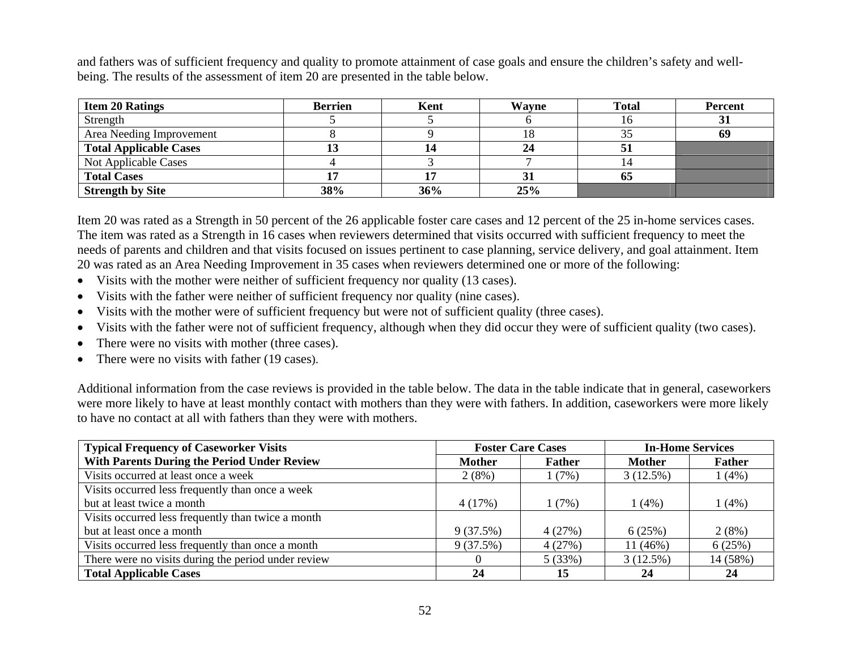and fathers was of sufficient frequency and quality to promote attainment of case goals and ensure the children's safety and wellbeing. The results of the assessment of item 20 are presented in the table below.

| <b>Item 20 Ratings</b>        | <b>Berrien</b> | Kent | Wayne | <b>Total</b> | Percent |
|-------------------------------|----------------|------|-------|--------------|---------|
| Strength                      |                |      |       | 1 O          |         |
| Area Needing Improvement      |                |      | 18    |              | 69      |
| <b>Total Applicable Cases</b> |                |      | 24    | ◡            |         |
| Not Applicable Cases          |                |      |       |              |         |
| <b>Total Cases</b>            |                |      | 31    | 05           |         |
| <b>Strength by Site</b>       | 38%            | 36%  | 25%   |              |         |

Item 20 was rated as a Strength in 50 percent of the 26 applicable foster care cases and 12 percent of the 25 in-home services cases. The item was rated as a Strength in 16 cases when reviewers determined that visits occurred with sufficient frequency to meet the needs of parents and children and that visits focused on issues pertinent to case planning, service delivery, and goal attainment. Item 20 was rated as an Area Needing Improvement in 35 cases when reviewers determined one or more of the following:

- Visits with the mother were neither of sufficient frequency nor quality (13 cases).
- $\bullet$ Visits with the father were neither of sufficient frequency nor quality (nine cases).
- •Visits with the mother were of sufficient frequency but were not of sufficient quality (three cases).
- •Visits with the father were not of sufficient frequency, although when they did occur they were of sufficient quality (two cases).
- •There were no visits with mother (three cases).
- There were no visits with father (19 cases).

Additional information from the case reviews is provided in the table below. The data in the table indicate that in general, caseworkers were more likely to have at least monthly contact with mothers than they were with fathers. In addition, caseworkers were more likely to have no contact at all with fathers than they were with mothers.

| <b>Typical Frequency of Caseworker Visits</b>       |               | <b>Foster Care Cases</b> | <b>In-Home Services</b> |               |
|-----------------------------------------------------|---------------|--------------------------|-------------------------|---------------|
| With Parents During the Period Under Review         | <b>Mother</b> | <b>Father</b>            | <b>Mother</b>           | <b>Father</b> |
| Visits occurred at least once a week                | 2(8%)         | (7%)                     | 3(12.5%)                | 1(4%)         |
| Visits occurred less frequently than once a week    |               |                          |                         |               |
| but at least twice a month                          | 4(17%)        | 1(7%)                    | 1(4%)                   | 1(4%)         |
| Visits occurred less frequently than twice a month  |               |                          |                         |               |
| but at least once a month                           | 9(37.5%)      | 4(27%)                   | 6(25%)                  | 2(8%)         |
| Visits occurred less frequently than once a month   | 9(37.5%)      | 4(27%)                   | $11(46\%)$              | 6(25%)        |
| There were no visits during the period under review |               | 5(33%)                   | 3(12.5%)                | 14 (58%)      |
| <b>Total Applicable Cases</b>                       | 24            | 15                       | 24                      | 24            |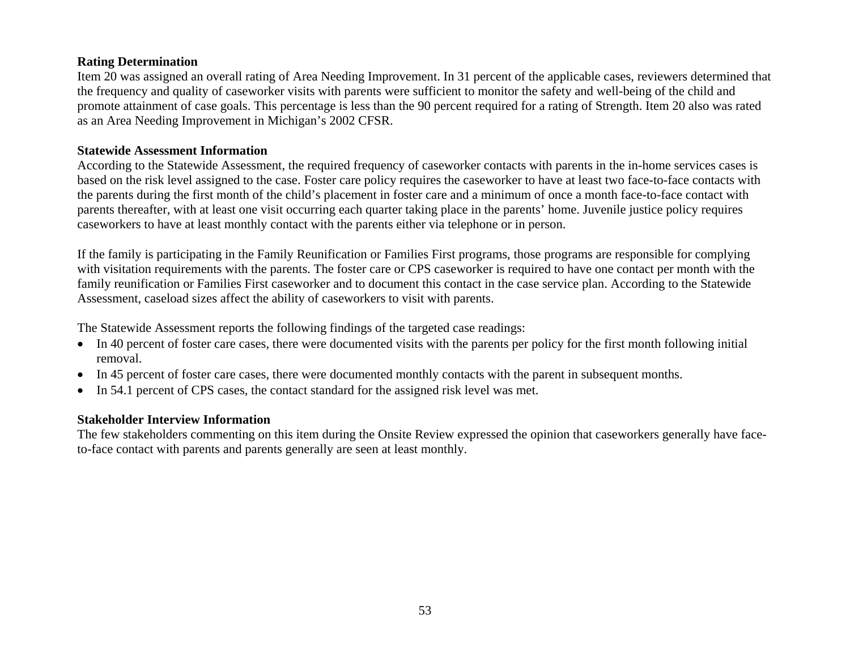### **Rating Determination**

Item 20 was assigned an overall rating of Area Needing Improvement. In 31 percent of the applicable cases, reviewers determined that the frequency and quality of caseworker visits with parents were sufficient to monitor the safety and well-being of the child and promote attainment of case goals. This percentage is less than the 90 percent required for a rating of Strength. Item 20 also was rated as an Area Needing Improvement in Michigan's 2002 CFSR.

### **Statewide Assessment Information**

According to the Statewide Assessment, the required frequency of caseworker contacts with parents in the in-home services cases is based on the risk level assigned to the case. Foster care policy requires the caseworker to have at least two face-to-face contacts with the parents during the first month of the child's placement in foster care and a minimum of once a month face-to-face contact with parents thereafter, with at least one visit occurring each quarter taking place in the parents' home. Juvenile justice policy requires caseworkers to have at least monthly contact with the parents either via telephone or in person.

If the family is participating in the Family Reunification or Families First programs, those programs are responsible for complying with visitation requirements with the parents. The foster care or CPS caseworker is required to have one contact per month with the family reunification or Families First caseworker and to document this contact in the case service plan. According to the Statewide Assessment, caseload sizes affect the ability of caseworkers to visit with parents.

The Statewide Assessment reports the following findings of the targeted case readings:

- In 40 percent of foster care cases, there were documented visits with the parents per policy for the first month following initial removal.
- In 45 percent of foster care cases, there were documented monthly contacts with the parent in subsequent months.
- In 54.1 percent of CPS cases, the contact standard for the assigned risk level was met.

### **Stakeholder Interview Information**

The few stakeholders commenting on this item during the Onsite Review expressed the opinion that caseworkers generally have faceto-face contact with parents and parents generally are seen at least monthly.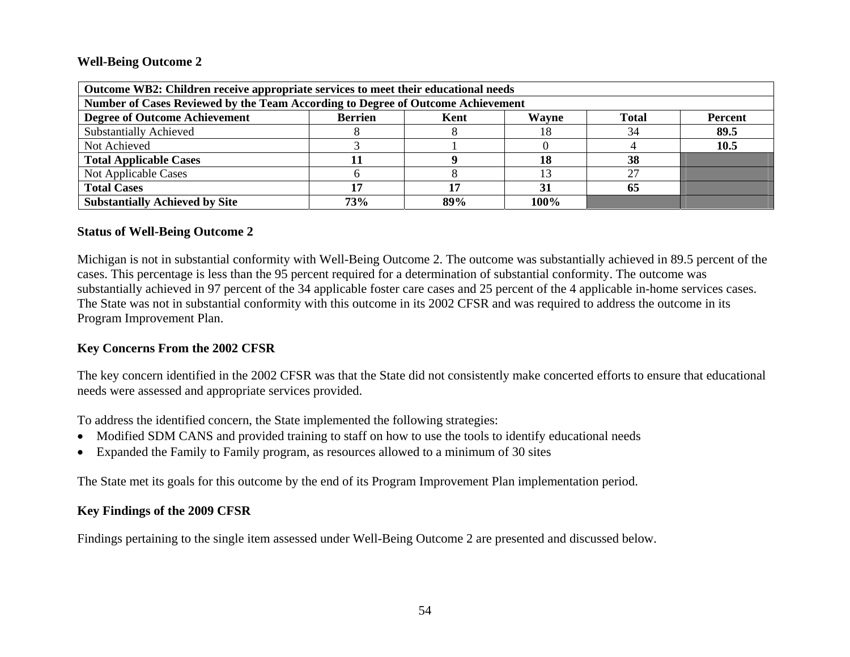#### **Well-Being Outcome 2**

| Outcome WB2: Children receive appropriate services to meet their educational needs                        |            |     |      |    |      |  |  |  |
|-----------------------------------------------------------------------------------------------------------|------------|-----|------|----|------|--|--|--|
| Number of Cases Reviewed by the Team According to Degree of Outcome Achievement                           |            |     |      |    |      |  |  |  |
| <b>Degree of Outcome Achievement</b><br><b>Berrien</b><br>Wayne<br><b>Total</b><br><b>Percent</b><br>Kent |            |     |      |    |      |  |  |  |
| <b>Substantially Achieved</b>                                                                             |            |     | 18   | 34 | 89.5 |  |  |  |
| Not Achieved                                                                                              | 10.5       |     |      |    |      |  |  |  |
| <b>Total Applicable Cases</b>                                                                             |            |     | 18   | 38 |      |  |  |  |
| Not Applicable Cases                                                                                      |            |     |      |    |      |  |  |  |
| <b>Total Cases</b><br>65<br>17<br>31                                                                      |            |     |      |    |      |  |  |  |
| <b>Substantially Achieved by Site</b>                                                                     | <b>73%</b> | 89% | 100% |    |      |  |  |  |

### **Status of Well-Being Outcome 2**

Michigan is not in substantial conformity with Well-Being Outcome 2. The outcome was substantially achieved in 89.5 percent of the cases. This percentage is less than the 95 percent required for a determination of substantial conformity. The outcome was substantially achieved in 97 percent of the 34 applicable foster care cases and 25 percent of the 4 applicable in-home services cases. The State was not in substantial conformity with this outcome in its 2002 CFSR and was required to address the outcome in its Program Improvement Plan.

### **Key Concerns From the 2002 CFSR**

The key concern identified in the 2002 CFSR was that the State did not consistently make concerted efforts to ensure that educational needs were assessed and appropriate services provided.

To address the identified concern, the State implemented the following strategies:

- Modified SDM CANS and provided training to staff on how to use the tools to identify educational needs
- •Expanded the Family to Family program, as resources allowed to a minimum of 30 sites

The State met its goals for this outcome by the end of its Program Improvement Plan implementation period.

### **Key Findings of the 2009 CFSR**

Findings pertaining to the single item assessed under Well-Being Outcome 2 are presented and discussed below.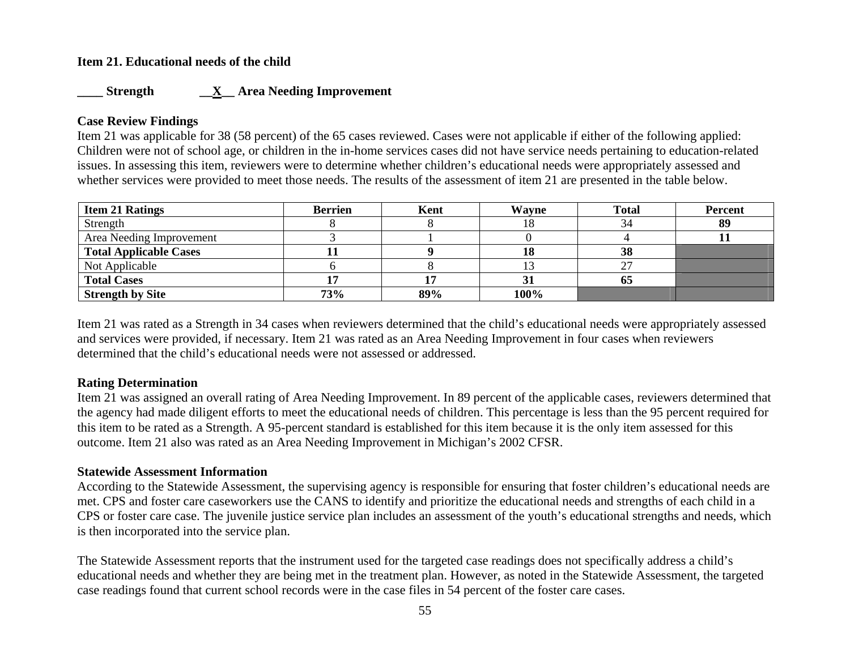### **Item 21. Educational needs of the child**

### **\_\_\_\_ Strength \_\_X\_\_ Area Needing Improvement**

### **Case Review Findings**

Item 21 was applicable for 38 (58 percent) of the 65 cases reviewed. Cases were not applicable if either of the following applied: Children were not of school age, or children in the in-home services cases did not have service needs pertaining to education-related issues. In assessing this item, reviewers were to determine whether children's educational needs were appropriately assessed and whether services were provided to meet those needs. The results of the assessment of item 21 are presented in the table below.

| <b>Item 21 Ratings</b>        | <b>Berrien</b> | Kent | <b>Wayne</b> | <b>Total</b> | <b>Percent</b> |
|-------------------------------|----------------|------|--------------|--------------|----------------|
| Strength                      |                |      | 18           |              | 89             |
| Area Needing Improvement      |                |      |              |              |                |
| <b>Total Applicable Cases</b> |                |      | 18           | 38           |                |
| Not Applicable                |                |      | 13           | $\sim$       |                |
| <b>Total Cases</b>            |                |      | 31           | 65           |                |
| <b>Strength by Site</b>       | 73%            | 89%  | 100%         |              |                |

Item 21 was rated as a Strength in 34 cases when reviewers determined that the child's educational needs were appropriately assessed and services were provided, if necessary. Item 21 was rated as an Area Needing Improvement in four cases when reviewers determined that the child's educational needs were not assessed or addressed.

### **Rating Determination**

Item 21 was assigned an overall rating of Area Needing Improvement. In 89 percent of the applicable cases, reviewers determined that the agency had made diligent efforts to meet the educational needs of children. This percentage is less than the 95 percent required for this item to be rated as a Strength. A 95-percent standard is established for this item because it is the only item assessed for this outcome. Item 21 also was rated as an Area Needing Improvement in Michigan's 2002 CFSR.

#### **Statewide Assessment Information**

According to the Statewide Assessment, the supervising agency is responsible for ensuring that foster children's educational needs are met. CPS and foster care caseworkers use the CANS to identify and prioritize the educational needs and strengths of each child in a CPS or foster care case. The juvenile justice service plan includes an assessment of the youth's educational strengths and needs, which is then incorporated into the service plan.

The Statewide Assessment reports that the instrument used for the targeted case readings does not specifically address a child's educational needs and whether they are being met in the treatment plan. However, as noted in the Statewide Assessment, the targeted case readings found that current school records were in the case files in 54 percent of the foster care cases.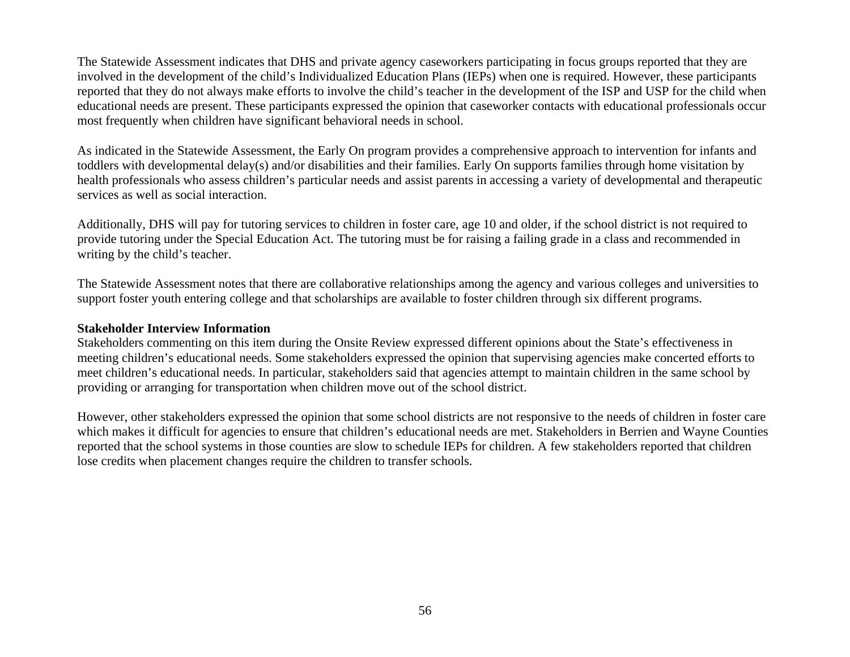The Statewide Assessment indicates that DHS and private agency caseworkers participating in focus groups reported that they are involved in the development of the child's Individualized Education Plans (IEPs) when one is required. However, these participants reported that they do not always make efforts to involve the child's teacher in the development of the ISP and USP for the child when educational needs are present. These participants expressed the opinion that caseworker contacts with educational professionals occur most frequently when children have significant behavioral needs in school.

As indicated in the Statewide Assessment, the Early On program provides a comprehensive approach to intervention for infants and toddlers with developmental delay(s) and/or disabilities and their families. Early On supports families through home visitation by health professionals who assess children's particular needs and assist parents in accessing a variety of developmental and therapeutic services as well as social interaction.

Additionally, DHS will pay for tutoring services to children in foster care, age 10 and older, if the school district is not required to provide tutoring under the Special Education Act. The tutoring must be for raising a failing grade in a class and recommended in writing by the child's teacher.

The Statewide Assessment notes that there are collaborative relationships among the agency and various colleges and universities to support foster youth entering college and that scholarships are available to foster children through six different programs.

#### **Stakeholder Interview Information**

Stakeholders commenting on this item during the Onsite Review expressed different opinions about the State's effectiveness in meeting children's educational needs. Some stakeholders expressed the opinion that supervising agencies make concerted efforts to meet children's educational needs. In particular, stakeholders said that agencies attempt to maintain children in the same school by providing or arranging for transportation when children move out of the school district.

However, other stakeholders expressed the opinion that some school districts are not responsive to the needs of children in foster care which makes it difficult for agencies to ensure that children's educational needs are met. Stakeholders in Berrien and Wayne Counties reported that the school systems in those counties are slow to schedule IEPs for children. A few stakeholders reported that children lose credits when placement changes require the children to transfer schools.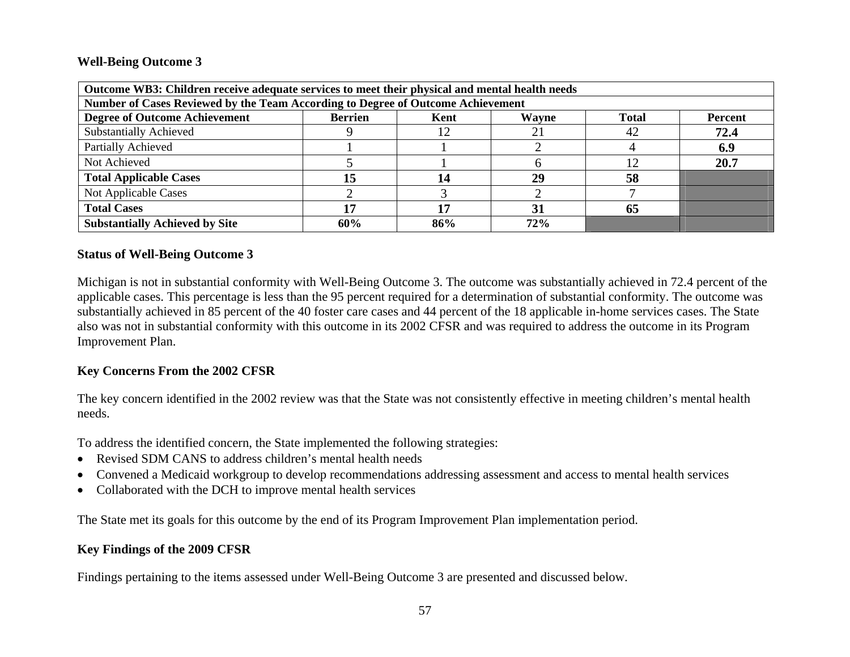### **Well-Being Outcome 3**

| Outcome WB3: Children receive adequate services to meet their physical and mental health needs     |     |     |     |    |      |  |  |
|----------------------------------------------------------------------------------------------------|-----|-----|-----|----|------|--|--|
| Number of Cases Reviewed by the Team According to Degree of Outcome Achievement                    |     |     |     |    |      |  |  |
| <b>Degree of Outcome Achievement</b><br><b>Berrien</b><br><b>Total</b><br>Wayne<br>Kent<br>Percent |     |     |     |    |      |  |  |
| <b>Substantially Achieved</b>                                                                      |     |     |     | 42 | 72.4 |  |  |
| Partially Achieved                                                                                 |     |     |     |    | 6.9  |  |  |
| Not Achieved                                                                                       |     |     |     | 12 | 20.7 |  |  |
| <b>Total Applicable Cases</b>                                                                      | 15  | 14  | 29  | 58 |      |  |  |
| Not Applicable Cases                                                                               |     |     |     |    |      |  |  |
| <b>Total Cases</b>                                                                                 |     |     | 31  | 65 |      |  |  |
| <b>Substantially Achieved by Site</b>                                                              | 60% | 86% | 72% |    |      |  |  |

### **Status of Well-Being Outcome 3**

Michigan is not in substantial conformity with Well-Being Outcome 3. The outcome was substantially achieved in 72.4 percent of the applicable cases. This percentage is less than the 95 percent required for a determination of substantial conformity. The outcome was substantially achieved in 85 percent of the 40 foster care cases and 44 percent of the 18 applicable in-home services cases. The State also was not in substantial conformity with this outcome in its 2002 CFSR and was required to address the outcome in its Program Improvement Plan.

### **Key Concerns From the 2002 CFSR**

The key concern identified in the 2002 review was that the State was not consistently effective in meeting children's mental health needs.

To address the identified concern, the State implemented the following strategies:

- Revised SDM CANS to address children's mental health needs
- •Convened a Medicaid workgroup to develop recommendations addressing assessment and access to mental health services
- Collaborated with the DCH to improve mental health services

The State met its goals for this outcome by the end of its Program Improvement Plan implementation period.

### **Key Findings of the 2009 CFSR**

Findings pertaining to the items assessed under Well-Being Outcome 3 are presented and discussed below.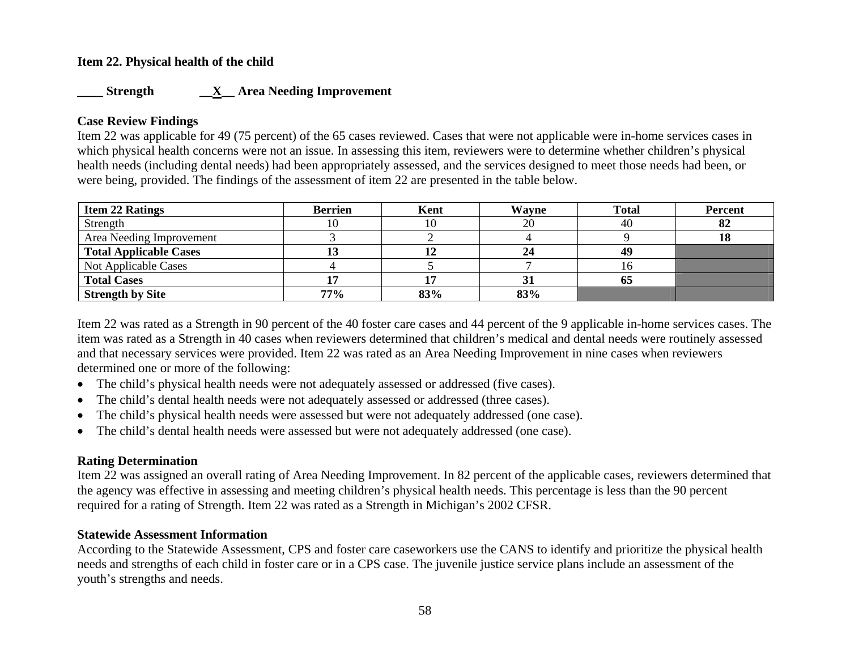### **Item 22. Physical health of the child**

### **\_\_\_\_ Strength \_\_X\_\_ Area Needing Improvement**

### **Case Review Findings**

Item 22 was applicable for 49 (75 percent) of the 65 cases reviewed. Cases that were not applicable were in-home services cases in which physical health concerns were not an issue. In assessing this item, reviewers were to determine whether children's physical health needs (including dental needs) had been appropriately assessed, and the services designed to meet those needs had been, or were being, provided. The findings of the assessment of item 22 are presented in the table below.

| <b>Item 22 Ratings</b>        | <b>Berrien</b> | Kent | Wayne | <b>Total</b> | <b>Percent</b> |
|-------------------------------|----------------|------|-------|--------------|----------------|
| Strength                      | 10             | 10   | 20    | 40           | 82             |
| Area Needing Improvement      |                |      |       |              |                |
| <b>Total Applicable Cases</b> |                |      | 24    | 49           |                |
| Not Applicable Cases          |                |      |       | ιO           |                |
| <b>Total Cases</b>            |                |      | 31    | 05           |                |
| <b>Strength by Site</b>       | 77%            | 83%  | 83%   |              |                |

Item 22 was rated as a Strength in 90 percent of the 40 foster care cases and 44 percent of the 9 applicable in-home services cases. The item was rated as a Strength in 40 cases when reviewers determined that children's medical and dental needs were routinely assessed and that necessary services were provided. Item 22 was rated as an Area Needing Improvement in nine cases when reviewers determined one or more of the following:

- The child's physical health needs were not adequately assessed or addressed (five cases).
- •The child's dental health needs were not adequately assessed or addressed (three cases).
- •The child's physical health needs were assessed but were not adequately addressed (one case).
- •The child's dental health needs were assessed but were not adequately addressed (one case).

## **Rating Determination**

Item 22 was assigned an overall rating of Area Needing Improvement. In 82 percent of the applicable cases, reviewers determined that the agency was effective in assessing and meeting children's physical health needs. This percentage is less than the 90 percent required for a rating of Strength. Item 22 was rated as a Strength in Michigan's 2002 CFSR.

### **Statewide Assessment Information**

According to the Statewide Assessment, CPS and foster care caseworkers use the CANS to identify and prioritize the physical health needs and strengths of each child in foster care or in a CPS case. The juvenile justice service plans include an assessment of the youth's strengths and needs.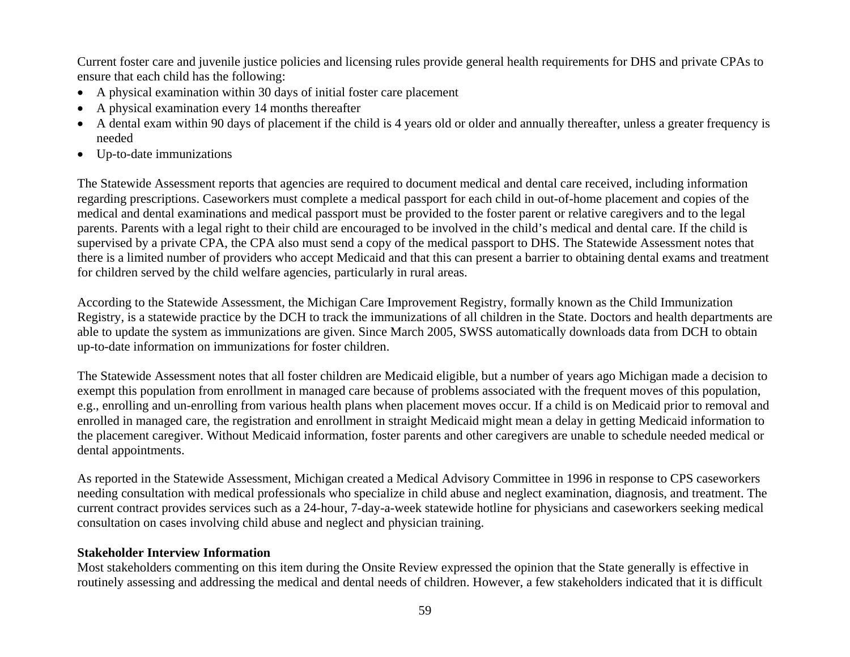Current foster care and juvenile justice policies and licensing rules provide general health requirements for DHS and private CPAs to ensure that each child has the following:

- A physical examination within 30 days of initial foster care placement
- •A physical examination every 14 months thereafter
- A dental exam within 90 days of placement if the child is 4 years old or older and annually thereafter, unless a greater frequency is needed
- Up-to-date immunizations

The Statewide Assessment reports that agencies are required to document medical and dental care received, including information regarding prescriptions. Caseworkers must complete a medical passport for each child in out-of-home placement and copies of the medical and dental examinations and medical passport must be provided to the foster parent or relative caregivers and to the legal parents. Parents with a legal right to their child are encouraged to be involved in the child's medical and dental care. If the child is supervised by a private CPA, the CPA also must send a copy of the medical passport to DHS. The Statewide Assessment notes that there is a limited number of providers who accept Medicaid and that this can present a barrier to obtaining dental exams and treatment for children served by the child welfare agencies, particularly in rural areas.

According to the Statewide Assessment, the Michigan Care Improvement Registry, formally known as the Child Immunization Registry, is a statewide practice by the DCH to track the immunizations of all children in the State. Doctors and health departments are able to update the system as immunizations are given. Since March 2005, SWSS automatically downloads data from DCH to obtain up-to-date information on immunizations for foster children.

The Statewide Assessment notes that all foster children are Medicaid eligible, but a number of years ago Michigan made a decision to exempt this population from enrollment in managed care because of problems associated with the frequent moves of this population, e.g., enrolling and un-enrolling from various health plans when placement moves occur. If a child is on Medicaid prior to removal and enrolled in managed care, the registration and enrollment in straight Medicaid might mean a delay in getting Medicaid information to the placement caregiver. Without Medicaid information, foster parents and other caregivers are unable to schedule needed medical or dental appointments.

As reported in the Statewide Assessment, Michigan created a Medical Advisory Committee in 1996 in response to CPS caseworkers needing consultation with medical professionals who specialize in child abuse and neglect examination, diagnosis, and treatment. The current contract provides services such as a 24-hour, 7-day-a-week statewide hotline for physicians and caseworkers seeking medical consultation on cases involving child abuse and neglect and physician training.

### **Stakeholder Interview Information**

Most stakeholders commenting on this item during the Onsite Review expressed the opinion that the State generally is effective in routinely assessing and addressing the medical and dental needs of children. However, a few stakeholders indicated that it is difficult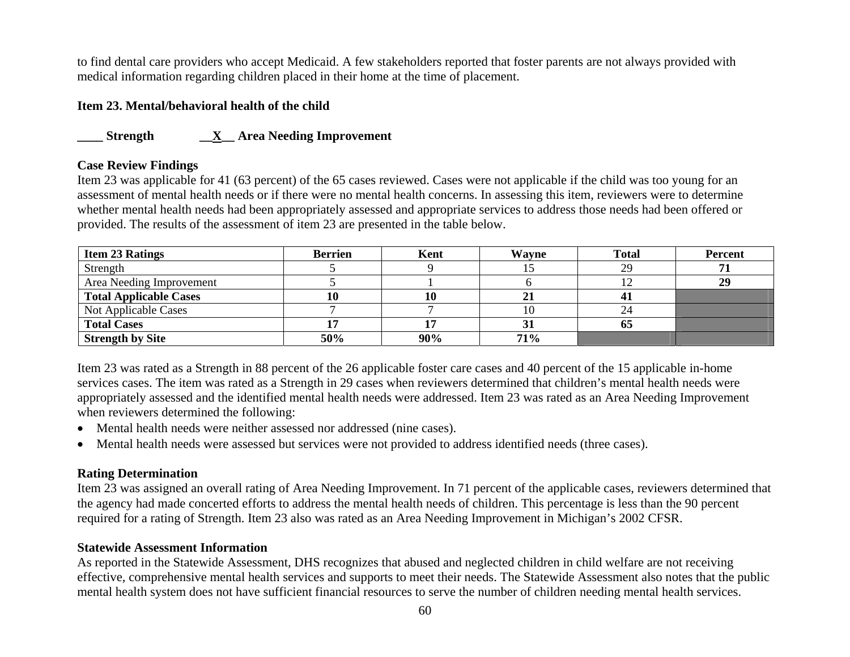to find dental care providers who accept Medicaid. A few stakeholders reported that foster parents are not always provided with medical information regarding children placed in their home at the time of placement.

### **Item 23. Mental/behavioral health of the child**

## **\_\_\_\_ Strength \_\_X\_\_ Area Needing Improvement**

### **Case Review Findings**

Item 23 was applicable for 41 (63 percent) of the 65 cases reviewed. Cases were not applicable if the child was too young for an assessment of mental health needs or if there were no mental health concerns. In assessing this item, reviewers were to determine whether mental health needs had been appropriately assessed and appropriate services to address those needs had been offered or provided. The results of the assessment of item 23 are presented in the table below.

| <b>Item 23 Ratings</b>        | <b>Berrien</b> | Kent | Wavne | <b>Total</b> | Percent |
|-------------------------------|----------------|------|-------|--------------|---------|
| Strength                      |                |      |       | 29           |         |
| Area Needing Improvement      |                |      |       |              | 29      |
| <b>Total Applicable Cases</b> |                | 10   | 21    |              |         |
| Not Applicable Cases          |                |      | ΙU    |              |         |
| <b>Total Cases</b>            |                |      | 31    | UJ.          |         |
| <b>Strength by Site</b>       | 50%            | 90%  | 71%   |              |         |

Item 23 was rated as a Strength in 88 percent of the 26 applicable foster care cases and 40 percent of the 15 applicable in-home services cases. The item was rated as a Strength in 29 cases when reviewers determined that children's mental health needs were appropriately assessed and the identified mental health needs were addressed. Item 23 was rated as an Area Needing Improvement when reviewers determined the following:

- Mental health needs were neither assessed nor addressed (nine cases).
- Mental health needs were assessed but services were not provided to address identified needs (three cases).

### **Rating Determination**

Item 23 was assigned an overall rating of Area Needing Improvement. In 71 percent of the applicable cases, reviewers determined that the agency had made concerted efforts to address the mental health needs of children. This percentage is less than the 90 percent required for a rating of Strength. Item 23 also was rated as an Area Needing Improvement in Michigan's 2002 CFSR.

### **Statewide Assessment Information**

As reported in the Statewide Assessment, DHS recognizes that abused and neglected children in child welfare are not receiving effective, comprehensive mental health services and supports to meet their needs. The Statewide Assessment also notes that the public mental health system does not have sufficient financial resources to serve the number of children needing mental health services.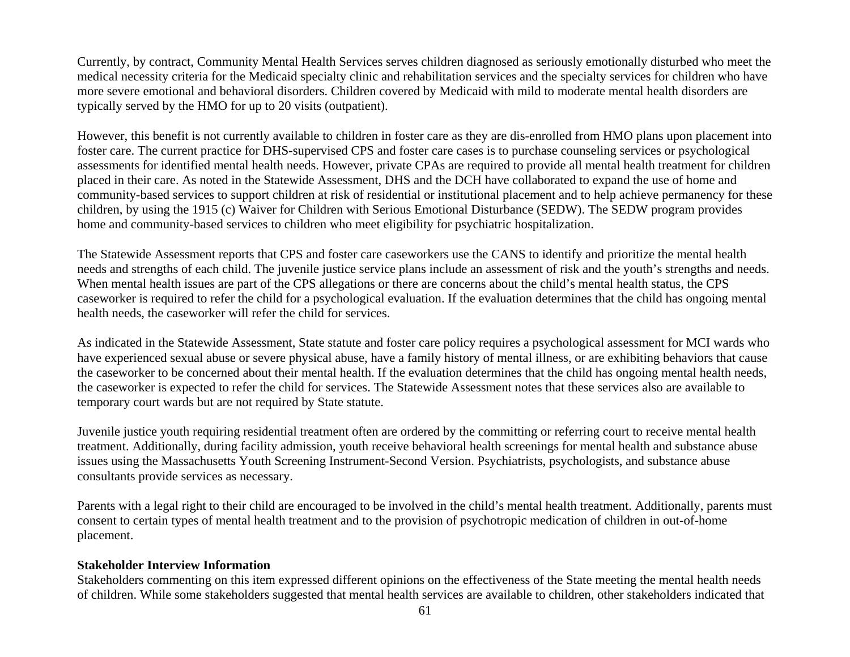Currently, by contract, Community Mental Health Services serves children diagnosed as seriously emotionally disturbed who meet the medical necessity criteria for the Medicaid specialty clinic and rehabilitation services and the specialty services for children who have more severe emotional and behavioral disorders. Children covered by Medicaid with mild to moderate mental health disorders are typically served by the HMO for up to 20 visits (outpatient).

However, this benefit is not currently available to children in foster care as they are dis-enrolled from HMO plans upon placement into foster care. The current practice for DHS-supervised CPS and foster care cases is to purchase counseling services or psychological assessments for identified mental health needs. However, private CPAs are required to provide all mental health treatment for children placed in their care. As noted in the Statewide Assessment, DHS and the DCH have collaborated to expand the use of home and community-based services to support children at risk of residential or institutional placement and to help achieve permanency for these children, by using the 1915 (c) Waiver for Children with Serious Emotional Disturbance (SEDW). The SEDW program provides home and community-based services to children who meet eligibility for psychiatric hospitalization.

The Statewide Assessment reports that CPS and foster care caseworkers use the CANS to identify and prioritize the mental health needs and strengths of each child. The juvenile justice service plans include an assessment of risk and the youth's strengths and needs. When mental health issues are part of the CPS allegations or there are concerns about the child's mental health status, the CPS caseworker is required to refer the child for a psychological evaluation. If the evaluation determines that the child has ongoing mental health needs, the caseworker will refer the child for services.

As indicated in the Statewide Assessment, State statute and foster care policy requires a psychological assessment for MCI wards who have experienced sexual abuse or severe physical abuse, have a family history of mental illness, or are exhibiting behaviors that cause the caseworker to be concerned about their mental health. If the evaluation determines that the child has ongoing mental health needs, the caseworker is expected to refer the child for services. The Statewide Assessment notes that these services also are available to temporary court wards but are not required by State statute.

Juvenile justice youth requiring residential treatment often are ordered by the committing or referring court to receive mental health treatment. Additionally, during facility admission, youth receive behavioral health screenings for mental health and substance abuse issues using the Massachusetts Youth Screening Instrument-Second Version. Psychiatrists, psychologists, and substance abuse consultants provide services as necessary.

Parents with a legal right to their child are encouraged to be involved in the child's mental health treatment. Additionally, parents must consent to certain types of mental health treatment and to the provision of psychotropic medication of children in out-of-home placement.

### **Stakeholder Interview Information**

Stakeholders commenting on this item expressed different opinions on the effectiveness of the State meeting the mental health needs of children. While some stakeholders suggested that mental health services are available to children, other stakeholders indicated that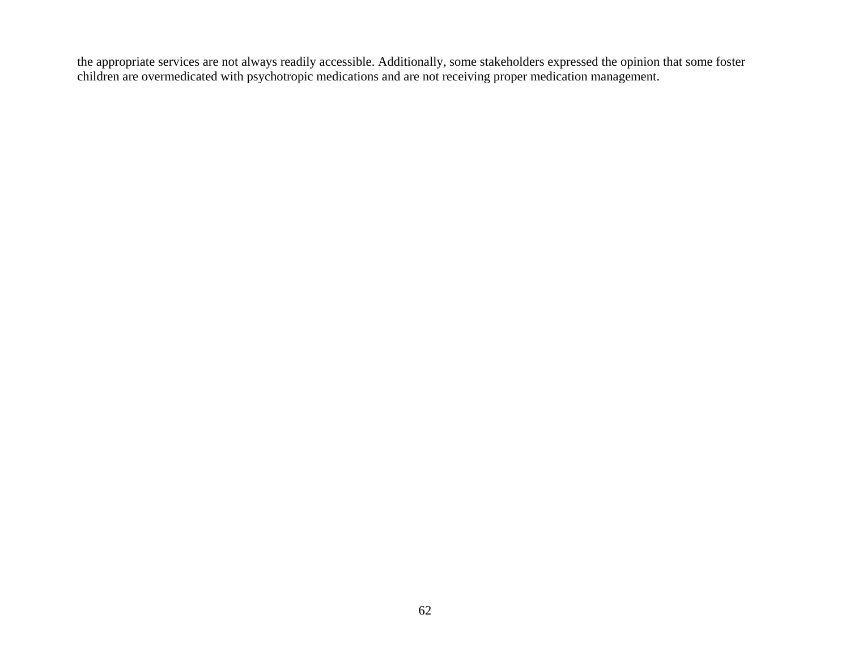the appropriate services are not always readily accessible. Additionally, some stakeholders expressed the opinion that some foster children are overmedicated with psychotropic medications and are not receiving proper medication management.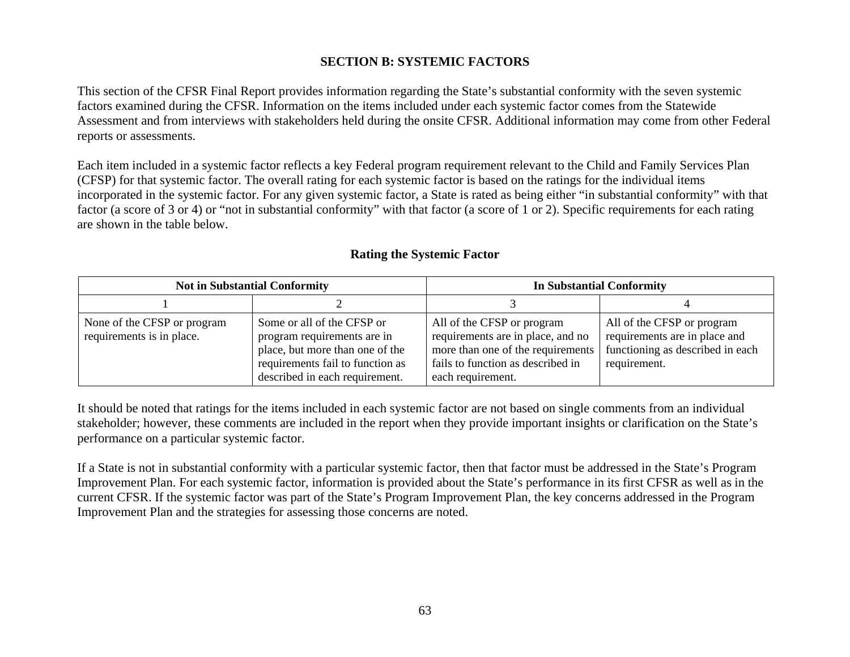## **SECTION B: SYSTEMIC FACTORS**

This section of the CFSR Final Report provides information regarding the State's substantial conformity with the seven systemic factors examined during the CFSR. Information on the items included under each systemic factor comes from the Statewide Assessment and from interviews with stakeholders held during the onsite CFSR. Additional information may come from other Federal reports or assessments.

Each item included in a systemic factor reflects a key Federal program requirement relevant to the Child and Family Services Plan (CFSP) for that systemic factor. The overall rating for each systemic factor is based on the ratings for the individual items incorporated in the systemic factor. For any given systemic factor, a State is rated as being either "in substantial conformity" with that factor (a score of 3 or 4) or "not in substantial conformity" with that factor (a score of 1 or 2). Specific requirements for each rating are shown in the table below.

| <b>Not in Substantial Conformity</b>                     |                                                                                                                                                                    | <b>In Substantial Conformity</b>                                                                                                                               |                                                                                                                 |  |
|----------------------------------------------------------|--------------------------------------------------------------------------------------------------------------------------------------------------------------------|----------------------------------------------------------------------------------------------------------------------------------------------------------------|-----------------------------------------------------------------------------------------------------------------|--|
|                                                          |                                                                                                                                                                    |                                                                                                                                                                |                                                                                                                 |  |
| None of the CFSP or program<br>requirements is in place. | Some or all of the CFSP or<br>program requirements are in<br>place, but more than one of the<br>requirements fail to function as<br>described in each requirement. | All of the CFSP or program<br>requirements are in place, and no<br>more than one of the requirements<br>fails to function as described in<br>each requirement. | All of the CFSP or program<br>requirements are in place and<br>functioning as described in each<br>requirement. |  |

## **Rating the Systemic Factor**

It should be noted that ratings for the items included in each systemic factor are not based on single comments from an individual stakeholder; however, these comments are included in the report when they provide important insights or clarification on the State's performance on a particular systemic factor.

If a State is not in substantial conformity with a particular systemic factor, then that factor must be addressed in the State's Program Improvement Plan. For each systemic factor, information is provided about the State's performance in its first CFSR as well as in the current CFSR. If the systemic factor was part of the State's Program Improvement Plan, the key concerns addressed in the Program Improvement Plan and the strategies for assessing those concerns are noted.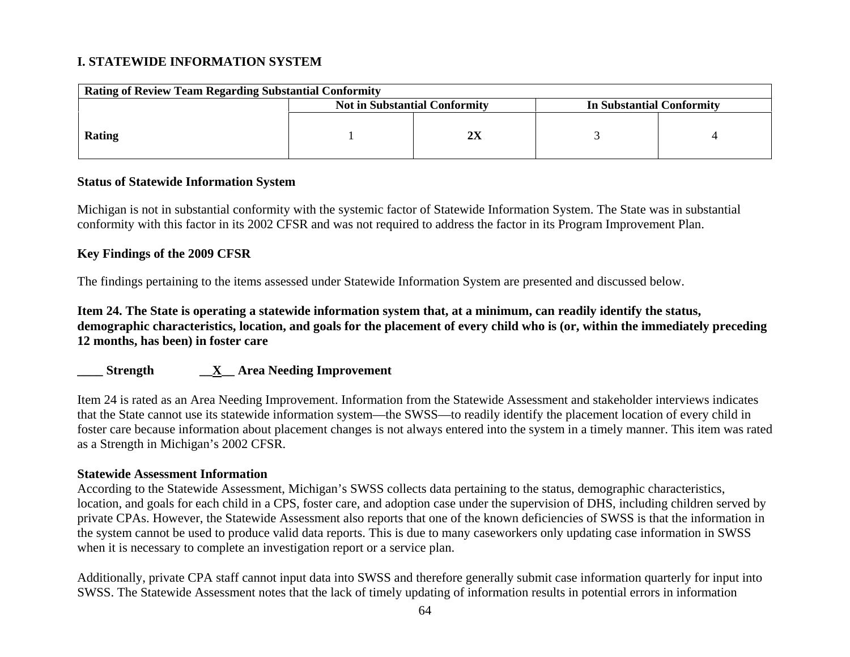## **I. STATEWIDE INFORMATION SYSTEM**

| <b>Rating of Review Team Regarding Substantial Conformity</b>     |  |  |  |  |  |  |
|-------------------------------------------------------------------|--|--|--|--|--|--|
| <b>Not in Substantial Conformity</b><br>In Substantial Conformity |  |  |  |  |  |  |
| Rating                                                            |  |  |  |  |  |  |

### **Status of Statewide Information System**

Michigan is not in substantial conformity with the systemic factor of Statewide Information System. The State was in substantial conformity with this factor in its 2002 CFSR and was not required to address the factor in its Program Improvement Plan.

#### **Key Findings of the 2009 CFSR**

The findings pertaining to the items assessed under Statewide Information System are presented and discussed below.

**Item 24. The State is operating a statewide information system that, at a minimum, can readily identify the status, demographic characteristics, location, and goals for the placement of every child who is (or, within the immediately preceding 12 months, has been) in foster care** 

### **\_\_\_\_ Strength \_\_X\_\_ Area Needing Improvement**

Item 24 is rated as an Area Needing Improvement. Information from the Statewide Assessment and stakeholder interviews indicates that the State cannot use its statewide information system—the SWSS—to readily identify the placement location of every child in foster care because information about placement changes is not always entered into the system in a timely manner. This item was rated as a Strength in Michigan's 2002 CFSR.

#### **Statewide Assessment Information**

According to the Statewide Assessment, Michigan's SWSS collects data pertaining to the status, demographic characteristics, location, and goals for each child in a CPS, foster care, and adoption case under the supervision of DHS, including children served by private CPAs. However, the Statewide Assessment also reports that one of the known deficiencies of SWSS is that the information in the system cannot be used to produce valid data reports. This is due to many caseworkers only updating case information in SWSS when it is necessary to complete an investigation report or a service plan.

Additionally, private CPA staff cannot input data into SWSS and therefore generally submit case information quarterly for input into SWSS. The Statewide Assessment notes that the lack of timely updating of information results in potential errors in information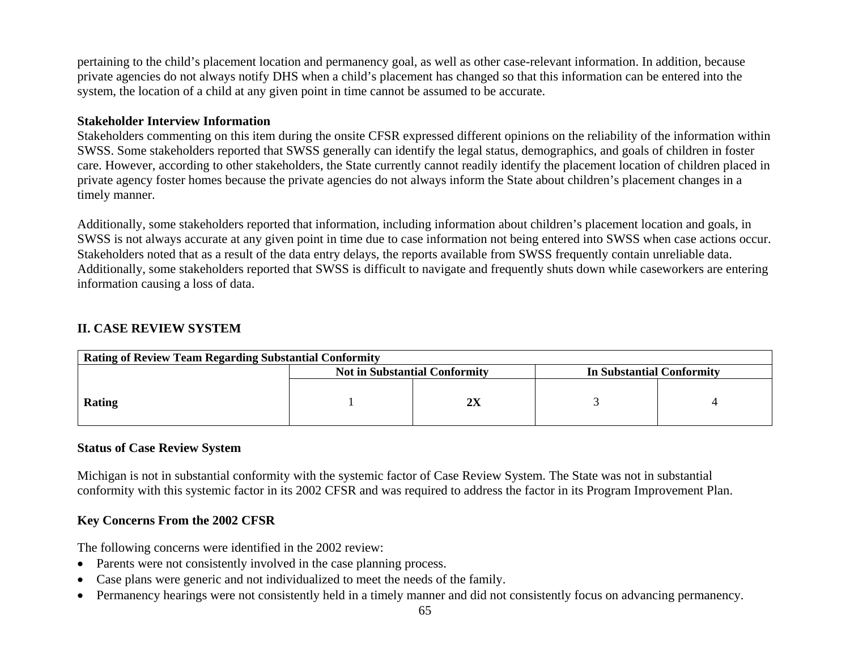pertaining to the child's placement location and permanency goal, as well as other case-relevant information. In addition, because private agencies do not always notify DHS when a child's placement has changed so that this information can be entered into the system, the location of a child at any given point in time cannot be assumed to be accurate.

### **Stakeholder Interview Information**

Stakeholders commenting on this item during the onsite CFSR expressed different opinions on the reliability of the information within SWSS. Some stakeholders reported that SWSS generally can identify the legal status, demographics, and goals of children in foster care. However, according to other stakeholders, the State currently cannot readily identify the placement location of children placed in private agency foster homes because the private agencies do not always inform the State about children's placement changes in a timely manner.

Additionally, some stakeholders reported that information, including information about children's placement location and goals, in SWSS is not always accurate at any given point in time due to case information not being entered into SWSS when case actions occur. Stakeholders noted that as a result of the data entry delays, the reports available from SWSS frequently contain unreliable data. Additionally, some stakeholders reported that SWSS is difficult to navigate and frequently shuts down while caseworkers are entering information causing a loss of data.

### **II. CASE REVIEW SYSTEM**

| <b>Rating of Review Team Regarding Substantial Conformity</b>     |  |  |  |  |  |  |  |
|-------------------------------------------------------------------|--|--|--|--|--|--|--|
| <b>Not in Substantial Conformity</b><br>In Substantial Conformity |  |  |  |  |  |  |  |
| Rating                                                            |  |  |  |  |  |  |  |

### **Status of Case Review System**

Michigan is not in substantial conformity with the systemic factor of Case Review System. The State was not in substantial conformity with this systemic factor in its 2002 CFSR and was required to address the factor in its Program Improvement Plan.

## **Key Concerns From the 2002 CFSR**

The following concerns were identified in the 2002 review:

- Parents were not consistently involved in the case planning process.
- •Case plans were generic and not individualized to meet the needs of the family.
- Permanency hearings were not consistently held in a timely manner and did not consistently focus on advancing permanency.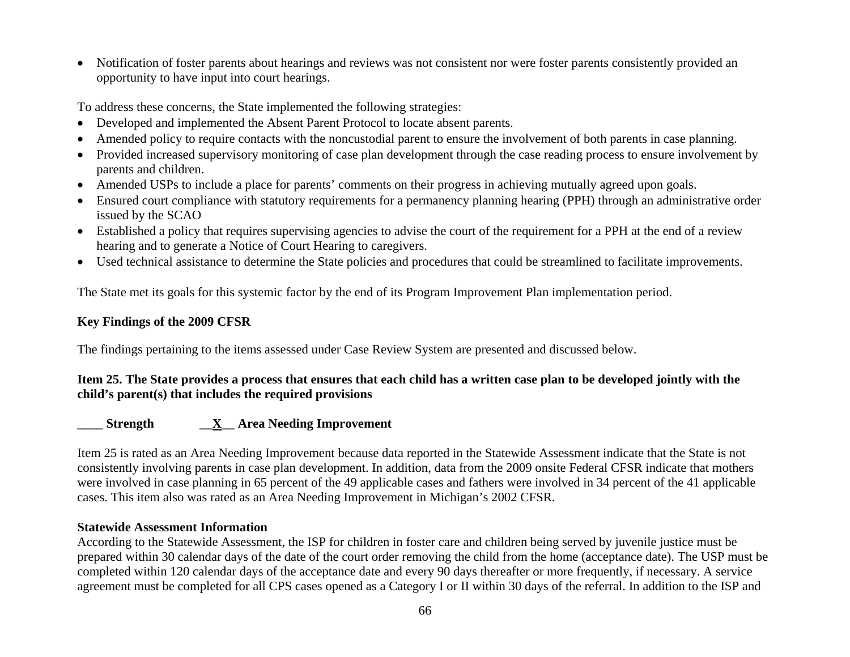• Notification of foster parents about hearings and reviews was not consistent nor were foster parents consistently provided an opportunity to have input into court hearings.

To address these concerns, the State implemented the following strategies:

- Developed and implemented the Absent Parent Protocol to locate absent parents.
- Amended policy to require contacts with the noncustodial parent to ensure the involvement of both parents in case planning.
- Provided increased supervisory monitoring of case plan development through the case reading process to ensure involvement by parents and children.
- Amended USPs to include a place for parents' comments on their progress in achieving mutually agreed upon goals.
- Ensured court compliance with statutory requirements for a permanency planning hearing (PPH) through an administrative order issued by the SCAO
- Established a policy that requires supervising agencies to advise the court of the requirement for a PPH at the end of a review hearing and to generate a Notice of Court Hearing to caregivers.
- Used technical assistance to determine the State policies and procedures that could be streamlined to facilitate improvements.

The State met its goals for this systemic factor by the end of its Program Improvement Plan implementation period.

## **Key Findings of the 2009 CFSR**

The findings pertaining to the items assessed under Case Review System are presented and discussed below.

## **Item 25. The State provides a process that ensures that each child has a written case plan to be developed jointly with the child's parent(s) that includes the required provisions**

## **\_\_\_\_ Strength \_\_X\_\_ Area Needing Improvement**

Item 25 is rated as an Area Needing Improvement because data reported in the Statewide Assessment indicate that the State is not consistently involving parents in case plan development. In addition, data from the 2009 onsite Federal CFSR indicate that mothers were involved in case planning in 65 percent of the 49 applicable cases and fathers were involved in 34 percent of the 41 applicable cases. This item also was rated as an Area Needing Improvement in Michigan's 2002 CFSR.

### **Statewide Assessment Information**

According to the Statewide Assessment, the ISP for children in foster care and children being served by juvenile justice must be prepared within 30 calendar days of the date of the court order removing the child from the home (acceptance date). The USP must be completed within 120 calendar days of the acceptance date and every 90 days thereafter or more frequently, if necessary. A service agreement must be completed for all CPS cases opened as a Category I or II within 30 days of the referral. In addition to the ISP and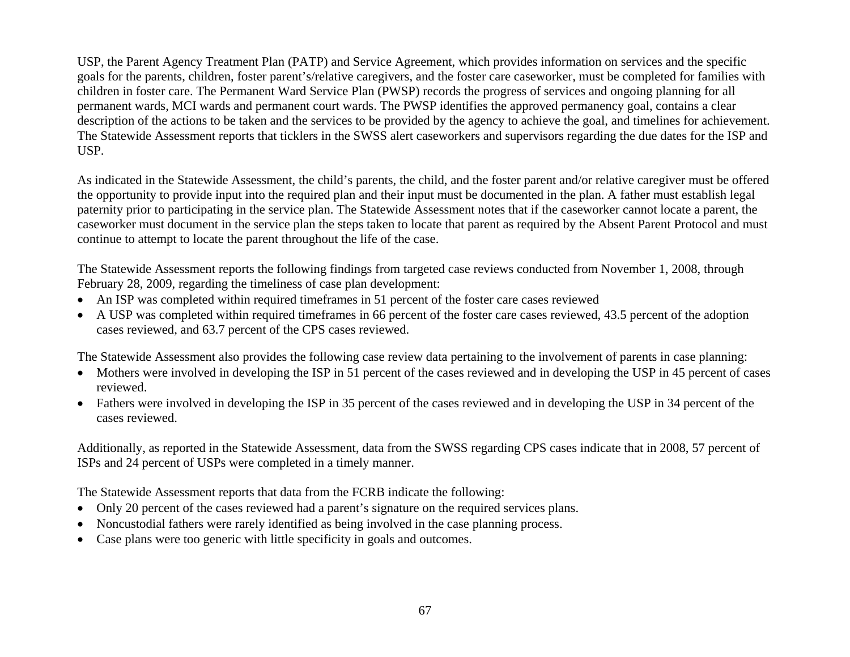USP, the Parent Agency Treatment Plan (PATP) and Service Agreement, which provides information on services and the specific goals for the parents, children, foster parent's/relative caregivers, and the foster care caseworker, must be completed for families with children in foster care. The Permanent Ward Service Plan (PWSP) records the progress of services and ongoing planning for all permanent wards, MCI wards and permanent court wards. The PWSP identifies the approved permanency goal, contains a clear description of the actions to be taken and the services to be provided by the agency to achieve the goal, and timelines for achievement. The Statewide Assessment reports that ticklers in the SWSS alert caseworkers and supervisors regarding the due dates for the ISP and USP.

As indicated in the Statewide Assessment, the child's parents, the child, and the foster parent and/or relative caregiver must be offered the opportunity to provide input into the required plan and their input must be documented in the plan. A father must establish legal paternity prior to participating in the service plan. The Statewide Assessment notes that if the caseworker cannot locate a parent, the caseworker must document in the service plan the steps taken to locate that parent as required by the Absent Parent Protocol and must continue to attempt to locate the parent throughout the life of the case.

The Statewide Assessment reports the following findings from targeted case reviews conducted from November 1, 2008, through February 28, 2009, regarding the timeliness of case plan development:

- An ISP was completed within required time frames in 51 percent of the foster care cases reviewed
- A USP was completed within required timeframes in 66 percent of the foster care cases reviewed, 43.5 percent of the adoption cases reviewed, and 63.7 percent of the CPS cases reviewed.

The Statewide Assessment also provides the following case review data pertaining to the involvement of parents in case planning:

- Mothers were involved in developing the ISP in 51 percent of the cases reviewed and in developing the USP in 45 percent of cases reviewed.
- Fathers were involved in developing the ISP in 35 percent of the cases reviewed and in developing the USP in 34 percent of the cases reviewed.

Additionally, as reported in the Statewide Assessment, data from the SWSS regarding CPS cases indicate that in 2008, 57 percent of ISPs and 24 percent of USPs were completed in a timely manner.

The Statewide Assessment reports that data from the FCRB indicate the following:

- Only 20 percent of the cases reviewed had a parent's signature on the required services plans.
- Noncustodial fathers were rarely identified as being involved in the case planning process.
- •Case plans were too generic with little specificity in goals and outcomes.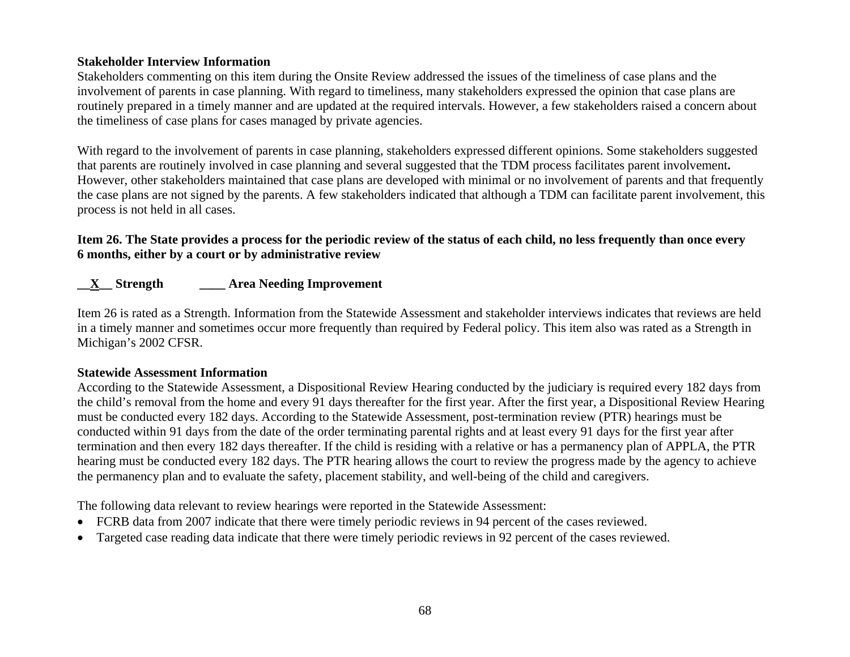### **Stakeholder Interview Information**

Stakeholders commenting on this item during the Onsite Review addressed the issues of the timeliness of case plans and the involvement of parents in case planning. With regard to timeliness, many stakeholders expressed the opinion that case plans are routinely prepared in a timely manner and are updated at the required intervals. However, a few stakeholders raised a concern about the timeliness of case plans for cases managed by private agencies.

With regard to the involvement of parents in case planning, stakeholders expressed different opinions. Some stakeholders suggested that parents are routinely involved in case planning and several suggested that the TDM process facilitates parent involvement**.**  However, other stakeholders maintained that case plans are developed with minimal or no involvement of parents and that frequently the case plans are not signed by the parents. A few stakeholders indicated that although a TDM can facilitate parent involvement, this process is not held in all cases.

## **Item 26. The State provides a process for the periodic review of the status of each child, no less frequently than once every 6 months, either by a court or by administrative review**

## **\_\_X\_\_ Strength \_\_\_\_ Area Needing Improvement**

Item 26 is rated as a Strength. Information from the Statewide Assessment and stakeholder interviews indicates that reviews are held in a timely manner and sometimes occur more frequently than required by Federal policy. This item also was rated as a Strength in Michigan's 2002 CFSR.

### **Statewide Assessment Information**

According to the Statewide Assessment, a Dispositional Review Hearing conducted by the judiciary is required every 182 days from the child's removal from the home and every 91 days thereafter for the first year. After the first year, a Dispositional Review Hearing must be conducted every 182 days. According to the Statewide Assessment, post-termination review (PTR) hearings must be conducted within 91 days from the date of the order terminating parental rights and at least every 91 days for the first year after termination and then every 182 days thereafter. If the child is residing with a relative or has a permanency plan of APPLA, the PTR hearing must be conducted every 182 days. The PTR hearing allows the court to review the progress made by the agency to achieve the permanency plan and to evaluate the safety, placement stability, and well-being of the child and caregivers.

The following data relevant to review hearings were reported in the Statewide Assessment:

- FCRB data from 2007 indicate that there were timely periodic reviews in 94 percent of the cases reviewed.
- •Targeted case reading data indicate that there were timely periodic reviews in 92 percent of the cases reviewed.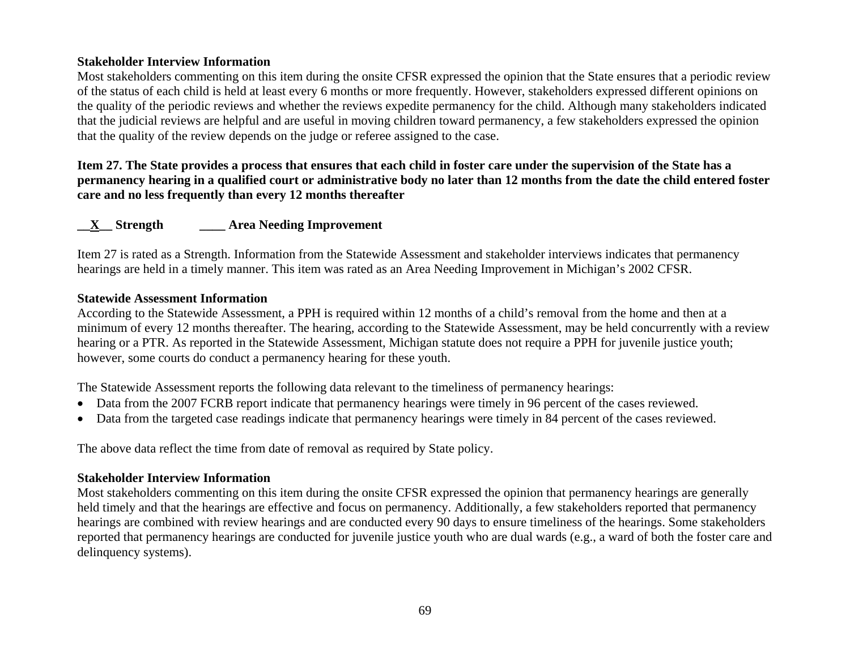### **Stakeholder Interview Information**

Most stakeholders commenting on this item during the onsite CFSR expressed the opinion that the State ensures that a periodic review of the status of each child is held at least every 6 months or more frequently. However, stakeholders expressed different opinions on the quality of the periodic reviews and whether the reviews expedite permanency for the child. Although many stakeholders indicated that the judicial reviews are helpful and are useful in moving children toward permanency, a few stakeholders expressed the opinion that the quality of the review depends on the judge or referee assigned to the case.

**Item 27. The State provides a process that ensures that each child in foster care under the supervision of the State has a permanency hearing in a qualified court or administrative body no later than 12 months from the date the child entered foster care and no less frequently than every 12 months thereafter** 

### **\_\_X\_\_ Strength \_\_\_\_ Area Needing Improvement**

Item 27 is rated as a Strength. Information from the Statewide Assessment and stakeholder interviews indicates that permanency hearings are held in a timely manner. This item was rated as an Area Needing Improvement in Michigan's 2002 CFSR.

#### **Statewide Assessment Information**

According to the Statewide Assessment, a PPH is required within 12 months of a child's removal from the home and then at a minimum of every 12 months thereafter. The hearing, according to the Statewide Assessment, may be held concurrently with a review hearing or a PTR. As reported in the Statewide Assessment, Michigan statute does not require a PPH for juvenile justice youth; however, some courts do conduct a permanency hearing for these youth.

The Statewide Assessment reports the following data relevant to the timeliness of permanency hearings:

- Data from the 2007 FCRB report indicate that permanency hearings were timely in 96 percent of the cases reviewed.
- Data from the targeted case readings indicate that permanency hearings were timely in 84 percent of the cases reviewed.

The above data reflect the time from date of removal as required by State policy.

#### **Stakeholder Interview Information**

Most stakeholders commenting on this item during the onsite CFSR expressed the opinion that permanency hearings are generally held timely and that the hearings are effective and focus on permanency. Additionally, a few stakeholders reported that permanency hearings are combined with review hearings and are conducted every 90 days to ensure timeliness of the hearings. Some stakeholders reported that permanency hearings are conducted for juvenile justice youth who are dual wards (e.g., a ward of both the foster care and delinquency systems).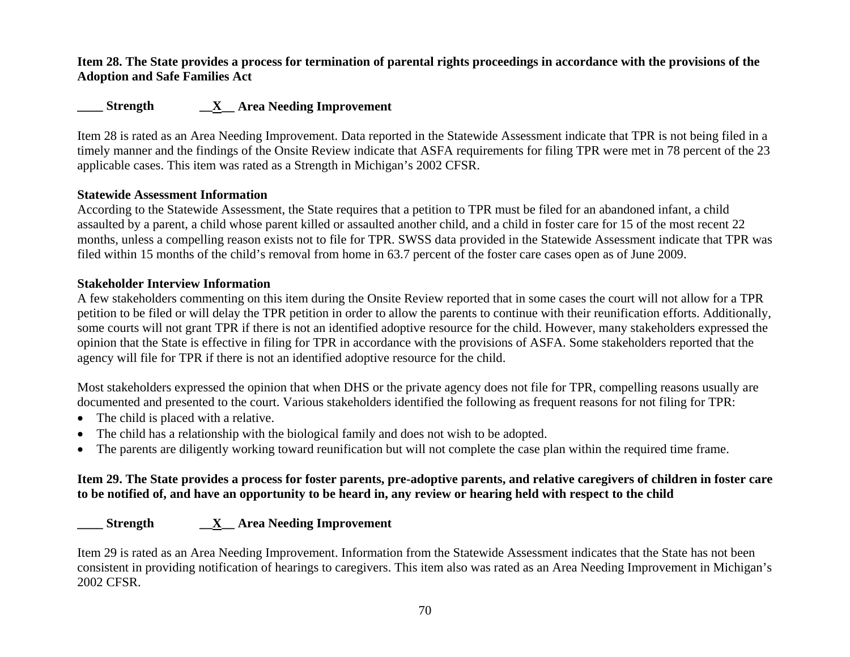### **Item 28. The State provides a process for termination of parental rights proceedings in accordance with the provisions of the Adoption and Safe Families Act**

# **\_\_\_\_ Strength \_\_X\_\_ Area Needing Improvement**

Item 28 is rated as an Area Needing Improvement. Data reported in the Statewide Assessment indicate that TPR is not being filed in a timely manner and the findings of the Onsite Review indicate that ASFA requirements for filing TPR were met in 78 percent of the 23 applicable cases. This item was rated as a Strength in Michigan's 2002 CFSR.

### **Statewide Assessment Information**

According to the Statewide Assessment, the State requires that a petition to TPR must be filed for an abandoned infant, a child assaulted by a parent, a child whose parent killed or assaulted another child, and a child in foster care for 15 of the most recent 22 months, unless a compelling reason exists not to file for TPR. SWSS data provided in the Statewide Assessment indicate that TPR was filed within 15 months of the child's removal from home in 63.7 percent of the foster care cases open as of June 2009.

### **Stakeholder Interview Information**

A few stakeholders commenting on this item during the Onsite Review reported that in some cases the court will not allow for a TPR petition to be filed or will delay the TPR petition in order to allow the parents to continue with their reunification efforts. Additionally, some courts will not grant TPR if there is not an identified adoptive resource for the child. However, many stakeholders expressed the opinion that the State is effective in filing for TPR in accordance with the provisions of ASFA. Some stakeholders reported that the agency will file for TPR if there is not an identified adoptive resource for the child.

Most stakeholders expressed the opinion that when DHS or the private agency does not file for TPR, compelling reasons usually are documented and presented to the court. Various stakeholders identified the following as frequent reasons for not filing for TPR:

- The child is placed with a relative.
- •The child has a relationship with the biological family and does not wish to be adopted.
- •The parents are diligently working toward reunification but will not complete the case plan within the required time frame.

### **Item 29. The State provides a process for foster parents, pre-adoptive parents, and relative caregivers of children in foster care to be notified of, and have an opportunity to be heard in, any review or hearing held with respect to the child**

### **\_\_\_\_ Strength \_\_X\_\_ Area Needing Improvement**

Item 29 is rated as an Area Needing Improvement. Information from the Statewide Assessment indicates that the State has not been consistent in providing notification of hearings to caregivers. This item also was rated as an Area Needing Improvement in Michigan's 2002 CFSR.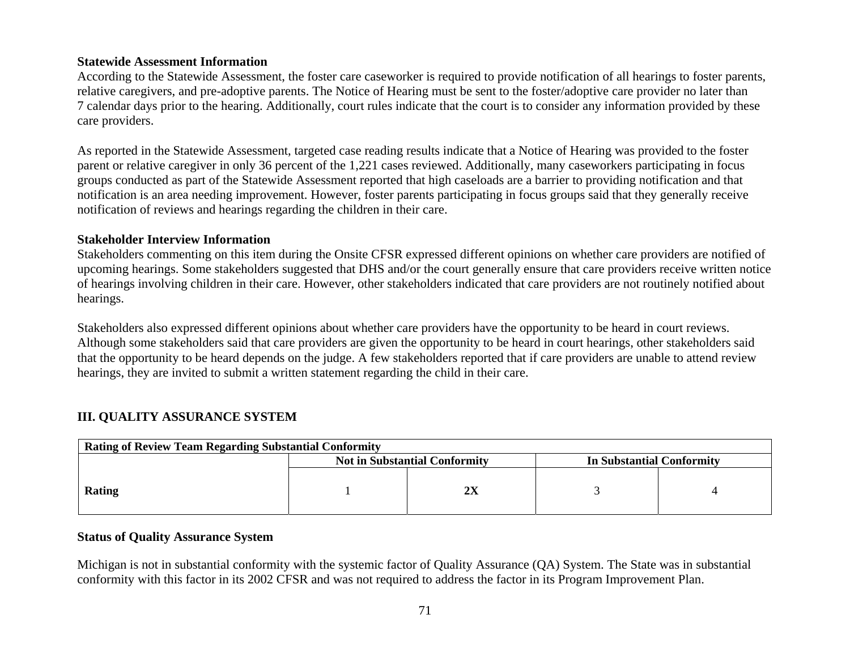### **Statewide Assessment Information**

According to the Statewide Assessment, the foster care caseworker is required to provide notification of all hearings to foster parents, relative caregivers, and pre-adoptive parents. The Notice of Hearing must be sent to the foster/adoptive care provider no later than 7 calendar days prior to the hearing. Additionally, court rules indicate that the court is to consider any information provided by these care providers.

As reported in the Statewide Assessment, targeted case reading results indicate that a Notice of Hearing was provided to the foster parent or relative caregiver in only 36 percent of the 1,221 cases reviewed. Additionally, many caseworkers participating in focus groups conducted as part of the Statewide Assessment reported that high caseloads are a barrier to providing notification and that notification is an area needing improvement. However, foster parents participating in focus groups said that they generally receive notification of reviews and hearings regarding the children in their care.

### **Stakeholder Interview Information**

Stakeholders commenting on this item during the Onsite CFSR expressed different opinions on whether care providers are notified of upcoming hearings. Some stakeholders suggested that DHS and/or the court generally ensure that care providers receive written notice of hearings involving children in their care. However, other stakeholders indicated that care providers are not routinely notified about hearings.

Stakeholders also expressed different opinions about whether care providers have the opportunity to be heard in court reviews. Although some stakeholders said that care providers are given the opportunity to be heard in court hearings, other stakeholders said that the opportunity to be heard depends on the judge. A few stakeholders reported that if care providers are unable to attend review hearings, they are invited to submit a written statement regarding the child in their care.

# **III. QUALITY ASSURANCE SYSTEM**

| <b>Rating of Review Team Regarding Substantial Conformity</b>     |  |    |  |  |  |  |
|-------------------------------------------------------------------|--|----|--|--|--|--|
| <b>Not in Substantial Conformity</b><br>In Substantial Conformity |  |    |  |  |  |  |
| Rating                                                            |  | 2X |  |  |  |  |

### **Status of Quality Assurance System**

Michigan is not in substantial conformity with the systemic factor of Quality Assurance (QA) System. The State was in substantial conformity with this factor in its 2002 CFSR and was not required to address the factor in its Program Improvement Plan.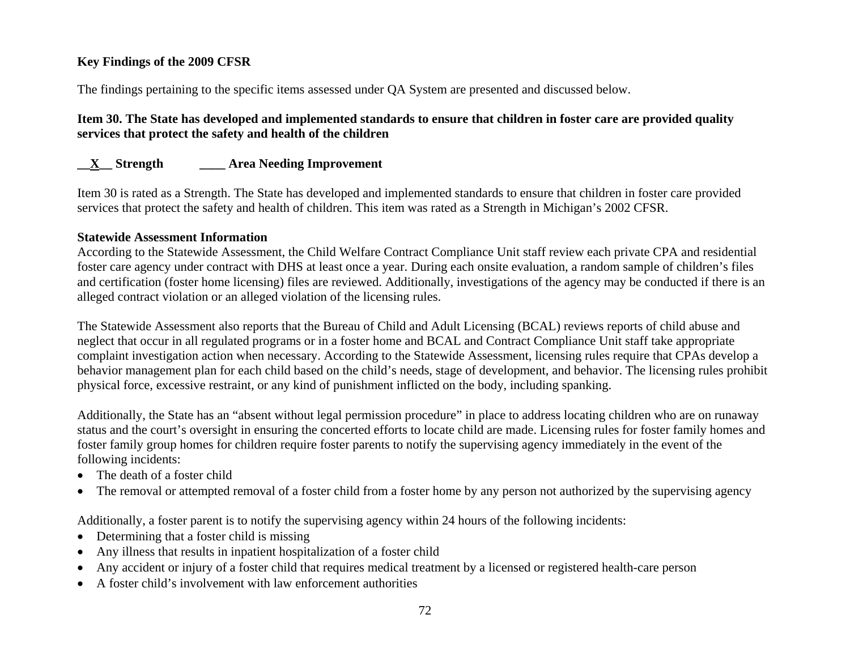## **Key Findings of the 2009 CFSR**

The findings pertaining to the specific items assessed under QA System are presented and discussed below.

## **Item 30. The State has developed and implemented standards to ensure that children in foster care are provided quality services that protect the safety and health of the children**

# **\_\_X\_\_ Strength \_\_\_\_ Area Needing Improvement**

Item 30 is rated as a Strength. The State has developed and implemented standards to ensure that children in foster care provided services that protect the safety and health of children. This item was rated as a Strength in Michigan's 2002 CFSR.

### **Statewide Assessment Information**

According to the Statewide Assessment, the Child Welfare Contract Compliance Unit staff review each private CPA and residential foster care agency under contract with DHS at least once a year. During each onsite evaluation, a random sample of children's files and certification (foster home licensing) files are reviewed. Additionally, investigations of the agency may be conducted if there is an alleged contract violation or an alleged violation of the licensing rules.

The Statewide Assessment also reports that the Bureau of Child and Adult Licensing (BCAL) reviews reports of child abuse and neglect that occur in all regulated programs or in a foster home and BCAL and Contract Compliance Unit staff take appropriate complaint investigation action when necessary. According to the Statewide Assessment, licensing rules require that CPAs develop a behavior management plan for each child based on the child's needs, stage of development, and behavior. The licensing rules prohibit physical force, excessive restraint, or any kind of punishment inflicted on the body, including spanking.

Additionally, the State has an "absent without legal permission procedure" in place to address locating children who are on runaway status and the court's oversight in ensuring the concerted efforts to locate child are made. Licensing rules for foster family homes and foster family group homes for children require foster parents to notify the supervising agency immediately in the event of the following incidents:

- The death of a foster child
- •The removal or attempted removal of a foster child from a foster home by any person not authorized by the supervising agency

Additionally, a foster parent is to notify the supervising agency within 24 hours of the following incidents:

- Determining that a foster child is missing
- •Any illness that results in inpatient hospitalization of a foster child
- •Any accident or injury of a foster child that requires medical treatment by a licensed or registered health-care person
- •A foster child's involvement with law enforcement authorities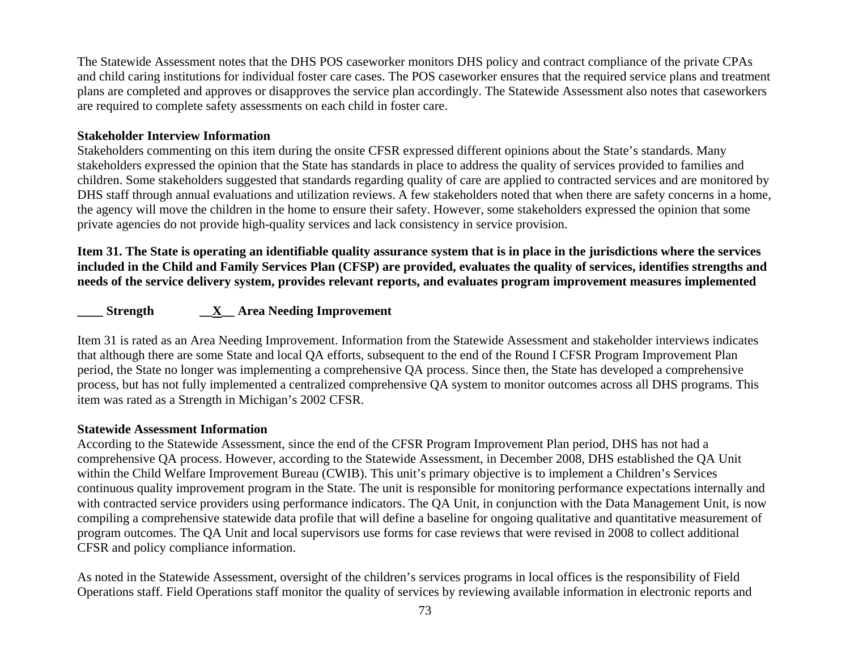The Statewide Assessment notes that the DHS POS caseworker monitors DHS policy and contract compliance of the private CPAs and child caring institutions for individual foster care cases. The POS caseworker ensures that the required service plans and treatment plans are completed and approves or disapproves the service plan accordingly. The Statewide Assessment also notes that caseworkers are required to complete safety assessments on each child in foster care.

#### **Stakeholder Interview Information**

Stakeholders commenting on this item during the onsite CFSR expressed different opinions about the State's standards. Many stakeholders expressed the opinion that the State has standards in place to address the quality of services provided to families and children. Some stakeholders suggested that standards regarding quality of care are applied to contracted services and are monitored by DHS staff through annual evaluations and utilization reviews. A few stakeholders noted that when there are safety concerns in a home, the agency will move the children in the home to ensure their safety. However, some stakeholders expressed the opinion that some private agencies do not provide high-quality services and lack consistency in service provision.

**Item 31. The State is operating an identifiable quality assurance system that is in place in the jurisdictions where the services included in the Child and Family Services Plan (CFSP) are provided, evaluates the quality of services, identifies strengths and needs of the service delivery system, provides relevant reports, and evaluates program improvement measures implemented** 

## **\_\_\_\_ Strength \_\_X\_\_ Area Needing Improvement**

Item 31 is rated as an Area Needing Improvement. Information from the Statewide Assessment and stakeholder interviews indicates that although there are some State and local QA efforts, subsequent to the end of the Round I CFSR Program Improvement Plan period, the State no longer was implementing a comprehensive QA process. Since then, the State has developed a comprehensive process, but has not fully implemented a centralized comprehensive QA system to monitor outcomes across all DHS programs. This item was rated as a Strength in Michigan's 2002 CFSR.

#### **Statewide Assessment Information**

According to the Statewide Assessment, since the end of the CFSR Program Improvement Plan period, DHS has not had a comprehensive QA process. However, according to the Statewide Assessment, in December 2008, DHS established the QA Unit within the Child Welfare Improvement Bureau (CWIB). This unit's primary objective is to implement a Children's Services continuous quality improvement program in the State. The unit is responsible for monitoring performance expectations internally and with contracted service providers using performance indicators. The QA Unit, in conjunction with the Data Management Unit, is now compiling a comprehensive statewide data profile that will define a baseline for ongoing qualitative and quantitative measurement of program outcomes. The QA Unit and local supervisors use forms for case reviews that were revised in 2008 to collect additional CFSR and policy compliance information.

As noted in the Statewide Assessment, oversight of the children's services programs in local offices is the responsibility of Field Operations staff. Field Operations staff monitor the quality of services by reviewing available information in electronic reports and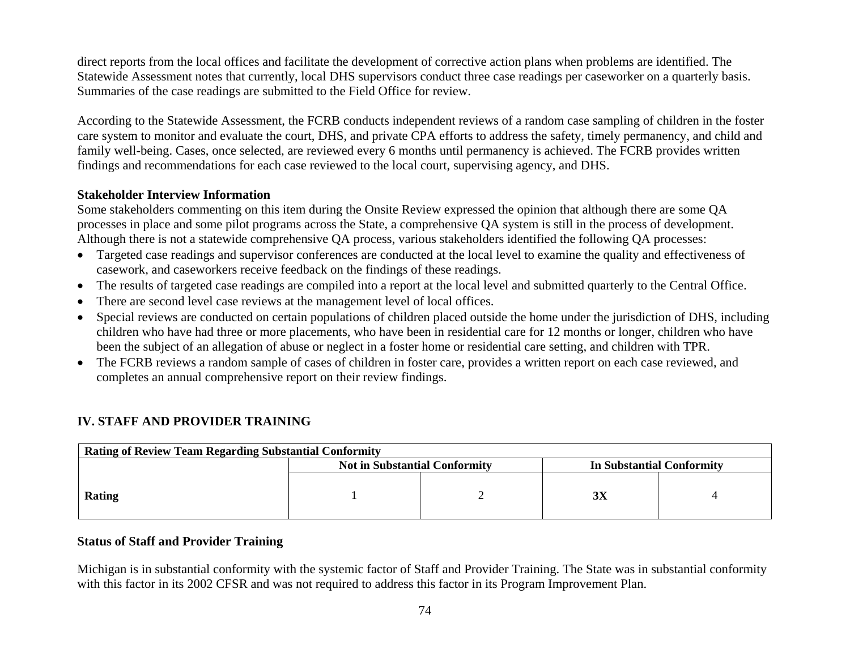direct reports from the local offices and facilitate the development of corrective action plans when problems are identified. The Statewide Assessment notes that currently, local DHS supervisors conduct three case readings per caseworker on a quarterly basis. Summaries of the case readings are submitted to the Field Office for review.

According to the Statewide Assessment, the FCRB conducts independent reviews of a random case sampling of children in the foster care system to monitor and evaluate the court, DHS, and private CPA efforts to address the safety, timely permanency, and child and family well-being. Cases, once selected, are reviewed every 6 months until permanency is achieved. The FCRB provides written findings and recommendations for each case reviewed to the local court, supervising agency, and DHS.

### **Stakeholder Interview Information**

Some stakeholders commenting on this item during the Onsite Review expressed the opinion that although there are some QA processes in place and some pilot programs across the State, a comprehensive QA system is still in the process of development. Although there is not a statewide comprehensive QA process, various stakeholders identified the following QA processes:

- Targeted case readings and supervisor conferences are conducted at the local level to examine the quality and effectiveness of casework, and caseworkers receive feedback on the findings of these readings.
- The results of targeted case readings are compiled into a report at the local level and submitted quarterly to the Central Office.
- •There are second level case reviews at the management level of local offices.
- • Special reviews are conducted on certain populations of children placed outside the home under the jurisdiction of DHS, including children who have had three or more placements, who have been in residential care for 12 months or longer, children who have been the subject of an allegation of abuse or neglect in a foster home or residential care setting, and children with TPR.
- The FCRB reviews a random sample of cases of children in foster care, provides a written report on each case reviewed, and completes an annual comprehensive report on their review findings.

| <b>Rating of Review Team Regarding Substantial Conformity</b> |                                      |  |                           |  |  |
|---------------------------------------------------------------|--------------------------------------|--|---------------------------|--|--|
|                                                               | <b>Not in Substantial Conformity</b> |  | In Substantial Conformity |  |  |
| Rating                                                        |                                      |  | 3X                        |  |  |

# **IV. STAFF AND PROVIDER TRAINING**

### **Status of Staff and Provider Training**

Michigan is in substantial conformity with the systemic factor of Staff and Provider Training. The State was in substantial conformity with this factor in its 2002 CFSR and was not required to address this factor in its Program Improvement Plan.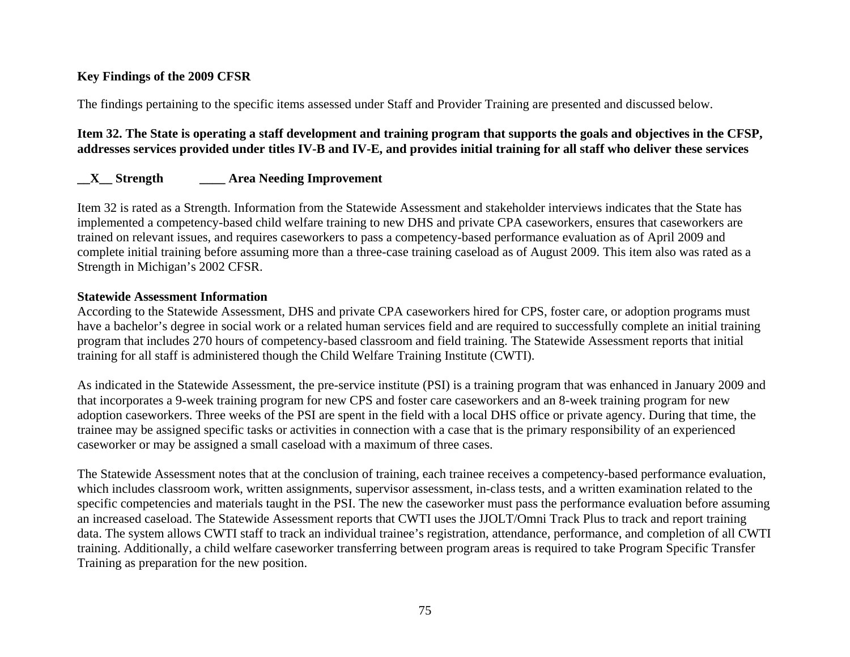## **Key Findings of the 2009 CFSR**

The findings pertaining to the specific items assessed under Staff and Provider Training are presented and discussed below.

## **Item 32. The State is operating a staff development and training program that supports the goals and objectives in the CFSP, addresses services provided under titles IV-B and IV-E, and provides initial training for all staff who deliver these services**

# **\_\_X\_\_ Strength \_\_\_\_ Area Needing Improvement**

Item 32 is rated as a Strength. Information from the Statewide Assessment and stakeholder interviews indicates that the State has implemented a competency-based child welfare training to new DHS and private CPA caseworkers, ensures that caseworkers are trained on relevant issues, and requires caseworkers to pass a competency-based performance evaluation as of April 2009 and complete initial training before assuming more than a three-case training caseload as of August 2009. This item also was rated as a Strength in Michigan's 2002 CFSR.

## **Statewide Assessment Information**

According to the Statewide Assessment, DHS and private CPA caseworkers hired for CPS, foster care, or adoption programs must have a bachelor's degree in social work or a related human services field and are required to successfully complete an initial training program that includes 270 hours of competency-based classroom and field training. The Statewide Assessment reports that initial training for all staff is administered though the Child Welfare Training Institute (CWTI).

As indicated in the Statewide Assessment, the pre-service institute (PSI) is a training program that was enhanced in January 2009 and that incorporates a 9-week training program for new CPS and foster care caseworkers and an 8-week training program for new adoption caseworkers. Three weeks of the PSI are spent in the field with a local DHS office or private agency. During that time, the trainee may be assigned specific tasks or activities in connection with a case that is the primary responsibility of an experienced caseworker or may be assigned a small caseload with a maximum of three cases.

The Statewide Assessment notes that at the conclusion of training, each trainee receives a competency-based performance evaluation, which includes classroom work, written assignments, supervisor assessment, in-class tests, and a written examination related to the specific competencies and materials taught in the PSI. The new the caseworker must pass the performance evaluation before assuming an increased caseload. The Statewide Assessment reports that CWTI uses the JJOLT/Omni Track Plus to track and report training data. The system allows CWTI staff to track an individual trainee's registration, attendance, performance, and completion of all CWTI training. Additionally, a child welfare caseworker transferring between program areas is required to take Program Specific Transfer Training as preparation for the new position.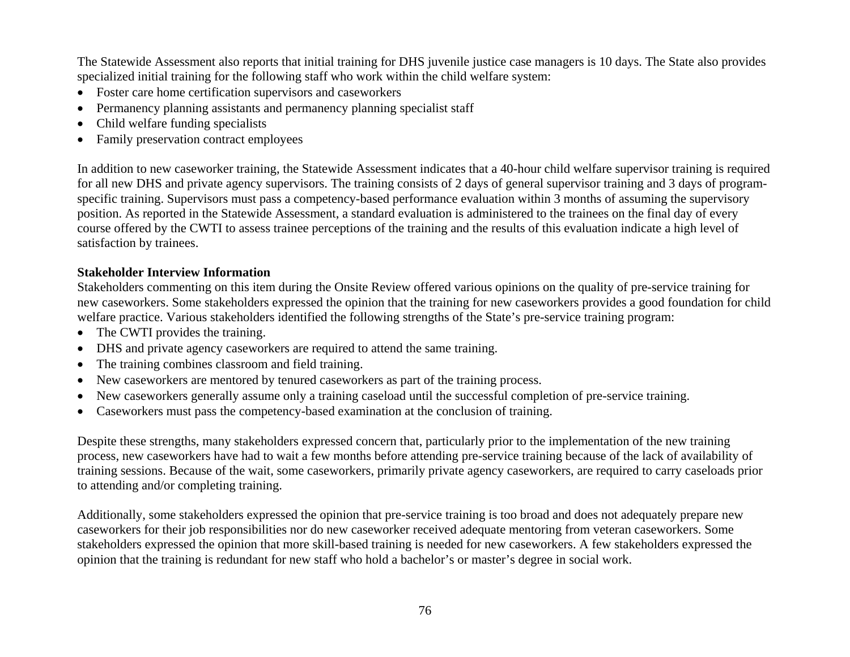The Statewide Assessment also reports that initial training for DHS juvenile justice case managers is 10 days. The State also provides specialized initial training for the following staff who work within the child welfare system:

- Foster care home certification supervisors and caseworkers
- Permanency planning assistants and permanency planning specialist staff
- •Child welfare funding specialists
- Family preservation contract employees

In addition to new caseworker training, the Statewide Assessment indicates that a 40-hour child welfare supervisor training is required for all new DHS and private agency supervisors. The training consists of 2 days of general supervisor training and 3 days of programspecific training. Supervisors must pass a competency-based performance evaluation within 3 months of assuming the supervisory position. As reported in the Statewide Assessment, a standard evaluation is administered to the trainees on the final day of every course offered by the CWTI to assess trainee perceptions of the training and the results of this evaluation indicate a high level of satisfaction by trainees.

## **Stakeholder Interview Information**

Stakeholders commenting on this item during the Onsite Review offered various opinions on the quality of pre-service training for new caseworkers. Some stakeholders expressed the opinion that the training for new caseworkers provides a good foundation for child welfare practice. Various stakeholders identified the following strengths of the State's pre-service training program:

- The CWTI provides the training.
- DHS and private agency caseworkers are required to attend the same training.
- •The training combines classroom and field training.
- •New caseworkers are mentored by tenured caseworkers as part of the training process.
- •New caseworkers generally assume only a training caseload until the successful completion of pre-service training.
- Caseworkers must pass the competency-based examination at the conclusion of training.

Despite these strengths, many stakeholders expressed concern that, particularly prior to the implementation of the new training process, new caseworkers have had to wait a few months before attending pre-service training because of the lack of availability of training sessions. Because of the wait, some caseworkers, primarily private agency caseworkers, are required to carry caseloads prior to attending and/or completing training.

Additionally, some stakeholders expressed the opinion that pre-service training is too broad and does not adequately prepare new caseworkers for their job responsibilities nor do new caseworker received adequate mentoring from veteran caseworkers. Some stakeholders expressed the opinion that more skill-based training is needed for new caseworkers. A few stakeholders expressed the opinion that the training is redundant for new staff who hold a bachelor's or master's degree in social work.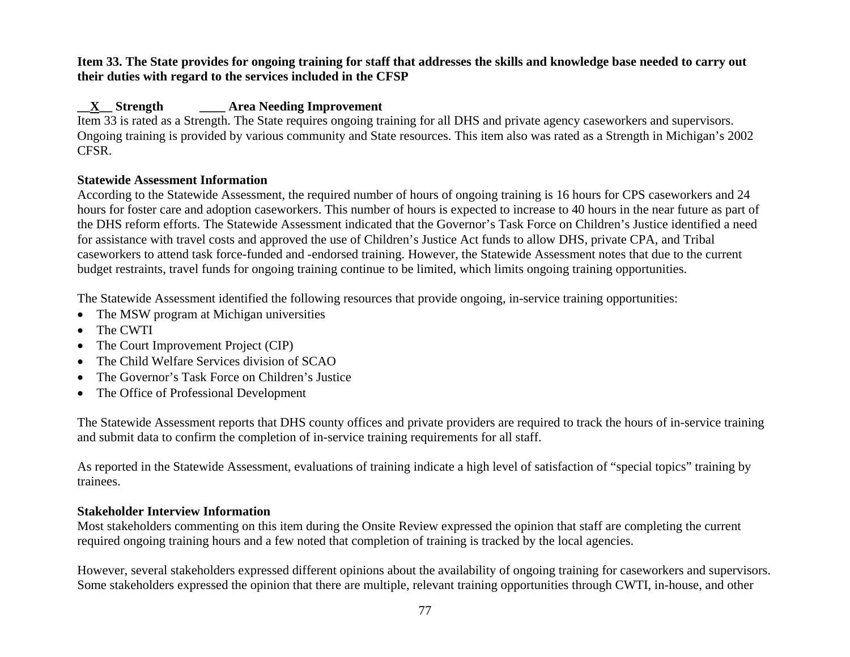### **Item 33. The State provides for ongoing training for staff that addresses the skills and knowledge base needed to carry out their duties with regard to the services included in the CFSP**

# **\_\_X\_\_ Strength \_\_\_\_ Area Needing Improvement**

Item 33 is rated as a Strength. The State requires ongoing training for all DHS and private agency caseworkers and supervisors. Ongoing training is provided by various community and State resources. This item also was rated as a Strength in Michigan's 2002 CFSR.

# **Statewide Assessment Information**

According to the Statewide Assessment, the required number of hours of ongoing training is 16 hours for CPS caseworkers and 24 hours for foster care and adoption caseworkers. This number of hours is expected to increase to 40 hours in the near future as part of the DHS reform efforts. The Statewide Assessment indicated that the Governor's Task Force on Children's Justice identified a need for assistance with travel costs and approved the use of Children's Justice Act funds to allow DHS, private CPA, and Tribal caseworkers to attend task force-funded and -endorsed training. However, the Statewide Assessment notes that due to the current budget restraints, travel funds for ongoing training continue to be limited, which limits ongoing training opportunities.

The Statewide Assessment identified the following resources that provide ongoing, in-service training opportunities:

- The MSW program at Michigan universities
- •The CWTI
- •The Court Improvement Project (CIP)
- •The Child Welfare Services division of SCAO
- •The Governor's Task Force on Children's Justice
- The Office of Professional Development

The Statewide Assessment reports that DHS county offices and private providers are required to track the hours of in-service training and submit data to confirm the completion of in-service training requirements for all staff.

As reported in the Statewide Assessment, evaluations of training indicate a high level of satisfaction of "special topics" training by trainees.

## **Stakeholder Interview Information**

Most stakeholders commenting on this item during the Onsite Review expressed the opinion that staff are completing the current required ongoing training hours and a few noted that completion of training is tracked by the local agencies.

However, several stakeholders expressed different opinions about the availability of ongoing training for caseworkers and supervisors. Some stakeholders expressed the opinion that there are multiple, relevant training opportunities through CWTI, in-house, and other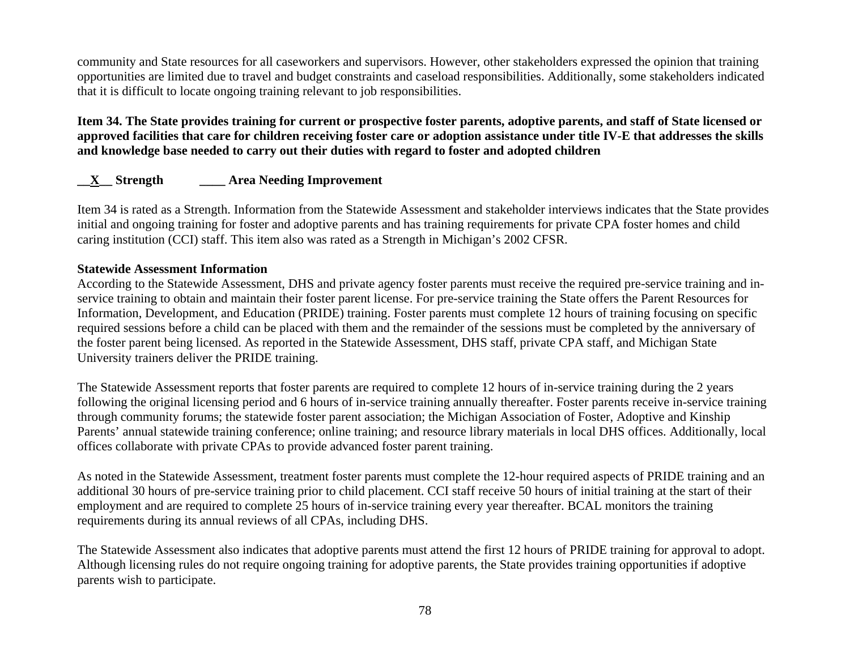community and State resources for all caseworkers and supervisors. However, other stakeholders expressed the opinion that training opportunities are limited due to travel and budget constraints and caseload responsibilities. Additionally, some stakeholders indicated that it is difficult to locate ongoing training relevant to job responsibilities.

## **Item 34. The State provides training for current or prospective foster parents, adoptive parents, and staff of State licensed or approved facilities that care for children receiving foster care or adoption assistance under title IV-E that addresses the skills and knowledge base needed to carry out their duties with regard to foster and adopted children**

# **\_\_X\_\_ Strength \_\_\_\_ Area Needing Improvement**

Item 34 is rated as a Strength. Information from the Statewide Assessment and stakeholder interviews indicates that the State provides initial and ongoing training for foster and adoptive parents and has training requirements for private CPA foster homes and child caring institution (CCI) staff. This item also was rated as a Strength in Michigan's 2002 CFSR.

#### **Statewide Assessment Information**

According to the Statewide Assessment, DHS and private agency foster parents must receive the required pre-service training and inservice training to obtain and maintain their foster parent license. For pre-service training the State offers the Parent Resources for Information, Development, and Education (PRIDE) training. Foster parents must complete 12 hours of training focusing on specific required sessions before a child can be placed with them and the remainder of the sessions must be completed by the anniversary of the foster parent being licensed. As reported in the Statewide Assessment, DHS staff, private CPA staff, and Michigan State University trainers deliver the PRIDE training.

The Statewide Assessment reports that foster parents are required to complete 12 hours of in-service training during the 2 years following the original licensing period and 6 hours of in-service training annually thereafter. Foster parents receive in-service training through community forums; the statewide foster parent association; the Michigan Association of Foster, Adoptive and Kinship Parents' annual statewide training conference; online training; and resource library materials in local DHS offices. Additionally, local offices collaborate with private CPAs to provide advanced foster parent training.

As noted in the Statewide Assessment, treatment foster parents must complete the 12-hour required aspects of PRIDE training and an additional 30 hours of pre-service training prior to child placement. CCI staff receive 50 hours of initial training at the start of their employment and are required to complete 25 hours of in-service training every year thereafter. BCAL monitors the training requirements during its annual reviews of all CPAs, including DHS.

The Statewide Assessment also indicates that adoptive parents must attend the first 12 hours of PRIDE training for approval to adopt. Although licensing rules do not require ongoing training for adoptive parents, the State provides training opportunities if adoptive parents wish to participate.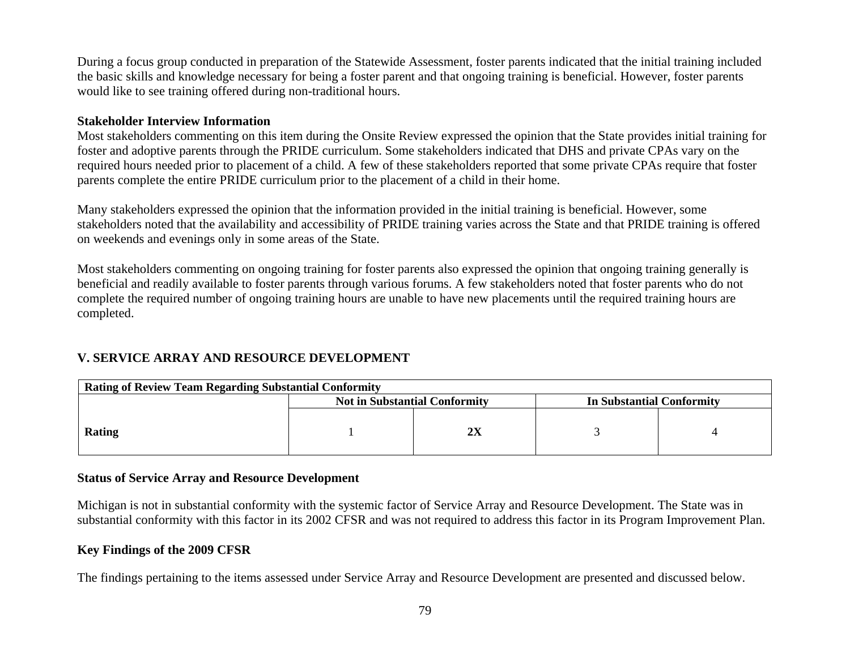During a focus group conducted in preparation of the Statewide Assessment, foster parents indicated that the initial training included the basic skills and knowledge necessary for being a foster parent and that ongoing training is beneficial. However, foster parents would like to see training offered during non-traditional hours.

### **Stakeholder Interview Information**

Most stakeholders commenting on this item during the Onsite Review expressed the opinion that the State provides initial training for foster and adoptive parents through the PRIDE curriculum. Some stakeholders indicated that DHS and private CPAs vary on the required hours needed prior to placement of a child. A few of these stakeholders reported that some private CPAs require that foster parents complete the entire PRIDE curriculum prior to the placement of a child in their home.

Many stakeholders expressed the opinion that the information provided in the initial training is beneficial. However, some stakeholders noted that the availability and accessibility of PRIDE training varies across the State and that PRIDE training is offered on weekends and evenings only in some areas of the State.

Most stakeholders commenting on ongoing training for foster parents also expressed the opinion that ongoing training generally is beneficial and readily available to foster parents through various forums. A few stakeholders noted that foster parents who do not complete the required number of ongoing training hours are unable to have new placements until the required training hours are completed.

# **V. SERVICE ARRAY AND RESOURCE DEVELOPMENT**

| <b>Rating of Review Team Regarding Substantial Conformity</b> |                                      |    |                           |  |  |
|---------------------------------------------------------------|--------------------------------------|----|---------------------------|--|--|
|                                                               | <b>Not in Substantial Conformity</b> |    | In Substantial Conformity |  |  |
| <b>Rating</b>                                                 |                                      | 2X |                           |  |  |

## **Status of Service Array and Resource Development**

Michigan is not in substantial conformity with the systemic factor of Service Array and Resource Development. The State was in substantial conformity with this factor in its 2002 CFSR and was not required to address this factor in its Program Improvement Plan.

#### **Key Findings of the 2009 CFSR**

The findings pertaining to the items assessed under Service Array and Resource Development are presented and discussed below.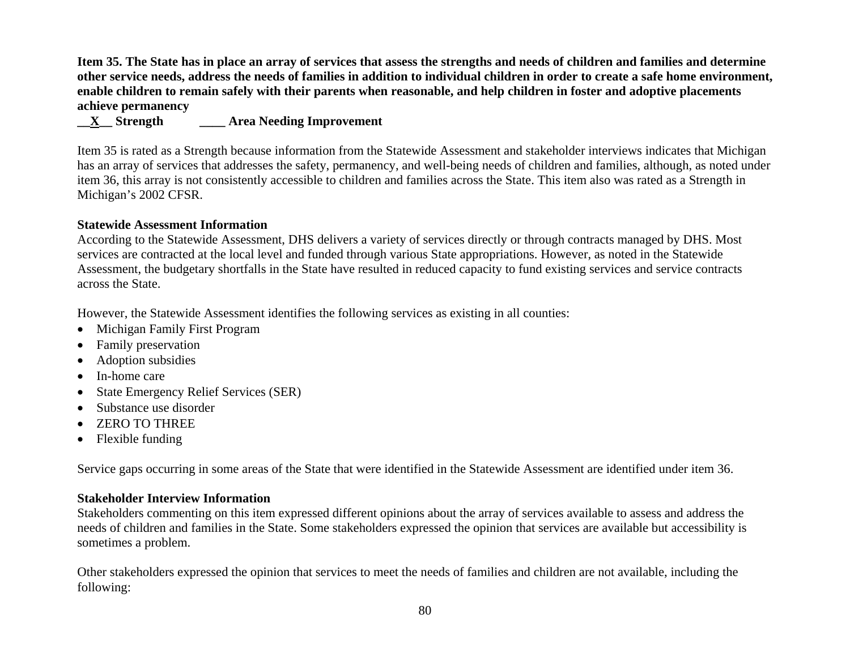**Item 35. The State has in place an array of services that assess the strengths and needs of children and families and determine other service needs, address the needs of families in addition to individual children in order to create a safe home environment, enable children to remain safely with their parents when reasonable, and help children in foster and adoptive placements achieve permanency** 

# **\_\_X\_\_ Strength \_\_\_\_ Area Needing Improvement**

Item 35 is rated as a Strength because information from the Statewide Assessment and stakeholder interviews indicates that Michigan has an array of services that addresses the safety, permanency, and well-being needs of children and families, although, as noted under item 36, this array is not consistently accessible to children and families across the State. This item also was rated as a Strength in Michigan's 2002 CFSR.

### **Statewide Assessment Information**

According to the Statewide Assessment, DHS delivers a variety of services directly or through contracts managed by DHS. Most services are contracted at the local level and funded through various State appropriations. However, as noted in the Statewide Assessment, the budgetary shortfalls in the State have resulted in reduced capacity to fund existing services and service contracts across the State.

However, the Statewide Assessment identifies the following services as existing in all counties:

- Michigan Family First Program
- •Family preservation
- •Adoption subsidies
- In-home care
- •State Emergency Relief Services (SER)
- Substance use disorder
- •ZERO TO THREE
- Flexible funding

Service gaps occurring in some areas of the State that were identified in the Statewide Assessment are identified under item 36.

#### **Stakeholder Interview Information**

Stakeholders commenting on this item expressed different opinions about the array of services available to assess and address the needs of children and families in the State. Some stakeholders expressed the opinion that services are available but accessibility is sometimes a problem.

Other stakeholders expressed the opinion that services to meet the needs of families and children are not available, including the following: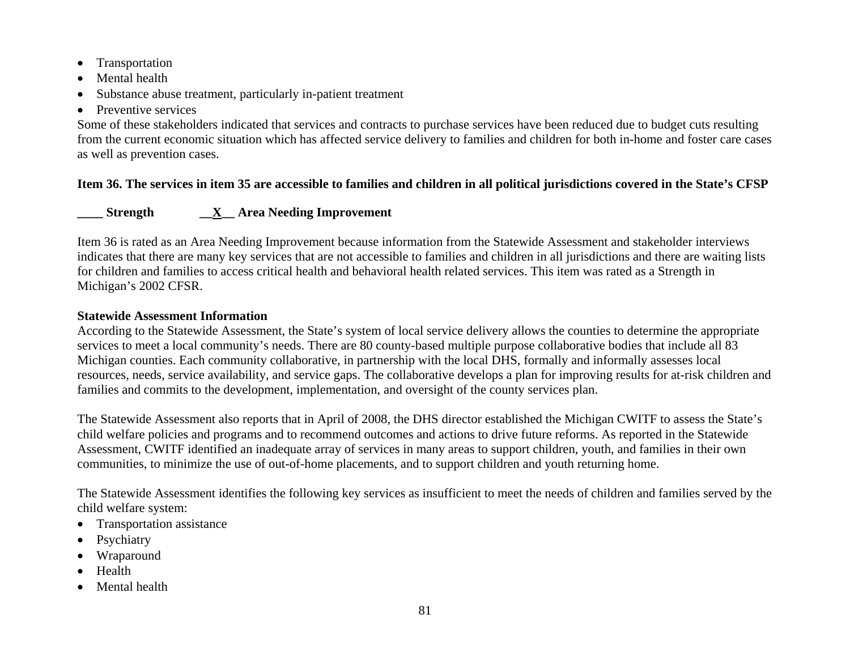- •Transportation
- •Mental health
- •Substance abuse treatment, particularly in-patient treatment
- Preventive services

Some of these stakeholders indicated that services and contracts to purchase services have been reduced due to budget cuts resulting from the current economic situation which has affected service delivery to families and children for both in-home and foster care cases as well as prevention cases.

# **Item 36. The services in item 35 are accessible to families and children in all political jurisdictions covered in the State's CFSP**

# **\_\_\_\_ Strength \_\_X\_\_ Area Needing Improvement**

Item 36 is rated as an Area Needing Improvement because information from the Statewide Assessment and stakeholder interviews indicates that there are many key services that are not accessible to families and children in all jurisdictions and there are waiting lists for children and families to access critical health and behavioral health related services. This item was rated as a Strength in Michigan's 2002 CFSR.

### **Statewide Assessment Information**

According to the Statewide Assessment, the State's system of local service delivery allows the counties to determine the appropriate services to meet a local community's needs. There are 80 county-based multiple purpose collaborative bodies that include all 83 Michigan counties. Each community collaborative, in partnership with the local DHS, formally and informally assesses local resources, needs, service availability, and service gaps. The collaborative develops a plan for improving results for at-risk children and families and commits to the development, implementation, and oversight of the county services plan.

The Statewide Assessment also reports that in April of 2008, the DHS director established the Michigan CWITF to assess the State's child welfare policies and programs and to recommend outcomes and actions to drive future reforms. As reported in the Statewide Assessment, CWITF identified an inadequate array of services in many areas to support children, youth, and families in their own communities, to minimize the use of out-of-home placements, and to support children and youth returning home.

The Statewide Assessment identifies the following key services as insufficient to meet the needs of children and families served by the child welfare system:

- Transportation assistance
- •Psychiatry
- •Wraparound
- •Health
- •Mental health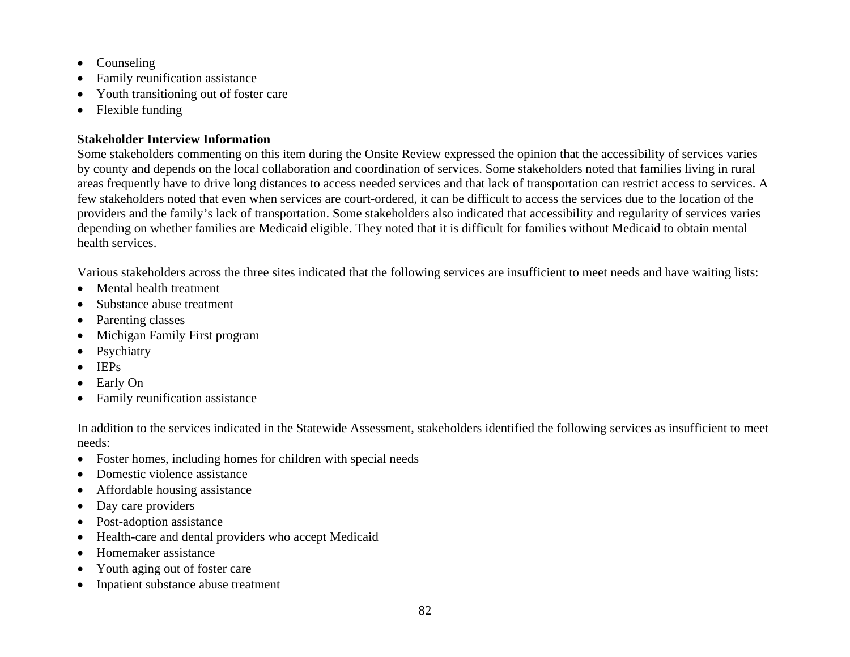- •Counseling
- •Family reunification assistance
- •Youth transitioning out of foster care
- •Flexible funding

Some stakeholders commenting on this item during the Onsite Review expressed the opinion that the accessibility of services varies by county and depends on the local collaboration and coordination of services. Some stakeholders noted that families living in rural areas frequently have to drive long distances to access needed services and that lack of transportation can restrict access to services. A few stakeholders noted that even when services are court-ordered, it can be difficult to access the services due to the location of the providers and the family's lack of transportation. Some stakeholders also indicated that accessibility and regularity of services varies depending on whether families are Medicaid eligible. They noted that it is difficult for families without Medicaid to obtain mental health services.

Various stakeholders across the three sites indicated that the following services are insufficient to meet needs and have waiting lists:

- •Mental health treatment
- •Substance abuse treatment
- Parenting classes
- •Michigan Family First program
- •Psychiatry
- •IEPs
- •Early On
- •Family reunification assistance

In addition to the services indicated in the Statewide Assessment, stakeholders identified the following services as insufficient to meet needs:

- •Foster homes, including homes for children with special needs
- •Domestic violence assistance
- •Affordable housing assistance
- •Day care providers
- •Post-adoption assistance
- •Health-care and dental providers who accept Medicaid
- •Homemaker assistance
- •Youth aging out of foster care
- •Inpatient substance abuse treatment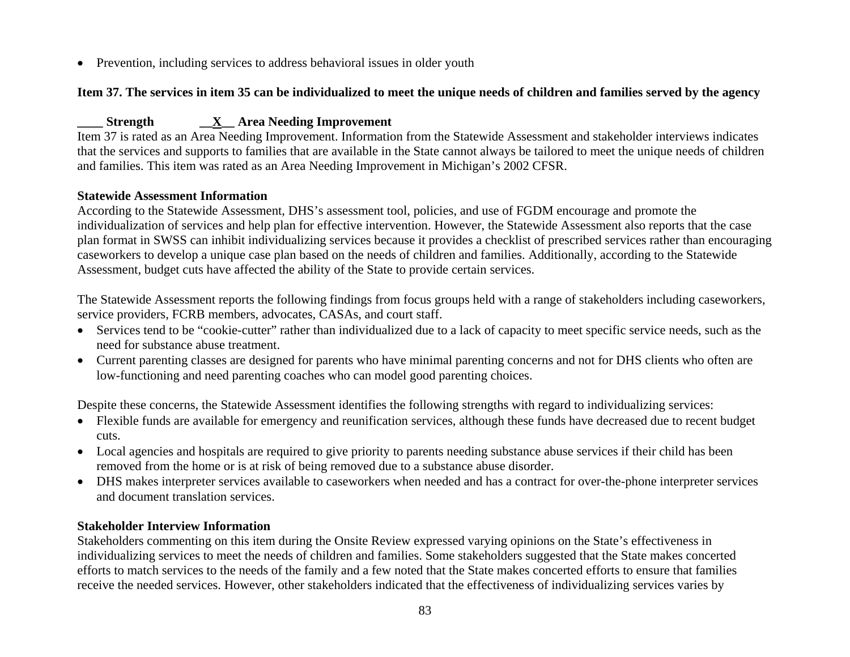• Prevention, including services to address behavioral issues in older youth

# **Item 37. The services in item 35 can be individualized to meet the unique needs of children and families served by the agency**

# **\_\_\_\_ Strength \_\_X\_\_ Area Needing Improvement**

Item 37 is rated as an Area Needing Improvement. Information from the Statewide Assessment and stakeholder interviews indicates that the services and supports to families that are available in the State cannot always be tailored to meet the unique needs of children and families. This item was rated as an Area Needing Improvement in Michigan's 2002 CFSR.

## **Statewide Assessment Information**

According to the Statewide Assessment, DHS's assessment tool, policies, and use of FGDM encourage and promote the individualization of services and help plan for effective intervention. However, the Statewide Assessment also reports that the case plan format in SWSS can inhibit individualizing services because it provides a checklist of prescribed services rather than encouraging caseworkers to develop a unique case plan based on the needs of children and families. Additionally, according to the Statewide Assessment, budget cuts have affected the ability of the State to provide certain services.

The Statewide Assessment reports the following findings from focus groups held with a range of stakeholders including caseworkers, service providers, FCRB members, advocates, CASAs, and court staff.

- Services tend to be "cookie-cutter" rather than individualized due to a lack of capacity to meet specific service needs, such as the need for substance abuse treatment.
- Current parenting classes are designed for parents who have minimal parenting concerns and not for DHS clients who often are low-functioning and need parenting coaches who can model good parenting choices.

Despite these concerns, the Statewide Assessment identifies the following strengths with regard to individualizing services:

- Flexible funds are available for emergency and reunification services, although these funds have decreased due to recent budget cuts.
- Local agencies and hospitals are required to give priority to parents needing substance abuse services if their child has been removed from the home or is at risk of being removed due to a substance abuse disorder.
- DHS makes interpreter services available to caseworkers when needed and has a contract for over-the-phone interpreter services and document translation services.

# **Stakeholder Interview Information**

Stakeholders commenting on this item during the Onsite Review expressed varying opinions on the State's effectiveness in individualizing services to meet the needs of children and families. Some stakeholders suggested that the State makes concerted efforts to match services to the needs of the family and a few noted that the State makes concerted efforts to ensure that families receive the needed services. However, other stakeholders indicated that the effectiveness of individualizing services varies by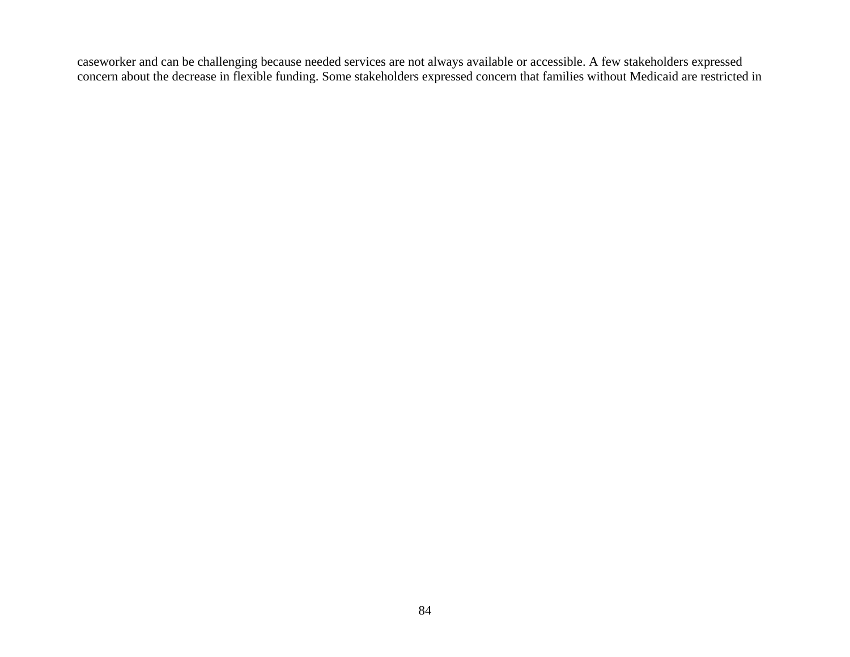caseworker and can be challenging because needed services are not always available or accessible. A few stakeholders expressed concern about the decrease in flexible funding. Some stakeholders expressed concern that families without Medicaid are restricted in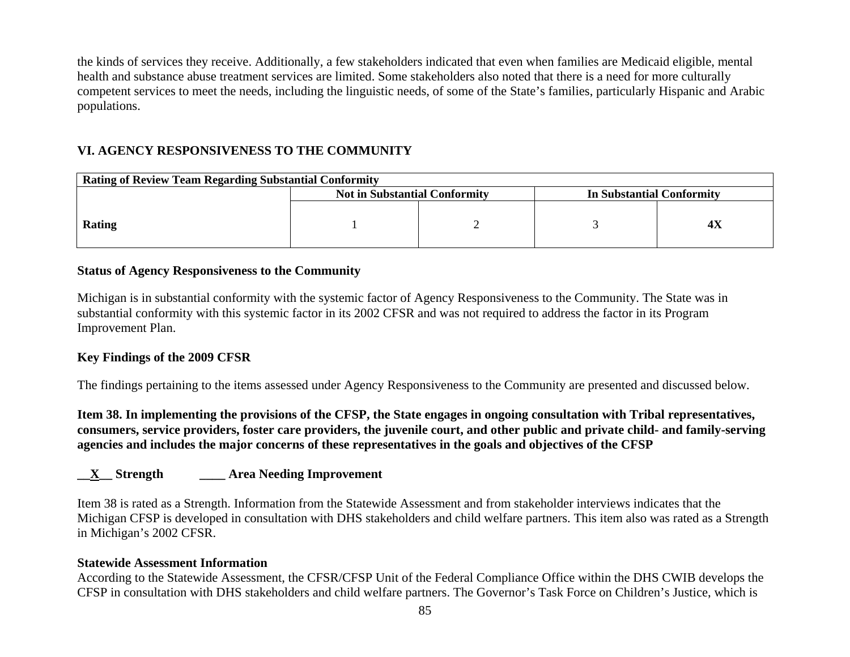the kinds of services they receive. Additionally, a few stakeholders indicated that even when families are Medicaid eligible, mental health and substance abuse treatment services are limited. Some stakeholders also noted that there is a need for more culturally competent services to meet the needs, including the linguistic needs, of some of the State's families, particularly Hispanic and Arabic populations.

# **VI. AGENCY RESPONSIVENESS TO THE COMMUNITY**

| <b>Rating of Review Team Regarding Substantial Conformity</b> |                                      |  |                           |  |  |
|---------------------------------------------------------------|--------------------------------------|--|---------------------------|--|--|
|                                                               | <b>Not in Substantial Conformity</b> |  | In Substantial Conformity |  |  |
| Rating                                                        |                                      |  |                           |  |  |

### **Status of Agency Responsiveness to the Community**

Michigan is in substantial conformity with the systemic factor of Agency Responsiveness to the Community. The State was in substantial conformity with this systemic factor in its 2002 CFSR and was not required to address the factor in its Program Improvement Plan.

#### **Key Findings of the 2009 CFSR**

The findings pertaining to the items assessed under Agency Responsiveness to the Community are presented and discussed below.

**Item 38. In implementing the provisions of the CFSP, the State engages in ongoing consultation with Tribal representatives, consumers, service providers, foster care providers, the juvenile court, and other public and private child- and family-serving agencies and includes the major concerns of these representatives in the goals and objectives of the CFSP** 

## **\_\_X\_\_ Strength \_\_\_\_ Area Needing Improvement**

Item 38 is rated as a Strength. Information from the Statewide Assessment and from stakeholder interviews indicates that the Michigan CFSP is developed in consultation with DHS stakeholders and child welfare partners. This item also was rated as a Strength in Michigan's 2002 CFSR.

#### **Statewide Assessment Information**

According to the Statewide Assessment, the CFSR/CFSP Unit of the Federal Compliance Office within the DHS CWIB develops the CFSP in consultation with DHS stakeholders and child welfare partners. The Governor's Task Force on Children's Justice, which is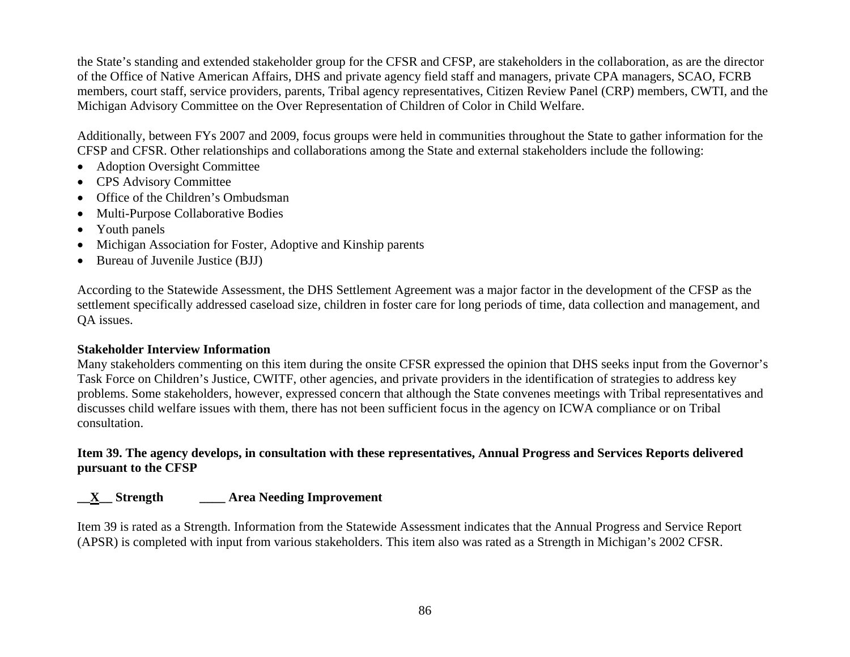the State's standing and extended stakeholder group for the CFSR and CFSP, are stakeholders in the collaboration, as are the director of the Office of Native American Affairs, DHS and private agency field staff and managers, private CPA managers, SCAO, FCRB members, court staff, service providers, parents, Tribal agency representatives, Citizen Review Panel (CRP) members, CWTI, and the Michigan Advisory Committee on the Over Representation of Children of Color in Child Welfare.

Additionally, between FYs 2007 and 2009, focus groups were held in communities throughout the State to gather information for the CFSP and CFSR. Other relationships and collaborations among the State and external stakeholders include the following:

- Adoption Oversight Committee
- CPS Advisory Committee
- Office of the Children's Ombudsman
- •Multi-Purpose Collaborative Bodies
- •Youth panels
- •Michigan Association for Foster, Adoptive and Kinship parents
- Bureau of Juvenile Justice (BJJ)

According to the Statewide Assessment, the DHS Settlement Agreement was a major factor in the development of the CFSP as the settlement specifically addressed caseload size, children in foster care for long periods of time, data collection and management, and QA issues.

## **Stakeholder Interview Information**

Many stakeholders commenting on this item during the onsite CFSR expressed the opinion that DHS seeks input from the Governor's Task Force on Children's Justice, CWITF, other agencies, and private providers in the identification of strategies to address key problems. Some stakeholders, however, expressed concern that although the State convenes meetings with Tribal representatives and discusses child welfare issues with them, there has not been sufficient focus in the agency on ICWA compliance or on Tribal consultation.

**Item 39. The agency develops, in consultation with these representatives, Annual Progress and Services Reports delivered pursuant to the CFSP** 

# **\_\_X\_\_ Strength \_\_\_\_ Area Needing Improvement**

Item 39 is rated as a Strength. Information from the Statewide Assessment indicates that the Annual Progress and Service Report (APSR) is completed with input from various stakeholders. This item also was rated as a Strength in Michigan's 2002 CFSR.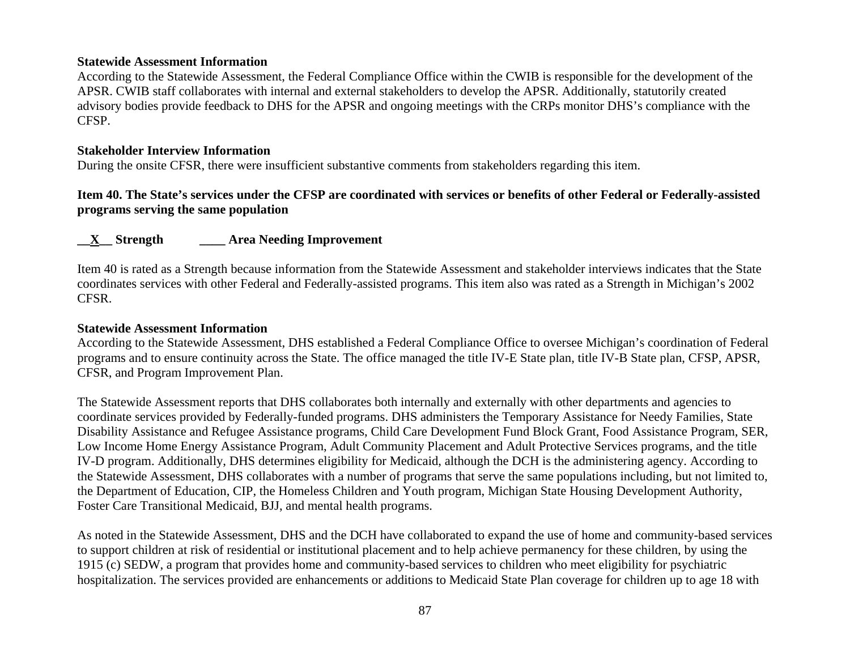#### **Statewide Assessment Information**

According to the Statewide Assessment, the Federal Compliance Office within the CWIB is responsible for the development of the APSR. CWIB staff collaborates with internal and external stakeholders to develop the APSR. Additionally, statutorily created advisory bodies provide feedback to DHS for the APSR and ongoing meetings with the CRPs monitor DHS's compliance with the CFSP.

#### **Stakeholder Interview Information**

During the onsite CFSR, there were insufficient substantive comments from stakeholders regarding this item.

## **Item 40. The State's services under the CFSP are coordinated with services or benefits of other Federal or Federally-assisted programs serving the same population**

## **\_\_X\_\_ Strength \_\_\_\_ Area Needing Improvement**

Item 40 is rated as a Strength because information from the Statewide Assessment and stakeholder interviews indicates that the State coordinates services with other Federal and Federally-assisted programs. This item also was rated as a Strength in Michigan's 2002 CFSR.

#### **Statewide Assessment Information**

According to the Statewide Assessment, DHS established a Federal Compliance Office to oversee Michigan's coordination of Federal programs and to ensure continuity across the State. The office managed the title IV-E State plan, title IV-B State plan, CFSP, APSR, CFSR, and Program Improvement Plan.

The Statewide Assessment reports that DHS collaborates both internally and externally with other departments and agencies to coordinate services provided by Federally-funded programs. DHS administers the Temporary Assistance for Needy Families, State Disability Assistance and Refugee Assistance programs, Child Care Development Fund Block Grant, Food Assistance Program, SER, Low Income Home Energy Assistance Program, Adult Community Placement and Adult Protective Services programs, and the title IV-D program. Additionally, DHS determines eligibility for Medicaid, although the DCH is the administering agency. According to the Statewide Assessment, DHS collaborates with a number of programs that serve the same populations including, but not limited to, the Department of Education, CIP, the Homeless Children and Youth program, Michigan State Housing Development Authority, Foster Care Transitional Medicaid, BJJ, and mental health programs.

As noted in the Statewide Assessment, DHS and the DCH have collaborated to expand the use of home and community-based services to support children at risk of residential or institutional placement and to help achieve permanency for these children, by using the 1915 (c) SEDW, a program that provides home and community-based services to children who meet eligibility for psychiatric hospitalization. The services provided are enhancements or additions to Medicaid State Plan coverage for children up to age 18 with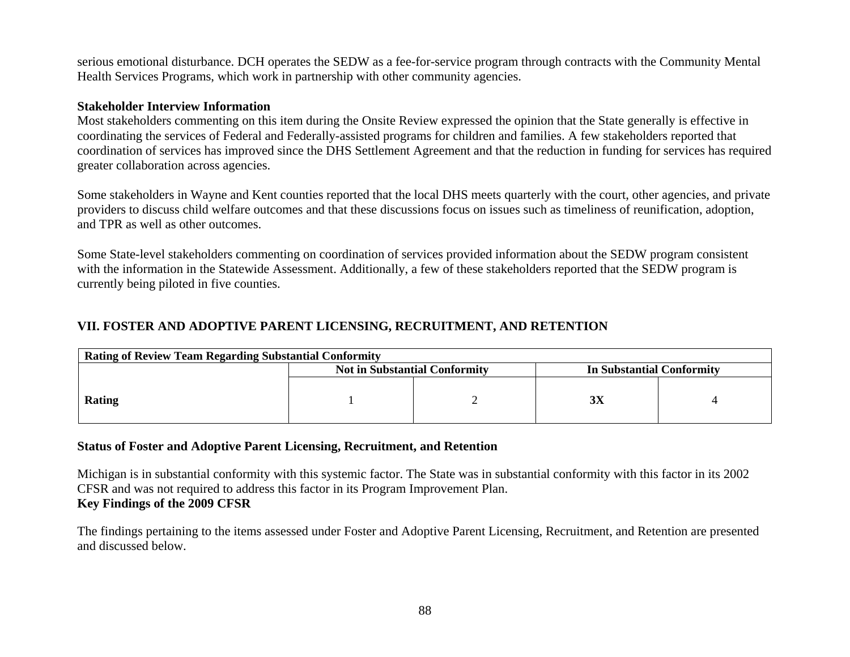serious emotional disturbance. DCH operates the SEDW as a fee-for-service program through contracts with the Community Mental Health Services Programs, which work in partnership with other community agencies.

#### **Stakeholder Interview Information**

Most stakeholders commenting on this item during the Onsite Review expressed the opinion that the State generally is effective in coordinating the services of Federal and Federally-assisted programs for children and families. A few stakeholders reported that coordination of services has improved since the DHS Settlement Agreement and that the reduction in funding for services has required greater collaboration across agencies.

Some stakeholders in Wayne and Kent counties reported that the local DHS meets quarterly with the court, other agencies, and private providers to discuss child welfare outcomes and that these discussions focus on issues such as timeliness of reunification, adoption, and TPR as well as other outcomes.

Some State-level stakeholders commenting on coordination of services provided information about the SEDW program consistent with the information in the Statewide Assessment. Additionally, a few of these stakeholders reported that the SEDW program is currently being piloted in five counties.

## **VII. FOSTER AND ADOPTIVE PARENT LICENSING, RECRUITMENT, AND RETENTION**

| <b>Rating of Review Team Regarding Substantial Conformity</b> |                                      |  |                           |  |  |
|---------------------------------------------------------------|--------------------------------------|--|---------------------------|--|--|
|                                                               | <b>Not in Substantial Conformity</b> |  | In Substantial Conformity |  |  |
| <b>Rating</b>                                                 |                                      |  | эA                        |  |  |

#### **Status of Foster and Adoptive Parent Licensing, Recruitment, and Retention**

Michigan is in substantial conformity with this systemic factor. The State was in substantial conformity with this factor in its 2002 CFSR and was not required to address this factor in its Program Improvement Plan. **Key Findings of the 2009 CFSR** 

The findings pertaining to the items assessed under Foster and Adoptive Parent Licensing, Recruitment, and Retention are presented and discussed below.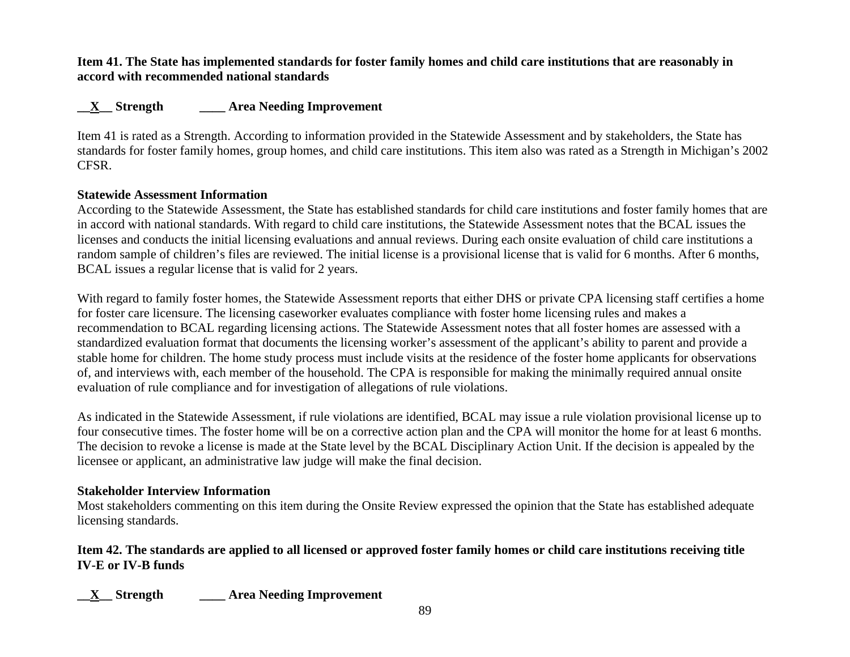### **Item 41. The State has implemented standards for foster family homes and child care institutions that are reasonably in accord with recommended national standards**

# **\_\_X\_\_ Strength \_\_\_\_ Area Needing Improvement**

Item 41 is rated as a Strength. According to information provided in the Statewide Assessment and by stakeholders, the State has standards for foster family homes, group homes, and child care institutions. This item also was rated as a Strength in Michigan's 2002 CFSR.

## **Statewide Assessment Information**

According to the Statewide Assessment, the State has established standards for child care institutions and foster family homes that are in accord with national standards. With regard to child care institutions, the Statewide Assessment notes that the BCAL issues the licenses and conducts the initial licensing evaluations and annual reviews. During each onsite evaluation of child care institutions a random sample of children's files are reviewed. The initial license is a provisional license that is valid for 6 months. After 6 months, BCAL issues a regular license that is valid for 2 years.

With regard to family foster homes, the Statewide Assessment reports that either DHS or private CPA licensing staff certifies a home for foster care licensure. The licensing caseworker evaluates compliance with foster home licensing rules and makes a recommendation to BCAL regarding licensing actions. The Statewide Assessment notes that all foster homes are assessed with a standardized evaluation format that documents the licensing worker's assessment of the applicant's ability to parent and provide a stable home for children. The home study process must include visits at the residence of the foster home applicants for observations of, and interviews with, each member of the household. The CPA is responsible for making the minimally required annual onsite evaluation of rule compliance and for investigation of allegations of rule violations.

As indicated in the Statewide Assessment, if rule violations are identified, BCAL may issue a rule violation provisional license up to four consecutive times. The foster home will be on a corrective action plan and the CPA will monitor the home for at least 6 months. The decision to revoke a license is made at the State level by the BCAL Disciplinary Action Unit. If the decision is appealed by the licensee or applicant, an administrative law judge will make the final decision.

## **Stakeholder Interview Information**

Most stakeholders commenting on this item during the Onsite Review expressed the opinion that the State has established adequate licensing standards.

# **Item 42. The standards are applied to all licensed or approved foster family homes or child care institutions receiving title IV-E or IV-B funds**

**\_\_X\_\_ Strength \_\_\_\_ Area Needing Improvement**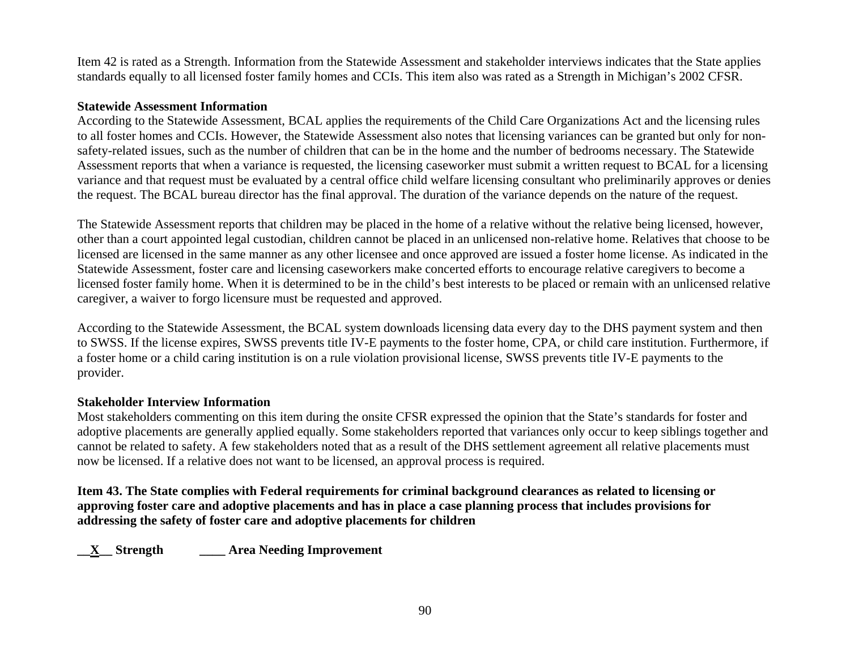Item 42 is rated as a Strength. Information from the Statewide Assessment and stakeholder interviews indicates that the State applies standards equally to all licensed foster family homes and CCIs. This item also was rated as a Strength in Michigan's 2002 CFSR.

#### **Statewide Assessment Information**

According to the Statewide Assessment, BCAL applies the requirements of the Child Care Organizations Act and the licensing rules to all foster homes and CCIs. However, the Statewide Assessment also notes that licensing variances can be granted but only for nonsafety-related issues, such as the number of children that can be in the home and the number of bedrooms necessary. The Statewide Assessment reports that when a variance is requested, the licensing caseworker must submit a written request to BCAL for a licensing variance and that request must be evaluated by a central office child welfare licensing consultant who preliminarily approves or denies the request. The BCAL bureau director has the final approval. The duration of the variance depends on the nature of the request.

The Statewide Assessment reports that children may be placed in the home of a relative without the relative being licensed, however, other than a court appointed legal custodian, children cannot be placed in an unlicensed non-relative home. Relatives that choose to be licensed are licensed in the same manner as any other licensee and once approved are issued a foster home license. As indicated in the Statewide Assessment, foster care and licensing caseworkers make concerted efforts to encourage relative caregivers to become a licensed foster family home. When it is determined to be in the child's best interests to be placed or remain with an unlicensed relative caregiver, a waiver to forgo licensure must be requested and approved.

According to the Statewide Assessment, the BCAL system downloads licensing data every day to the DHS payment system and then to SWSS. If the license expires, SWSS prevents title IV-E payments to the foster home, CPA, or child care institution. Furthermore, if a foster home or a child caring institution is on a rule violation provisional license, SWSS prevents title IV-E payments to the provider.

#### **Stakeholder Interview Information**

Most stakeholders commenting on this item during the onsite CFSR expressed the opinion that the State's standards for foster and adoptive placements are generally applied equally. Some stakeholders reported that variances only occur to keep siblings together and cannot be related to safety. A few stakeholders noted that as a result of the DHS settlement agreement all relative placements must now be licensed. If a relative does not want to be licensed, an approval process is required.

**Item 43. The State complies with Federal requirements for criminal background clearances as related to licensing or approving foster care and adoptive placements and has in place a case planning process that includes provisions for addressing the safety of foster care and adoptive placements for children** 

**\_\_X\_\_ Strength \_\_\_\_ Area Needing Improvement**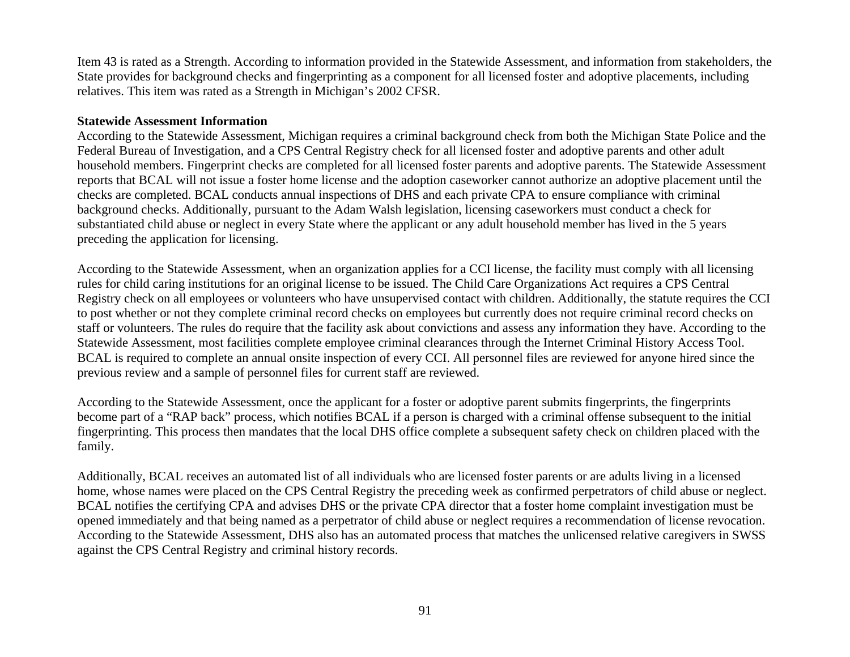Item 43 is rated as a Strength. According to information provided in the Statewide Assessment, and information from stakeholders, the State provides for background checks and fingerprinting as a component for all licensed foster and adoptive placements, including relatives. This item was rated as a Strength in Michigan's 2002 CFSR.

#### **Statewide Assessment Information**

According to the Statewide Assessment, Michigan requires a criminal background check from both the Michigan State Police and the Federal Bureau of Investigation, and a CPS Central Registry check for all licensed foster and adoptive parents and other adult household members. Fingerprint checks are completed for all licensed foster parents and adoptive parents. The Statewide Assessment reports that BCAL will not issue a foster home license and the adoption caseworker cannot authorize an adoptive placement until the checks are completed. BCAL conducts annual inspections of DHS and each private CPA to ensure compliance with criminal background checks. Additionally, pursuant to the Adam Walsh legislation, licensing caseworkers must conduct a check for substantiated child abuse or neglect in every State where the applicant or any adult household member has lived in the 5 years preceding the application for licensing.

According to the Statewide Assessment, when an organization applies for a CCI license, the facility must comply with all licensing rules for child caring institutions for an original license to be issued. The Child Care Organizations Act requires a CPS Central Registry check on all employees or volunteers who have unsupervised contact with children. Additionally, the statute requires the CCI to post whether or not they complete criminal record checks on employees but currently does not require criminal record checks on staff or volunteers. The rules do require that the facility ask about convictions and assess any information they have. According to the Statewide Assessment, most facilities complete employee criminal clearances through the Internet Criminal History Access Tool. BCAL is required to complete an annual onsite inspection of every CCI. All personnel files are reviewed for anyone hired since the previous review and a sample of personnel files for current staff are reviewed.

According to the Statewide Assessment, once the applicant for a foster or adoptive parent submits fingerprints, the fingerprints become part of a "RAP back" process, which notifies BCAL if a person is charged with a criminal offense subsequent to the initial fingerprinting. This process then mandates that the local DHS office complete a subsequent safety check on children placed with the family.

Additionally, BCAL receives an automated list of all individuals who are licensed foster parents or are adults living in a licensed home, whose names were placed on the CPS Central Registry the preceding week as confirmed perpetrators of child abuse or neglect. BCAL notifies the certifying CPA and advises DHS or the private CPA director that a foster home complaint investigation must be opened immediately and that being named as a perpetrator of child abuse or neglect requires a recommendation of license revocation. According to the Statewide Assessment, DHS also has an automated process that matches the unlicensed relative caregivers in SWSS against the CPS Central Registry and criminal history records.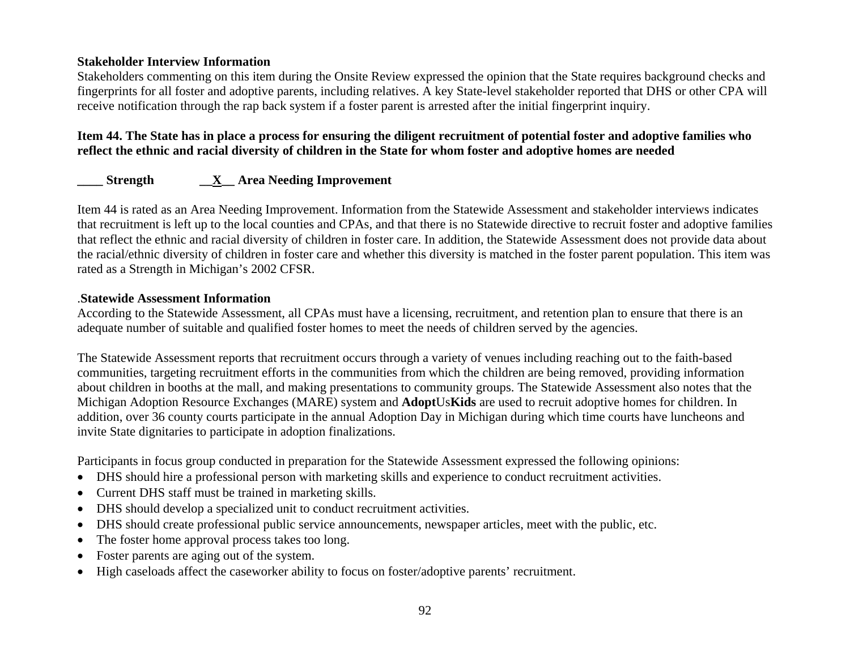Stakeholders commenting on this item during the Onsite Review expressed the opinion that the State requires background checks and fingerprints for all foster and adoptive parents, including relatives. A key State-level stakeholder reported that DHS or other CPA will receive notification through the rap back system if a foster parent is arrested after the initial fingerprint inquiry.

## **Item 44. The State has in place a process for ensuring the diligent recruitment of potential foster and adoptive families who reflect the ethnic and racial diversity of children in the State for whom foster and adoptive homes are needed**

# **\_\_\_\_ Strength \_\_X\_\_ Area Needing Improvement**

Item 44 is rated as an Area Needing Improvement. Information from the Statewide Assessment and stakeholder interviews indicates that recruitment is left up to the local counties and CPAs, and that there is no Statewide directive to recruit foster and adoptive families that reflect the ethnic and racial diversity of children in foster care. In addition, the Statewide Assessment does not provide data about the racial/ethnic diversity of children in foster care and whether this diversity is matched in the foster parent population. This item was rated as a Strength in Michigan's 2002 CFSR.

#### .**Statewide Assessment Information**

According to the Statewide Assessment, all CPAs must have a licensing, recruitment, and retention plan to ensure that there is an adequate number of suitable and qualified foster homes to meet the needs of children served by the agencies.

The Statewide Assessment reports that recruitment occurs through a variety of venues including reaching out to the faith-based communities, targeting recruitment efforts in the communities from which the children are being removed, providing information about children in booths at the mall, and making presentations to community groups. The Statewide Assessment also notes that the Michigan Adoption Resource Exchanges (MARE) system and **Adopt**Us**Kids** are used to recruit adoptive homes for children. In addition, over 36 county courts participate in the annual Adoption Day in Michigan during which time courts have luncheons and invite State dignitaries to participate in adoption finalizations.

Participants in focus group conducted in preparation for the Statewide Assessment expressed the following opinions:

- DHS should hire a professional person with marketing skills and experience to conduct recruitment activities.
- Current DHS staff must be trained in marketing skills.
- •DHS should develop a specialized unit to conduct recruitment activities.
- DHS should create professional public service announcements, newspaper articles, meet with the public, etc.
- •The foster home approval process takes too long.
- •Foster parents are aging out of the system.
- •High caseloads affect the caseworker ability to focus on foster/adoptive parents' recruitment.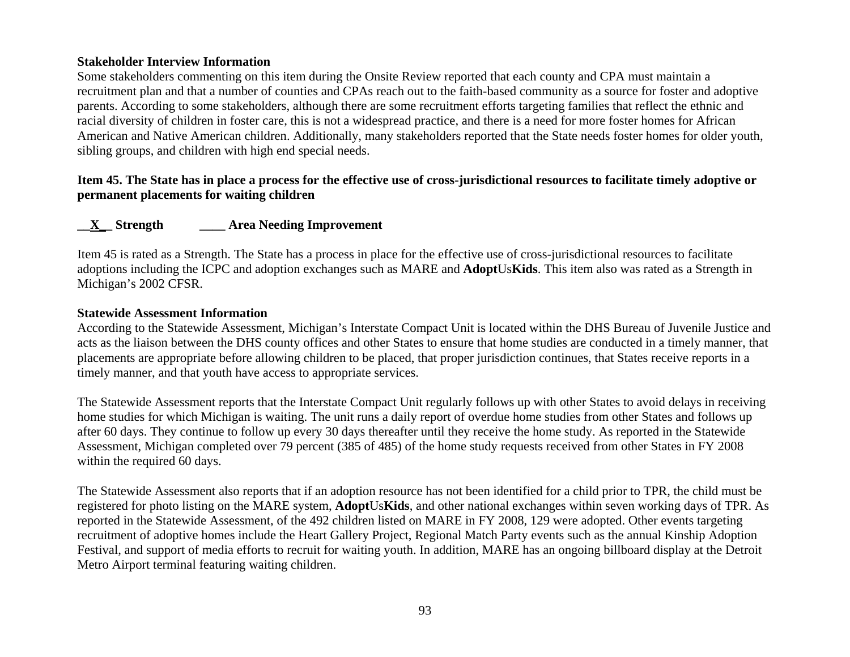Some stakeholders commenting on this item during the Onsite Review reported that each county and CPA must maintain a recruitment plan and that a number of counties and CPAs reach out to the faith-based community as a source for foster and adoptive parents. According to some stakeholders, although there are some recruitment efforts targeting families that reflect the ethnic and racial diversity of children in foster care, this is not a widespread practice, and there is a need for more foster homes for African American and Native American children. Additionally, many stakeholders reported that the State needs foster homes for older youth, sibling groups, and children with high end special needs.

## **Item 45. The State has in place a process for the effective use of cross-jurisdictional resources to facilitate timely adoptive or permanent placements for waiting children**

## **\_\_X\_\_ Strength \_\_\_\_ Area Needing Improvement**

Item 45 is rated as a Strength. The State has a process in place for the effective use of cross-jurisdictional resources to facilitate adoptions including the ICPC and adoption exchanges such as MARE and **Adopt**Us**Kids**. This item also was rated as a Strength in Michigan's 2002 CFSR.

#### **Statewide Assessment Information**

According to the Statewide Assessment, Michigan's Interstate Compact Unit is located within the DHS Bureau of Juvenile Justice and acts as the liaison between the DHS county offices and other States to ensure that home studies are conducted in a timely manner, that placements are appropriate before allowing children to be placed, that proper jurisdiction continues, that States receive reports in a timely manner, and that youth have access to appropriate services.

The Statewide Assessment reports that the Interstate Compact Unit regularly follows up with other States to avoid delays in receiving home studies for which Michigan is waiting. The unit runs a daily report of overdue home studies from other States and follows up after 60 days. They continue to follow up every 30 days thereafter until they receive the home study. As reported in the Statewide Assessment, Michigan completed over 79 percent (385 of 485) of the home study requests received from other States in FY 2008 within the required 60 days.

The Statewide Assessment also reports that if an adoption resource has not been identified for a child prior to TPR, the child must be registered for photo listing on the MARE system, **Adopt**Us**Kids**, and other national exchanges within seven working days of TPR. As reported in the Statewide Assessment, of the 492 children listed on MARE in FY 2008, 129 were adopted. Other events targeting recruitment of adoptive homes include the Heart Gallery Project, Regional Match Party events such as the annual Kinship Adoption Festival, and support of media efforts to recruit for waiting youth. In addition, MARE has an ongoing billboard display at the Detroit Metro Airport terminal featuring waiting children.